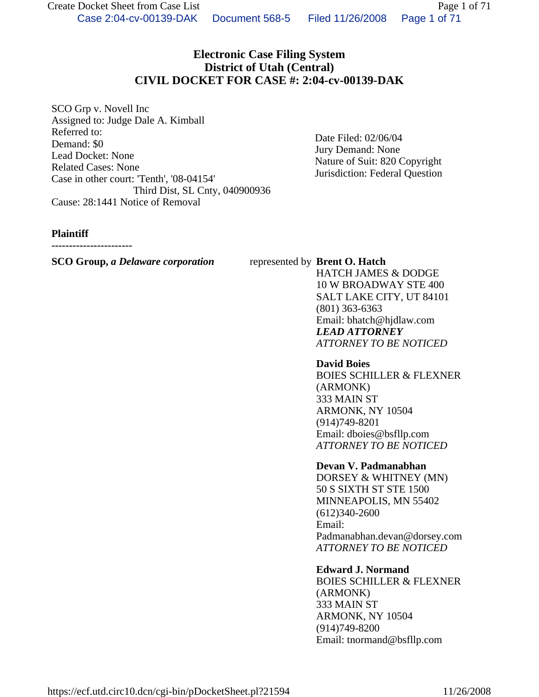# **Electronic Case Filing System District of Utah (Central) CIVIL DOCKET FOR CASE #: 2:04-cv-00139-DAK**

SCO Grp v. Novell Inc Assigned to: Judge Dale A. Kimball Referred to: Demand: \$0 Lead Docket: None Related Cases: None Case in other court: 'Tenth', '08-04154' Third Dist, SL Cnty, 040900936 Cause: 28:1441 Notice of Removal

Date Filed: 02/06/04 Jury Demand: None Nature of Suit: 820 Copyright Jurisdiction: Federal Question

#### **Plaintiff**

**-----------------------**

#### **SCO Group,** *a Delaware corporation* represented by **Brent O. Hatch**

HATCH JAMES & DODGE 10 W BROADWAY STE 400 SALT LAKE CITY, UT 84101 (801) 363-6363 Email: bhatch@hjdlaw.com *LEAD ATTORNEY ATTORNEY TO BE NOTICED*

## **David Boies**

BOIES SCHILLER & FLEXNER (ARMONK) 333 MAIN ST ARMONK, NY 10504 (914)749-8201 Email: dboies@bsfllp.com *ATTORNEY TO BE NOTICED*

## **Devan V. Padmanabhan**

DORSEY & WHITNEY (MN) 50 S SIXTH ST STE 1500 MINNEAPOLIS, MN 55402 (612)340-2600 Email: Padmanabhan.devan@dorsey.com *ATTORNEY TO BE NOTICED*

## **Edward J. Normand**

BOIES SCHILLER & FLEXNER (ARMONK) 333 MAIN ST ARMONK, NY 10504 (914)749-8200 Email: tnormand@bsfllp.com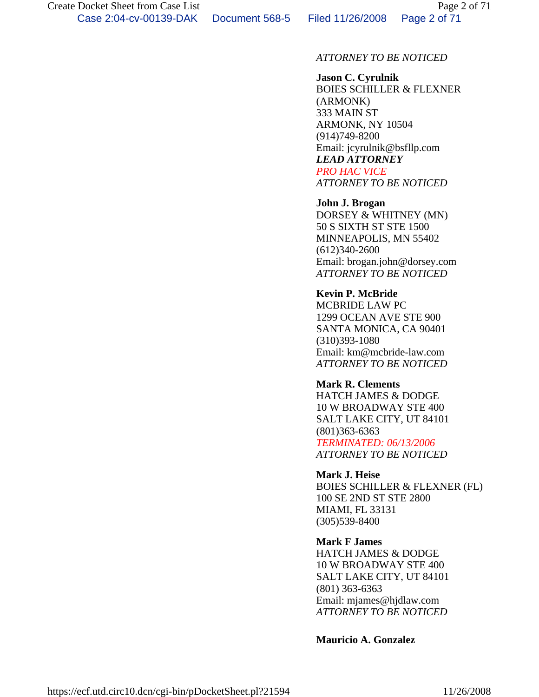# *ATTORNEY TO BE NOTICED*

# **Jason C. Cyrulnik**

BOIES SCHILLER & FLEXNER (ARMONK) 333 MAIN ST ARMONK, NY 10504 (914)749-8200 Email: jcyrulnik@bsfllp.com *LEAD ATTORNEY PRO HAC VICE*

*ATTORNEY TO BE NOTICED*

## **John J. Brogan**

DORSEY & WHITNEY (MN) 50 S SIXTH ST STE 1500 MINNEAPOLIS, MN 55402 (612)340-2600 Email: brogan.john@dorsey.com *ATTORNEY TO BE NOTICED*

## **Kevin P. McBride**

MCBRIDE LAW PC 1299 OCEAN AVE STE 900 SANTA MONICA, CA 90401 (310)393-1080 Email: km@mcbride-law.com *ATTORNEY TO BE NOTICED*

#### **Mark R. Clements**

HATCH JAMES & DODGE 10 W BROADWAY STE 400 SALT LAKE CITY, UT 84101 (801)363-6363

*TERMINATED: 06/13/2006 ATTORNEY TO BE NOTICED*

# **Mark J. Heise** BOIES SCHILLER & FLEXNER (FL) 100 SE 2ND ST STE 2800

MIAMI, FL 33131 (305)539-8400

# **Mark F James**

HATCH JAMES & DODGE 10 W BROADWAY STE 400 SALT LAKE CITY, UT 84101 (801) 363-6363 Email: mjames@hjdlaw.com *ATTORNEY TO BE NOTICED*

## **Mauricio A. Gonzalez**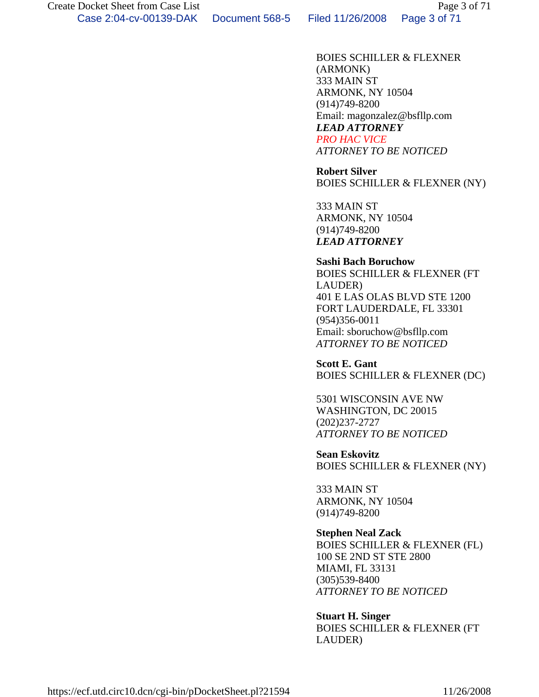BOIES SCHILLER & FLEXNER (ARMONK) 333 MAIN ST ARMONK, NY 10504 (914)749-8200 Email: magonzalez@bsfllp.com *LEAD ATTORNEY PRO HAC VICE*

*ATTORNEY TO BE NOTICED*

 **Robert Silver** BOIES SCHILLER & FLEXNER (NY)

333 MAIN ST ARMONK, NY 10504 (914)749-8200 *LEAD ATTORNEY*

 **Sashi Bach Boruchow** BOIES SCHILLER & FLEXNER (FT LAUDER) 401 E LAS OLAS BLVD STE 1200 FORT LAUDERDALE, FL 33301 (954)356-0011 Email: sboruchow@bsfllp.com *ATTORNEY TO BE NOTICED*

 **Scott E. Gant** BOIES SCHILLER & FLEXNER (DC)

5301 WISCONSIN AVE NW WASHINGTON, DC 20015 (202)237-2727 *ATTORNEY TO BE NOTICED*

 **Sean Eskovitz** BOIES SCHILLER & FLEXNER (NY)

333 MAIN ST ARMONK, NY 10504 (914)749-8200

## **Stephen Neal Zack**

BOIES SCHILLER & FLEXNER (FL) 100 SE 2ND ST STE 2800 MIAMI, FL 33131 (305)539-8400 *ATTORNEY TO BE NOTICED*

#### **Stuart H. Singer**

BOIES SCHILLER & FLEXNER (FT LAUDER)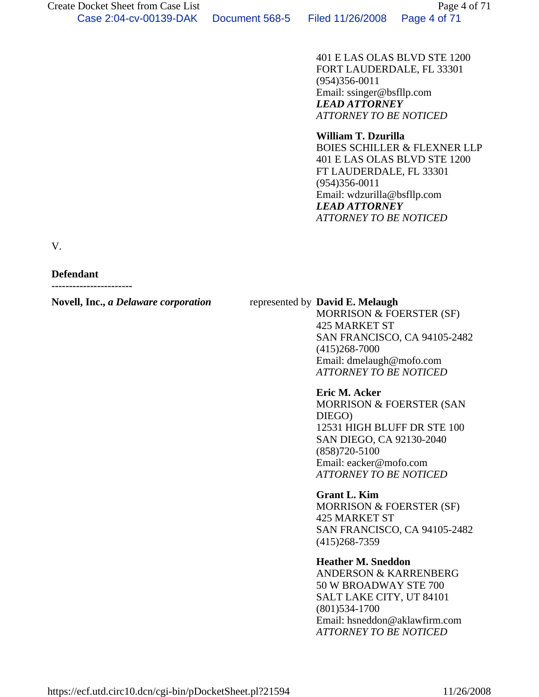401 E LAS OLAS BLVD STE 1200 FORT LAUDERDALE, FL 33301 (954)356-0011 Email: ssinger@bsfllp.com *LEAD ATTORNEY ATTORNEY TO BE NOTICED*

#### **William T. Dzurilla**

BOIES SCHILLER & FLEXNER LLP 401 E LAS OLAS BLVD STE 1200 FT LAUDERDALE, FL 33301 (954)356-0011 Email: wdzurilla@bsfllp.com *LEAD ATTORNEY ATTORNEY TO BE NOTICED*

V.

#### **Defendant**

**-----------------------**

#### **Novell, Inc.,** *a Delaware corporation* represented by **David E. Melaugh**

MORRISON & FOERSTER (SF) 425 MARKET ST SAN FRANCISCO, CA 94105-2482 (415)268-7000 Email: dmelaugh@mofo.com *ATTORNEY TO BE NOTICED*

## **Eric M. Acker** MORRISON & FOERSTER (SAN DIEGO) 12531 HIGH BLUFF DR STE 100 SAN DIEGO, CA 92130-2040 (858)720-5100 Email: eacker@mofo.com

*ATTORNEY TO BE NOTICED*

## **Grant L. Kim** MORRISON & FOERSTER (SF) 425 MARKET ST SAN FRANCISCO, CA 94105-2482 (415)268-7359

# **Heather M. Sneddon**

ANDERSON & KARRENBERG 50 W BROADWAY STE 700 SALT LAKE CITY, UT 84101 (801)534-1700 Email: hsneddon@aklawfirm.com *ATTORNEY TO BE NOTICED*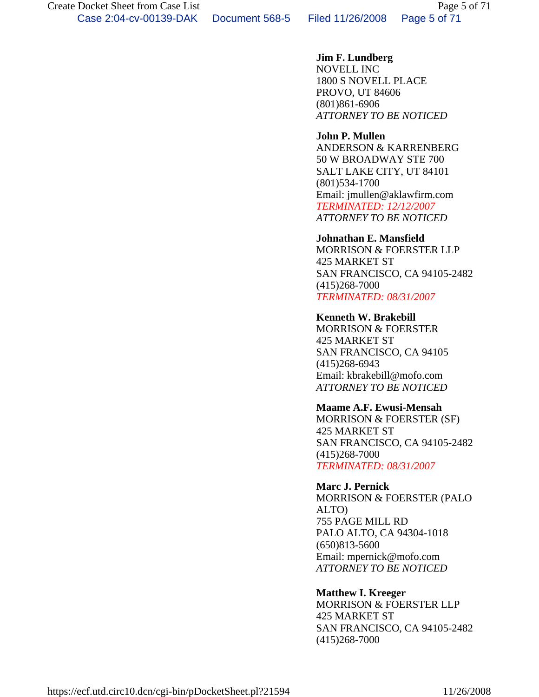Case 2:04-cv-00139-DAK Document 568-5 Filed 11/26/2008 Page 5 of 71

# **Jim F. Lundberg**

NOVELL INC 1800 S NOVELL PLACE PROVO, UT 84606 (801)861-6906 *ATTORNEY TO BE NOTICED*

# **John P. Mullen**

ANDERSON & KARRENBERG 50 W BROADWAY STE 700 SALT LAKE CITY, UT 84101 (801)534-1700 Email: jmullen@aklawfirm.com *TERMINATED: 12/12/2007 ATTORNEY TO BE NOTICED*

#### **Johnathan E. Mansfield**

MORRISON & FOERSTER LLP 425 MARKET ST SAN FRANCISCO, CA 94105-2482 (415)268-7000 *TERMINATED: 08/31/2007*

#### **Kenneth W. Brakebill**

MORRISON & FOERSTER 425 MARKET ST SAN FRANCISCO, CA 94105 (415)268-6943 Email: kbrakebill@mofo.com *ATTORNEY TO BE NOTICED*

# **Maame A.F. Ewusi-Mensah**

MORRISON & FOERSTER (SF) 425 MARKET ST SAN FRANCISCO, CA 94105-2482 (415)268-7000 *TERMINATED: 08/31/2007*

## **Marc J. Pernick**

MORRISON & FOERSTER (PALO ALTO) 755 PAGE MILL RD PALO ALTO, CA 94304-1018 (650)813-5600 Email: mpernick@mofo.com *ATTORNEY TO BE NOTICED*

## **Matthew I. Kreeger**

MORRISON & FOERSTER LLP 425 MARKET ST SAN FRANCISCO, CA 94105-2482 (415)268-7000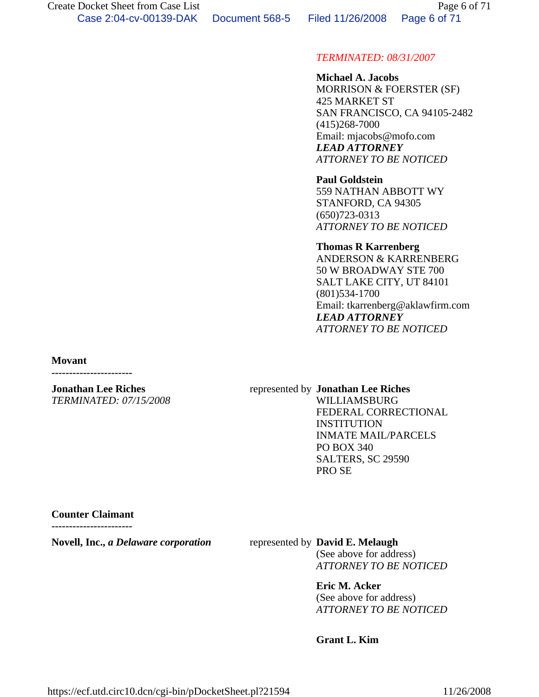## *TERMINATED: 08/31/2007*

 **Michael A. Jacobs** MORRISON & FOERSTER (SF) 425 MARKET ST SAN FRANCISCO, CA 94105-2482 (415)268-7000 Email: mjacobs@mofo.com *LEAD ATTORNEY ATTORNEY TO BE NOTICED*

 **Paul Goldstein** 559 NATHAN ABBOTT WY STANFORD, CA 94305 (650)723-0313 *ATTORNEY TO BE NOTICED*

 **Thomas R Karrenberg** ANDERSON & KARRENBERG 50 W BROADWAY STE 700 SALT LAKE CITY, UT 84101 (801)534-1700 Email: tkarrenberg@aklawfirm.com *LEAD ATTORNEY ATTORNEY TO BE NOTICED*

**Movant** 

**-----------------------**

**Jonathan Lee Riches** *TERMINATED: 07/15/2008*

#### represented by **Jonathan Lee Riches**

WILLIAMSBURG FEDERAL CORRECTIONAL **INSTITUTION** INMATE MAIL/PARCELS PO BOX 340 SALTERS, SC 29590 PRO SE

#### **Counter Claimant**

**-----------------------**

**Novell, Inc.,** *a Delaware corporation* represented by **David E. Melaugh**

(See above for address) *ATTORNEY TO BE NOTICED*

**Eric M. Acker**

(See above for address) *ATTORNEY TO BE NOTICED*

**Grant L. Kim**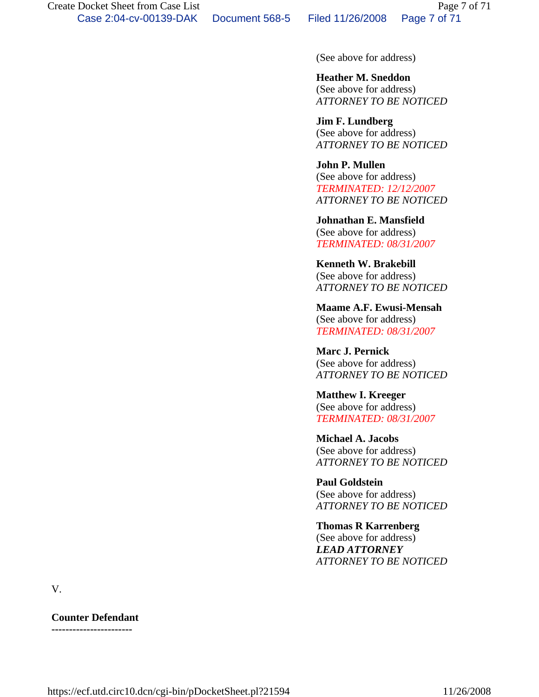(See above for address)

 **Heather M. Sneddon** (See above for address) *ATTORNEY TO BE NOTICED*

 **Jim F. Lundberg** (See above for address) *ATTORNEY TO BE NOTICED*

 **John P. Mullen** (See above for address) *TERMINATED: 12/12/2007 ATTORNEY TO BE NOTICED*

 **Johnathan E. Mansfield** (See above for address) *TERMINATED: 08/31/2007*

 **Kenneth W. Brakebill** (See above for address) *ATTORNEY TO BE NOTICED*

 **Maame A.F. Ewusi-Mensah** (See above for address) *TERMINATED: 08/31/2007*

 **Marc J. Pernick** (See above for address) *ATTORNEY TO BE NOTICED*

 **Matthew I. Kreeger** (See above for address) *TERMINATED: 08/31/2007*

 **Michael A. Jacobs** (See above for address) *ATTORNEY TO BE NOTICED*

 **Paul Goldstein** (See above for address) *ATTORNEY TO BE NOTICED*

 **Thomas R Karrenberg** (See above for address) *LEAD ATTORNEY ATTORNEY TO BE NOTICED*

V.

**Counter Defendant -----------------------**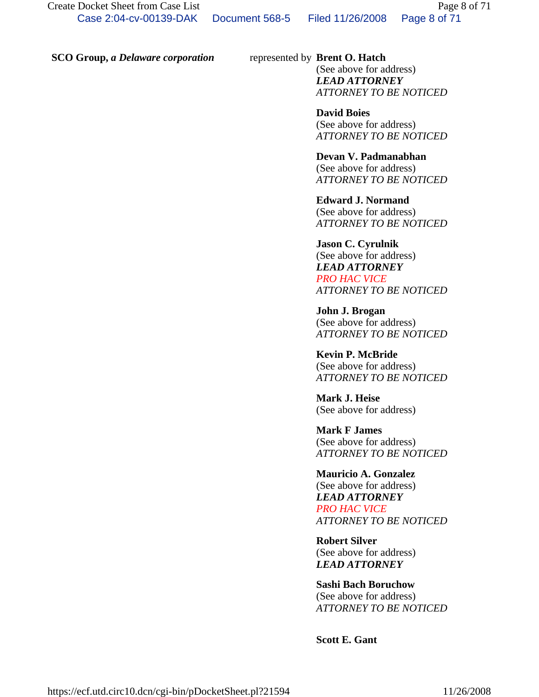#### **SCO Group,** *a Delaware corporation* represented by **Brent O. Hatch**

(See above for address) *LEAD ATTORNEY ATTORNEY TO BE NOTICED*

 **David Boies** (See above for address) *ATTORNEY TO BE NOTICED*

#### **Devan V. Padmanabhan**

(See above for address) *ATTORNEY TO BE NOTICED*

 **Edward J. Normand** (See above for address) *ATTORNEY TO BE NOTICED*

 **Jason C. Cyrulnik** (See above for address) *LEAD ATTORNEY PRO HAC VICE ATTORNEY TO BE NOTICED*

 **John J. Brogan** (See above for address) *ATTORNEY TO BE NOTICED*

 **Kevin P. McBride** (See above for address) *ATTORNEY TO BE NOTICED*

 **Mark J. Heise** (See above for address)

 **Mark F James** (See above for address) *ATTORNEY TO BE NOTICED*

 **Mauricio A. Gonzalez** (See above for address) *LEAD ATTORNEY PRO HAC VICE ATTORNEY TO BE NOTICED*

 **Robert Silver** (See above for address) *LEAD ATTORNEY*

#### **Sashi Bach Boruchow**

(See above for address) *ATTORNEY TO BE NOTICED*

**Scott E. Gant**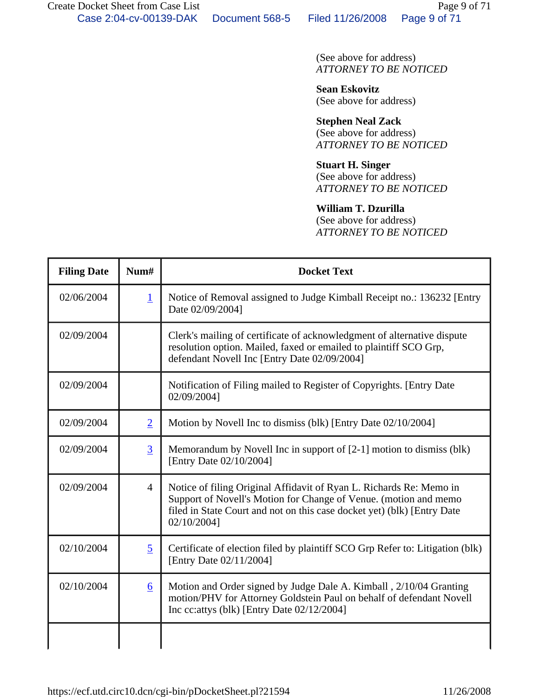(See above for address) *ATTORNEY TO BE NOTICED*

 **Sean Eskovitz** (See above for address)

 **Stephen Neal Zack** (See above for address) *ATTORNEY TO BE NOTICED*

 **Stuart H. Singer** (See above for address)

*ATTORNEY TO BE NOTICED*

# **William T. Dzurilla**

(See above for address) *ATTORNEY TO BE NOTICED*

| <b>Filing Date</b> | Num#           | <b>Docket Text</b>                                                                                                                                                                                                                |
|--------------------|----------------|-----------------------------------------------------------------------------------------------------------------------------------------------------------------------------------------------------------------------------------|
| 02/06/2004         | $\overline{1}$ | Notice of Removal assigned to Judge Kimball Receipt no.: 136232 [Entry<br>Date 02/09/2004]                                                                                                                                        |
| 02/09/2004         |                | Clerk's mailing of certificate of acknowledgment of alternative dispute<br>resolution option. Mailed, faxed or emailed to plaintiff SCO Grp,<br>defendant Novell Inc [Entry Date 02/09/2004]                                      |
| 02/09/2004         |                | Notification of Filing mailed to Register of Copyrights. [Entry Date<br>02/09/2004]                                                                                                                                               |
| 02/09/2004         | $\overline{2}$ | Motion by Novell Inc to dismiss (blk) [Entry Date 02/10/2004]                                                                                                                                                                     |
| 02/09/2004         | $\overline{3}$ | Memorandum by Novell Inc in support of $[2-1]$ motion to dismiss (blk)<br>[Entry Date 02/10/2004]                                                                                                                                 |
| 02/09/2004         | $\overline{4}$ | Notice of filing Original Affidavit of Ryan L. Richards Re: Memo in<br>Support of Novell's Motion for Change of Venue. (motion and memo<br>filed in State Court and not on this case docket yet) (blk) [Entry Date<br>02/10/2004] |
| 02/10/2004         | 5              | Certificate of election filed by plaintiff SCO Grp Refer to: Litigation (blk)<br>[Entry Date 02/11/2004]                                                                                                                          |
| 02/10/2004         | 6              | Motion and Order signed by Judge Dale A. Kimball, 2/10/04 Granting<br>motion/PHV for Attorney Goldstein Paul on behalf of defendant Novell<br>Inc cc: attys (blk) [Entry Date $02/12/2004$ ]                                      |
|                    |                |                                                                                                                                                                                                                                   |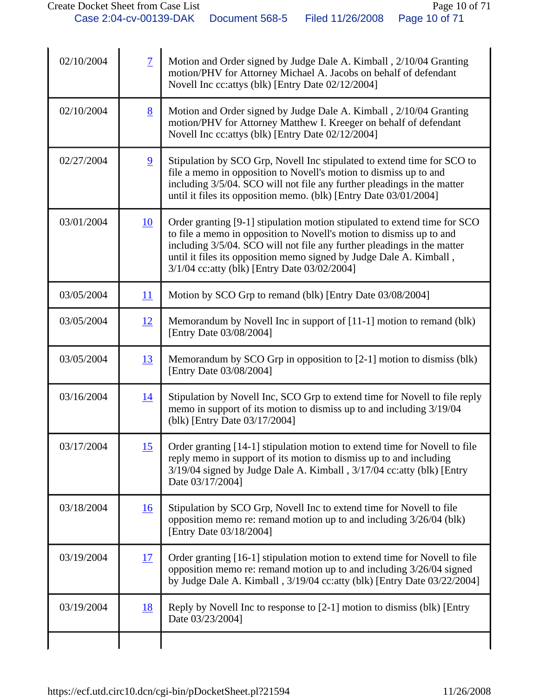| 02/10/2004 | $\overline{7}$ | Motion and Order signed by Judge Dale A. Kimball, 2/10/04 Granting<br>motion/PHV for Attorney Michael A. Jacobs on behalf of defendant<br>Novell Inc cc: attys (blk) [Entry Date 02/12/2004]                                                                                                                                                         |
|------------|----------------|------------------------------------------------------------------------------------------------------------------------------------------------------------------------------------------------------------------------------------------------------------------------------------------------------------------------------------------------------|
| 02/10/2004 | 8              | Motion and Order signed by Judge Dale A. Kimball, 2/10/04 Granting<br>motion/PHV for Attorney Matthew I. Kreeger on behalf of defendant<br>Novell Inc cc: attys (blk) [Entry Date 02/12/2004]                                                                                                                                                        |
| 02/27/2004 | 9              | Stipulation by SCO Grp, Novell Inc stipulated to extend time for SCO to<br>file a memo in opposition to Novell's motion to dismiss up to and<br>including 3/5/04. SCO will not file any further pleadings in the matter<br>until it files its opposition memo. (blk) [Entry Date 03/01/2004]                                                         |
| 03/01/2004 | 10             | Order granting [9-1] stipulation motion stipulated to extend time for SCO<br>to file a memo in opposition to Novell's motion to dismiss up to and<br>including 3/5/04. SCO will not file any further pleadings in the matter<br>until it files its opposition memo signed by Judge Dale A. Kimball,<br>3/1/04 cc: atty (blk) [Entry Date 03/02/2004] |
| 03/05/2004 | 11             | Motion by SCO Grp to remand (blk) [Entry Date 03/08/2004]                                                                                                                                                                                                                                                                                            |
| 03/05/2004 | 12             | Memorandum by Novell Inc in support of [11-1] motion to remand (blk)<br>[Entry Date 03/08/2004]                                                                                                                                                                                                                                                      |
| 03/05/2004 | 13             | Memorandum by SCO Grp in opposition to $[2-1]$ motion to dismiss (blk)<br>[Entry Date 03/08/2004]                                                                                                                                                                                                                                                    |
| 03/16/2004 | <u>14</u>      | Stipulation by Novell Inc, SCO Grp to extend time for Novell to file reply<br>memo in support of its motion to dismiss up to and including 3/19/04<br>(blk) [Entry Date 03/17/2004]                                                                                                                                                                  |
| 03/17/2004 | 15             | Order granting [14-1] stipulation motion to extend time for Novell to file<br>reply memo in support of its motion to dismiss up to and including<br>3/19/04 signed by Judge Dale A. Kimball, 3/17/04 cc: atty (blk) [Entry<br>Date 03/17/2004]                                                                                                       |
| 03/18/2004 | 16             | Stipulation by SCO Grp, Novell Inc to extend time for Novell to file<br>opposition memo re: remand motion up to and including 3/26/04 (blk)<br>[Entry Date 03/18/2004]                                                                                                                                                                               |
| 03/19/2004 | 17             | Order granting [16-1] stipulation motion to extend time for Novell to file<br>opposition memo re: remand motion up to and including 3/26/04 signed<br>by Judge Dale A. Kimball, 3/19/04 cc: atty (blk) [Entry Date 03/22/2004]                                                                                                                       |
| 03/19/2004 | <u>18</u>      | Reply by Novell Inc to response to [2-1] motion to dismiss (blk) [Entry<br>Date 03/23/2004]                                                                                                                                                                                                                                                          |
|            |                |                                                                                                                                                                                                                                                                                                                                                      |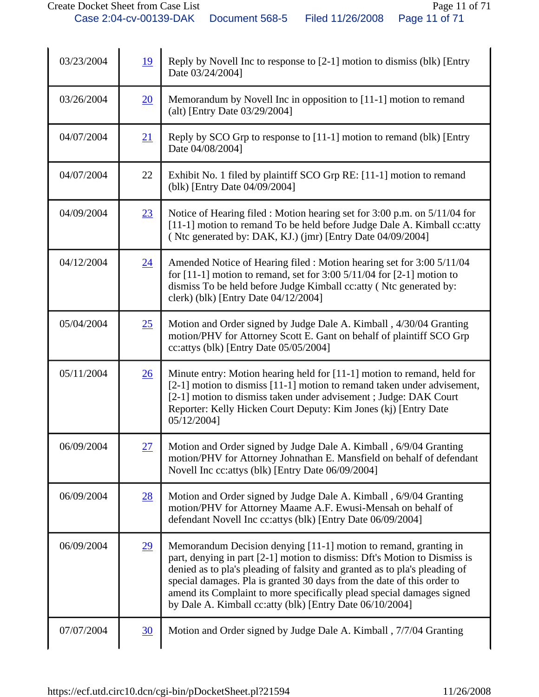| 03/23/2004 | 19        | Reply by Novell Inc to response to [2-1] motion to dismiss (blk) [Entry<br>Date 03/24/2004]                                                                                                                                                                                                                                                                                                                                                 |
|------------|-----------|---------------------------------------------------------------------------------------------------------------------------------------------------------------------------------------------------------------------------------------------------------------------------------------------------------------------------------------------------------------------------------------------------------------------------------------------|
| 03/26/2004 | 20        | Memorandum by Novell Inc in opposition to [11-1] motion to remand<br>(alt) [Entry Date 03/29/2004]                                                                                                                                                                                                                                                                                                                                          |
| 04/07/2004 | 21        | Reply by SCO Grp to response to [11-1] motion to remand (blk) [Entry<br>Date 04/08/2004]                                                                                                                                                                                                                                                                                                                                                    |
| 04/07/2004 | 22        | Exhibit No. 1 filed by plaintiff SCO Grp RE: [11-1] motion to remand<br>(blk) [Entry Date 04/09/2004]                                                                                                                                                                                                                                                                                                                                       |
| 04/09/2004 | 23        | Notice of Hearing filed : Motion hearing set for 3:00 p.m. on 5/11/04 for<br>[11-1] motion to remand To be held before Judge Dale A. Kimball cc: atty<br>(Ntc generated by: DAK, KJ.) (jmr) [Entry Date 04/09/2004]                                                                                                                                                                                                                         |
| 04/12/2004 | 24        | Amended Notice of Hearing filed : Motion hearing set for 3:00 5/11/04<br>for $[11-1]$ motion to remand, set for 3:00 5/11/04 for $[2-1]$ motion to<br>dismiss To be held before Judge Kimball cc: atty (Ntc generated by:<br>clerk) (blk) [Entry Date 04/12/2004]                                                                                                                                                                           |
| 05/04/2004 | 25        | Motion and Order signed by Judge Dale A. Kimball, 4/30/04 Granting<br>motion/PHV for Attorney Scott E. Gant on behalf of plaintiff SCO Grp<br>cc: attys (blk) [Entry Date $05/05/2004$ ]                                                                                                                                                                                                                                                    |
| 05/11/2004 | <u>26</u> | Minute entry: Motion hearing held for [11-1] motion to remand, held for<br>[2-1] motion to dismiss [11-1] motion to remand taken under advisement,<br>[2-1] motion to dismiss taken under advisement; Judge: DAK Court<br>Reporter: Kelly Hicken Court Deputy: Kim Jones (kj) [Entry Date<br>05/12/2004]                                                                                                                                    |
| 06/09/2004 | 27        | Motion and Order signed by Judge Dale A. Kimball, 6/9/04 Granting<br>motion/PHV for Attorney Johnathan E. Mansfield on behalf of defendant<br>Novell Inc cc: attys (blk) [Entry Date 06/09/2004]                                                                                                                                                                                                                                            |
| 06/09/2004 | 28        | Motion and Order signed by Judge Dale A. Kimball, 6/9/04 Granting<br>motion/PHV for Attorney Maame A.F. Ewusi-Mensah on behalf of<br>defendant Novell Inc cc: attys (blk) [Entry Date 06/09/2004]                                                                                                                                                                                                                                           |
| 06/09/2004 | 29        | Memorandum Decision denying [11-1] motion to remand, granting in<br>part, denying in part [2-1] motion to dismiss: Dft's Motion to Dismiss is<br>denied as to pla's pleading of falsity and granted as to pla's pleading of<br>special damages. Pla is granted 30 days from the date of this order to<br>amend its Complaint to more specifically plead special damages signed<br>by Dale A. Kimball cc: atty (blk) [Entry Date 06/10/2004] |
| 07/07/2004 | 30        | Motion and Order signed by Judge Dale A. Kimball, 7/7/04 Granting                                                                                                                                                                                                                                                                                                                                                                           |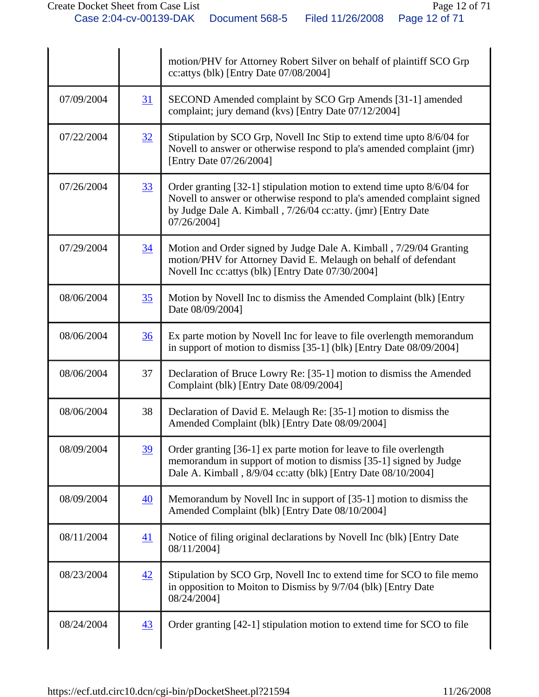|            |    | motion/PHV for Attorney Robert Silver on behalf of plaintiff SCO Grp<br>cc: attys (blk) [Entry Date 07/08/2004]                                                                                                                   |
|------------|----|-----------------------------------------------------------------------------------------------------------------------------------------------------------------------------------------------------------------------------------|
| 07/09/2004 | 31 | SECOND Amended complaint by SCO Grp Amends [31-1] amended<br>complaint; jury demand (kvs) [Entry Date 07/12/2004]                                                                                                                 |
| 07/22/2004 | 32 | Stipulation by SCO Grp, Novell Inc Stip to extend time upto 8/6/04 for<br>Novell to answer or otherwise respond to pla's amended complaint (jmr)<br>[Entry Date 07/26/2004]                                                       |
| 07/26/2004 | 33 | Order granting [32-1] stipulation motion to extend time upto 8/6/04 for<br>Novell to answer or otherwise respond to pla's amended complaint signed<br>by Judge Dale A. Kimball, 7/26/04 cc:atty. (jmr) [Entry Date<br>07/26/2004] |
| 07/29/2004 | 34 | Motion and Order signed by Judge Dale A. Kimball, 7/29/04 Granting<br>motion/PHV for Attorney David E. Melaugh on behalf of defendant<br>Novell Inc cc: attys (blk) [Entry Date 07/30/2004]                                       |
| 08/06/2004 | 35 | Motion by Novell Inc to dismiss the Amended Complaint (blk) [Entry<br>Date 08/09/2004]                                                                                                                                            |
| 08/06/2004 | 36 | Ex parte motion by Novell Inc for leave to file overlength memorandum<br>in support of motion to dismiss [35-1] (blk) [Entry Date 08/09/2004]                                                                                     |
| 08/06/2004 | 37 | Declaration of Bruce Lowry Re: [35-1] motion to dismiss the Amended<br>Complaint (blk) [Entry Date 08/09/2004]                                                                                                                    |
| 08/06/2004 | 38 | Declaration of David E. Melaugh Re: [35-1] motion to dismiss the<br>Amended Complaint (blk) [Entry Date 08/09/2004]                                                                                                               |
| 08/09/2004 | 39 | Order granting [36-1] ex parte motion for leave to file overlength<br>memorandum in support of motion to dismiss [35-1] signed by Judge<br>Dale A. Kimball, 8/9/04 cc: atty (blk) [Entry Date 08/10/2004]                         |
| 08/09/2004 | 40 | Memorandum by Novell Inc in support of [35-1] motion to dismiss the<br>Amended Complaint (blk) [Entry Date 08/10/2004]                                                                                                            |
| 08/11/2004 | 41 | Notice of filing original declarations by Novell Inc (blk) [Entry Date<br>08/11/2004]                                                                                                                                             |
| 08/23/2004 | 42 | Stipulation by SCO Grp, Novell Inc to extend time for SCO to file memo<br>in opposition to Moiton to Dismiss by 9/7/04 (blk) [Entry Date<br>08/24/2004]                                                                           |
| 08/24/2004 | 43 | Order granting [42-1] stipulation motion to extend time for SCO to file                                                                                                                                                           |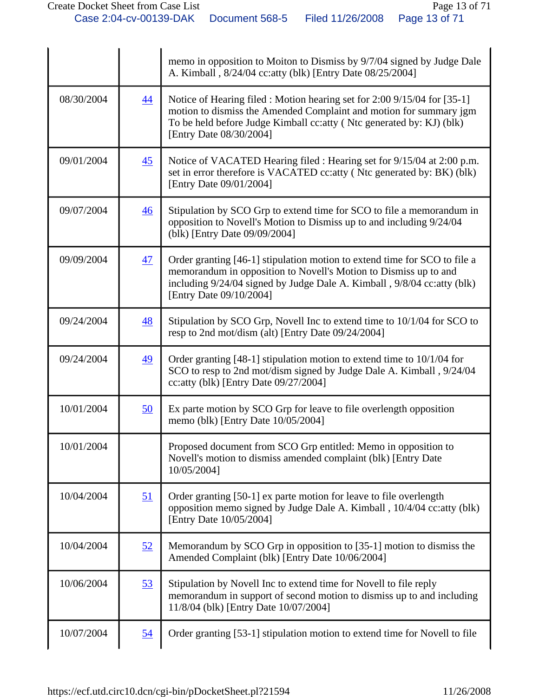|            |                  | memo in opposition to Moiton to Dismiss by 9/7/04 signed by Judge Dale<br>A. Kimball, 8/24/04 cc: atty (blk) [Entry Date 08/25/2004]                                                                                                                 |
|------------|------------------|------------------------------------------------------------------------------------------------------------------------------------------------------------------------------------------------------------------------------------------------------|
| 08/30/2004 | $\overline{44}$  | Notice of Hearing filed : Motion hearing set for 2:00 9/15/04 for [35-1]<br>motion to dismiss the Amended Complaint and motion for summary jgm<br>To be held before Judge Kimball cc: atty (Ntc generated by: KJ) (blk)<br>[Entry Date 08/30/2004]   |
| 09/01/2004 | 45               | Notice of VACATED Hearing filed : Hearing set for 9/15/04 at 2:00 p.m.<br>set in error therefore is VACATED cc: atty (Ntc generated by: BK) (blk)<br>[Entry Date 09/01/2004]                                                                         |
| 09/07/2004 | 46               | Stipulation by SCO Grp to extend time for SCO to file a memorandum in<br>opposition to Novell's Motion to Dismiss up to and including 9/24/04<br>(blk) [Entry Date 09/09/2004]                                                                       |
| 09/09/2004 | 47               | Order granting [46-1] stipulation motion to extend time for SCO to file a<br>memorandum in opposition to Novell's Motion to Dismiss up to and<br>including 9/24/04 signed by Judge Dale A. Kimball, 9/8/04 cc: atty (blk)<br>[Entry Date 09/10/2004] |
| 09/24/2004 | 48               | Stipulation by SCO Grp, Novell Inc to extend time to 10/1/04 for SCO to<br>resp to 2nd mot/dism (alt) [Entry Date 09/24/2004]                                                                                                                        |
| 09/24/2004 | 49               | Order granting $[48-1]$ stipulation motion to extend time to $10/1/04$ for<br>SCO to resp to 2nd mot/dism signed by Judge Dale A. Kimball, 9/24/04<br>cc: atty (blk) [Entry Date $09/27/2004$ ]                                                      |
| 10/01/2004 | 50               | Ex parte motion by SCO Grp for leave to file overlength opposition<br>memo (blk) [Entry Date 10/05/2004]                                                                                                                                             |
| 10/01/2004 |                  | Proposed document from SCO Grp entitled: Memo in opposition to<br>Novell's motion to dismiss amended complaint (blk) [Entry Date<br>10/05/2004]                                                                                                      |
| 10/04/2004 | 51               | Order granting [50-1] ex parte motion for leave to file overlength<br>opposition memo signed by Judge Dale A. Kimball, 10/4/04 cc: atty (blk)<br>[Entry Date 10/05/2004]                                                                             |
| 10/04/2004 | 52               | Memorandum by SCO Grp in opposition to [35-1] motion to dismiss the<br>Amended Complaint (blk) [Entry Date 10/06/2004]                                                                                                                               |
| 10/06/2004 | 53               | Stipulation by Novell Inc to extend time for Novell to file reply<br>memorandum in support of second motion to dismiss up to and including<br>11/8/04 (blk) [Entry Date 10/07/2004]                                                                  |
| 10/07/2004 | $\underline{54}$ | Order granting [53-1] stipulation motion to extend time for Novell to file                                                                                                                                                                           |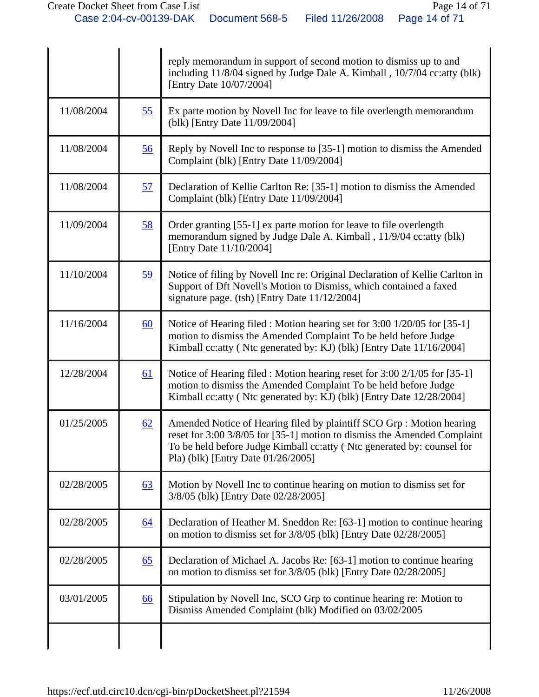|            |           | reply memorandum in support of second motion to dismiss up to and<br>including 11/8/04 signed by Judge Dale A. Kimball, 10/7/04 cc: atty (blk)<br>[Entry Date 10/07/2004]                                                                                          |
|------------|-----------|--------------------------------------------------------------------------------------------------------------------------------------------------------------------------------------------------------------------------------------------------------------------|
| 11/08/2004 | 55        | Ex parte motion by Novell Inc for leave to file overlength memorandum<br>(blk) [Entry Date 11/09/2004]                                                                                                                                                             |
| 11/08/2004 | 56        | Reply by Novell Inc to response to [35-1] motion to dismiss the Amended<br>Complaint (blk) [Entry Date 11/09/2004]                                                                                                                                                 |
| 11/08/2004 | 57        | Declaration of Kellie Carlton Re: [35-1] motion to dismiss the Amended<br>Complaint (blk) [Entry Date 11/09/2004]                                                                                                                                                  |
| 11/09/2004 | 58        | Order granting [55-1] ex parte motion for leave to file overlength<br>memorandum signed by Judge Dale A. Kimball, 11/9/04 cc: atty (blk)<br>[Entry Date 11/10/2004]                                                                                                |
| 11/10/2004 | 59        | Notice of filing by Novell Inc re: Original Declaration of Kellie Carlton in<br>Support of Dft Novell's Motion to Dismiss, which contained a faxed<br>signature page. $(tsh)$ [Entry Date $11/12/2004$ ]                                                           |
| 11/16/2004 | 60        | Notice of Hearing filed : Motion hearing set for 3:00 1/20/05 for [35-1]<br>motion to dismiss the Amended Complaint To be held before Judge<br>Kimball cc: atty (Ntc generated by: KJ) (blk) [Entry Date 11/16/2004]                                               |
| 12/28/2004 | <u>61</u> | Notice of Hearing filed : Motion hearing reset for 3:00 2/1/05 for [35-1]<br>motion to dismiss the Amended Complaint To be held before Judge<br>Kimball cc: atty (Ntc generated by: KJ) (blk) [Entry Date 12/28/2004]                                              |
| 01/25/2005 | 62        | Amended Notice of Hearing filed by plaintiff SCO Grp : Motion hearing<br>reset for 3:00 3/8/05 for [35-1] motion to dismiss the Amended Complaint<br>To be held before Judge Kimball cc: atty (Ntc generated by: counsel for<br>Pla) (blk) [Entry Date 01/26/2005] |
| 02/28/2005 | 63        | Motion by Novell Inc to continue hearing on motion to dismiss set for<br>3/8/05 (blk) [Entry Date 02/28/2005]                                                                                                                                                      |
| 02/28/2005 | 64        | Declaration of Heather M. Sneddon Re: [63-1] motion to continue hearing<br>on motion to dismiss set for 3/8/05 (blk) [Entry Date 02/28/2005]                                                                                                                       |
| 02/28/2005 | 65        | Declaration of Michael A. Jacobs Re: [63-1] motion to continue hearing<br>on motion to dismiss set for 3/8/05 (blk) [Entry Date 02/28/2005]                                                                                                                        |
| 03/01/2005 | 66        | Stipulation by Novell Inc, SCO Grp to continue hearing re: Motion to<br>Dismiss Amended Complaint (blk) Modified on 03/02/2005                                                                                                                                     |
|            |           |                                                                                                                                                                                                                                                                    |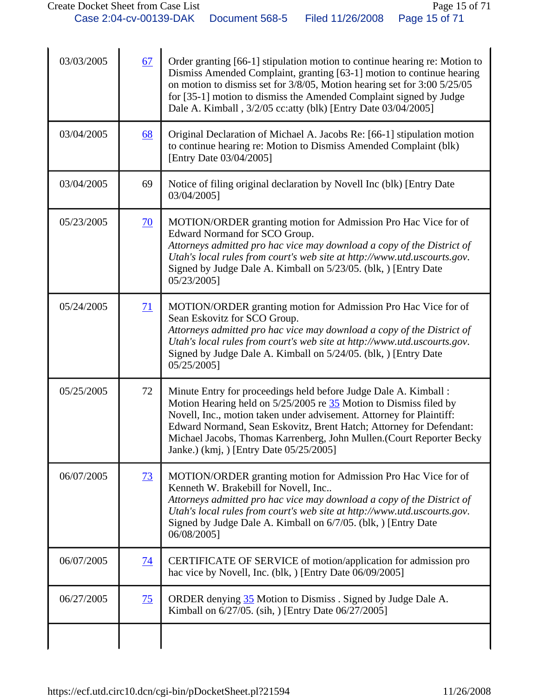| 03/03/2005 | 67              | Order granting [66-1] stipulation motion to continue hearing re: Motion to<br>Dismiss Amended Complaint, granting [63-1] motion to continue hearing<br>on motion to dismiss set for 3/8/05, Motion hearing set for 3:00 5/25/05<br>for [35-1] motion to dismiss the Amended Complaint signed by Judge<br>Dale A. Kimball, 3/2/05 cc: atty (blk) [Entry Date 03/04/2005]                                     |
|------------|-----------------|-------------------------------------------------------------------------------------------------------------------------------------------------------------------------------------------------------------------------------------------------------------------------------------------------------------------------------------------------------------------------------------------------------------|
| 03/04/2005 | 68              | Original Declaration of Michael A. Jacobs Re: [66-1] stipulation motion<br>to continue hearing re: Motion to Dismiss Amended Complaint (blk)<br>[Entry Date 03/04/2005]                                                                                                                                                                                                                                     |
| 03/04/2005 | 69              | Notice of filing original declaration by Novell Inc (blk) [Entry Date<br>03/04/2005]                                                                                                                                                                                                                                                                                                                        |
| 05/23/2005 | $\overline{70}$ | MOTION/ORDER granting motion for Admission Pro Hac Vice for of<br>Edward Normand for SCO Group.<br>Attorneys admitted pro hac vice may download a copy of the District of<br>Utah's local rules from court's web site at http://www.utd.uscourts.gov.<br>Signed by Judge Dale A. Kimball on 5/23/05. (blk, ) [Entry Date<br>05/23/2005]                                                                     |
| 05/24/2005 | 71              | MOTION/ORDER granting motion for Admission Pro Hac Vice for of<br>Sean Eskovitz for SCO Group.<br>Attorneys admitted pro hac vice may download a copy of the District of<br>Utah's local rules from court's web site at http://www.utd.uscourts.gov.<br>Signed by Judge Dale A. Kimball on 5/24/05. (blk, ) [Entry Date<br>05/25/2005]                                                                      |
| 05/25/2005 | 72              | Minute Entry for proceedings held before Judge Dale A. Kimball :<br>Motion Hearing held on $5/25/2005$ re $35$ Motion to Dismiss filed by<br>Novell, Inc., motion taken under advisement. Attorney for Plaintiff:<br>Edward Normand, Sean Eskovitz, Brent Hatch; Attorney for Defendant:<br>Michael Jacobs, Thomas Karrenberg, John Mullen.(Court Reporter Becky<br>Janke.) (kmj, ) [Entry Date 05/25/2005] |
| 06/07/2005 | $\overline{73}$ | MOTION/ORDER granting motion for Admission Pro Hac Vice for of<br>Kenneth W. Brakebill for Novell, Inc<br>Attorneys admitted pro hac vice may download a copy of the District of<br>Utah's local rules from court's web site at http://www.utd.uscourts.gov.<br>Signed by Judge Dale A. Kimball on 6/7/05. (blk, ) [Entry Date<br>06/08/2005]                                                               |
| 06/07/2005 | $\overline{14}$ | CERTIFICATE OF SERVICE of motion/application for admission pro<br>hac vice by Novell, Inc. (blk, ) [Entry Date 06/09/2005]                                                                                                                                                                                                                                                                                  |
| 06/27/2005 | 75              | ORDER denying 35 Motion to Dismiss. Signed by Judge Dale A.<br>Kimball on 6/27/05. (sih, ) [Entry Date 06/27/2005]                                                                                                                                                                                                                                                                                          |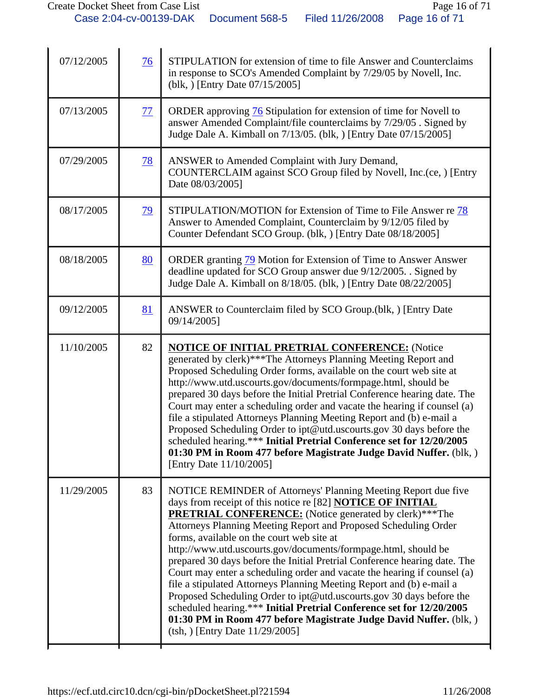| 07/12/2005 | 76        | STIPULATION for extension of time to file Answer and Counterclaims<br>in response to SCO's Amended Complaint by 7/29/05 by Novell, Inc.<br>(blk, ) [Entry Date 07/15/2005]                                                                                                                                                                                                                                                                                                                                                                                                                                                                                                                                                                                                                                                                                                       |
|------------|-----------|----------------------------------------------------------------------------------------------------------------------------------------------------------------------------------------------------------------------------------------------------------------------------------------------------------------------------------------------------------------------------------------------------------------------------------------------------------------------------------------------------------------------------------------------------------------------------------------------------------------------------------------------------------------------------------------------------------------------------------------------------------------------------------------------------------------------------------------------------------------------------------|
| 07/13/2005 | 77        | ORDER approving 76 Stipulation for extension of time for Novell to<br>answer Amended Complaint/file counterclaims by 7/29/05. Signed by<br>Judge Dale A. Kimball on 7/13/05. (blk, ) [Entry Date 07/15/2005]                                                                                                                                                                                                                                                                                                                                                                                                                                                                                                                                                                                                                                                                     |
| 07/29/2005 | <u>78</u> | ANSWER to Amended Complaint with Jury Demand,<br>COUNTERCLAIM against SCO Group filed by Novell, Inc.(ce, ) [Entry<br>Date 08/03/2005]                                                                                                                                                                                                                                                                                                                                                                                                                                                                                                                                                                                                                                                                                                                                           |
| 08/17/2005 | <u>79</u> | STIPULATION/MOTION for Extension of Time to File Answer re 78<br>Answer to Amended Complaint, Counterclaim by 9/12/05 filed by<br>Counter Defendant SCO Group. (blk, ) [Entry Date 08/18/2005]                                                                                                                                                                                                                                                                                                                                                                                                                                                                                                                                                                                                                                                                                   |
| 08/18/2005 | 80        | ORDER granting 79 Motion for Extension of Time to Answer Answer<br>deadline updated for SCO Group answer due 9/12/2005. . Signed by<br>Judge Dale A. Kimball on 8/18/05. (blk, ) [Entry Date 08/22/2005]                                                                                                                                                                                                                                                                                                                                                                                                                                                                                                                                                                                                                                                                         |
| 09/12/2005 | 81        | ANSWER to Counterclaim filed by SCO Group.(blk, ) [Entry Date<br>09/14/2005]                                                                                                                                                                                                                                                                                                                                                                                                                                                                                                                                                                                                                                                                                                                                                                                                     |
| 11/10/2005 | 82        | <b>NOTICE OF INITIAL PRETRIAL CONFERENCE: (Notice</b><br>generated by clerk)***The Attorneys Planning Meeting Report and<br>Proposed Scheduling Order forms, available on the court web site at<br>http://www.utd.uscourts.gov/documents/formpage.html, should be<br>prepared 30 days before the Initial Pretrial Conference hearing date. The<br>Court may enter a scheduling order and vacate the hearing if counsel (a)<br>file a stipulated Attorneys Planning Meeting Report and (b) e-mail a<br>Proposed Scheduling Order to ipt@utd.uscourts.gov 30 days before the<br>scheduled hearing.*** Initial Pretrial Conference set for 12/20/2005<br>01:30 PM in Room 477 before Magistrate Judge David Nuffer. (blk, )<br>[Entry Date 11/10/2005]                                                                                                                              |
| 11/29/2005 | 83        | NOTICE REMINDER of Attorneys' Planning Meeting Report due five<br>days from receipt of this notice re [82] <b>NOTICE OF INITIAL</b><br><b>PRETRIAL CONFERENCE:</b> (Notice generated by clerk)***The<br>Attorneys Planning Meeting Report and Proposed Scheduling Order<br>forms, available on the court web site at<br>http://www.utd.uscourts.gov/documents/formpage.html, should be<br>prepared 30 days before the Initial Pretrial Conference hearing date. The<br>Court may enter a scheduling order and vacate the hearing if counsel (a)<br>file a stipulated Attorneys Planning Meeting Report and (b) e-mail a<br>Proposed Scheduling Order to ipt@utd.uscourts.gov 30 days before the<br>scheduled hearing.*** Initial Pretrial Conference set for 12/20/2005<br>01:30 PM in Room 477 before Magistrate Judge David Nuffer. (blk, )<br>(tsh, ) [Entry Date 11/29/2005] |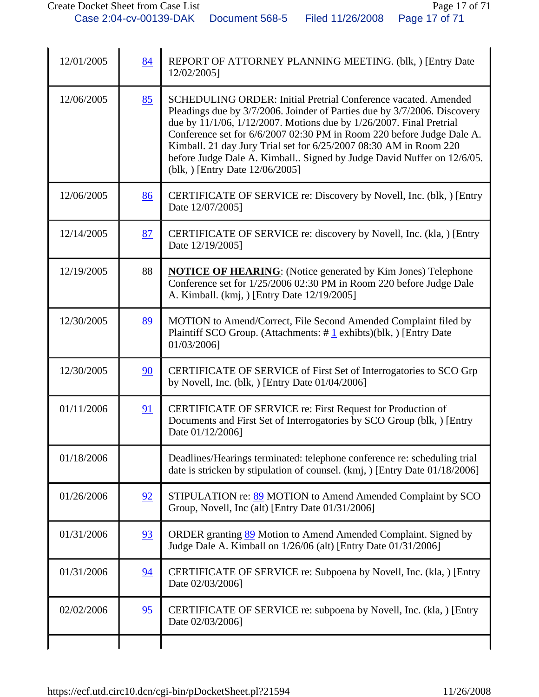| 12/01/2005 | 84 | REPORT OF ATTORNEY PLANNING MEETING. (blk.) [Entry Date<br>12/02/2005]                                                                                                                                                                                                                                                                                                                                                                                                             |
|------------|----|------------------------------------------------------------------------------------------------------------------------------------------------------------------------------------------------------------------------------------------------------------------------------------------------------------------------------------------------------------------------------------------------------------------------------------------------------------------------------------|
| 12/06/2005 | 85 | <b>SCHEDULING ORDER: Initial Pretrial Conference vacated. Amended</b><br>Pleadings due by 3/7/2006. Joinder of Parties due by 3/7/2006. Discovery<br>due by 11/1/06, 1/12/2007. Motions due by 1/26/2007. Final Pretrial<br>Conference set for 6/6/2007 02:30 PM in Room 220 before Judge Dale A.<br>Kimball. 21 day Jury Trial set for 6/25/2007 08:30 AM in Room 220<br>before Judge Dale A. Kimball Signed by Judge David Nuffer on 12/6/05.<br>(blk, ) [Entry Date 12/06/2005] |
| 12/06/2005 | 86 | CERTIFICATE OF SERVICE re: Discovery by Novell, Inc. (blk, ) [Entry<br>Date 12/07/2005]                                                                                                                                                                                                                                                                                                                                                                                            |
| 12/14/2005 | 87 | CERTIFICATE OF SERVICE re: discovery by Novell, Inc. (kla.) [Entry<br>Date 12/19/20051                                                                                                                                                                                                                                                                                                                                                                                             |
| 12/19/2005 | 88 | <b>NOTICE OF HEARING:</b> (Notice generated by Kim Jones) Telephone<br>Conference set for 1/25/2006 02:30 PM in Room 220 before Judge Dale<br>A. Kimball. (kmj, ) [Entry Date 12/19/2005]                                                                                                                                                                                                                                                                                          |
| 12/30/2005 | 89 | MOTION to Amend/Correct, File Second Amended Complaint filed by<br>Plaintiff SCO Group. (Attachments: $\#$ 1 exhibts)(blk, ) [Entry Date<br>01/03/2006]                                                                                                                                                                                                                                                                                                                            |
| 12/30/2005 | 90 | CERTIFICATE OF SERVICE of First Set of Interrogatories to SCO Grp<br>by Novell, Inc. (blk, ) [Entry Date $01/04/2006$ ]                                                                                                                                                                                                                                                                                                                                                            |
| 01/11/2006 | 91 | CERTIFICATE OF SERVICE re: First Request for Production of<br>Documents and First Set of Interrogatories by SCO Group (blk, ) [Entry<br>Date 01/12/2006]                                                                                                                                                                                                                                                                                                                           |
| 01/18/2006 |    | Deadlines/Hearings terminated: telephone conference re: scheduling trial<br>date is stricken by stipulation of counsel. (kmj, ) [Entry Date 01/18/2006]                                                                                                                                                                                                                                                                                                                            |
| 01/26/2006 | 92 | STIPULATION re: 89 MOTION to Amend Amended Complaint by SCO<br>Group, Novell, Inc (alt) [Entry Date 01/31/2006]                                                                                                                                                                                                                                                                                                                                                                    |
| 01/31/2006 | 93 | ORDER granting 89 Motion to Amend Amended Complaint. Signed by<br>Judge Dale A. Kimball on 1/26/06 (alt) [Entry Date 01/31/2006]                                                                                                                                                                                                                                                                                                                                                   |
| 01/31/2006 | 94 | CERTIFICATE OF SERVICE re: Subpoena by Novell, Inc. (kla, ) [Entry<br>Date 02/03/2006]                                                                                                                                                                                                                                                                                                                                                                                             |
| 02/02/2006 | 95 | CERTIFICATE OF SERVICE re: subpoena by Novell, Inc. (kla, ) [Entry<br>Date 02/03/2006]                                                                                                                                                                                                                                                                                                                                                                                             |
|            |    |                                                                                                                                                                                                                                                                                                                                                                                                                                                                                    |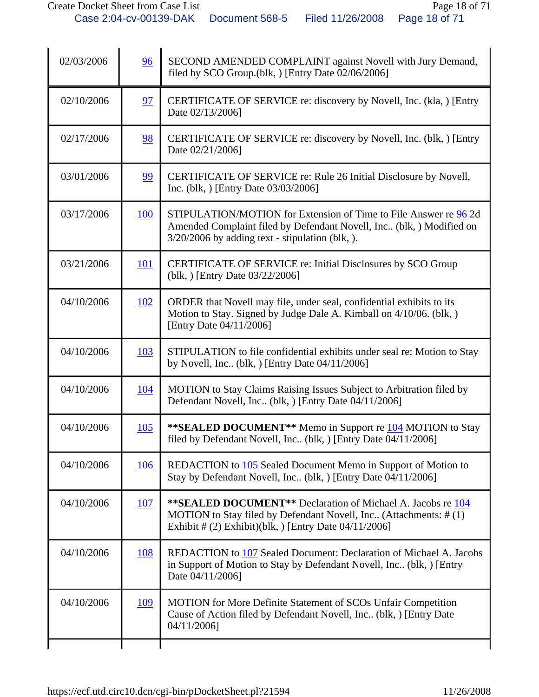| 02/03/2006 | 96         | SECOND AMENDED COMPLAINT against Novell with Jury Demand,<br>filed by SCO Group.(blk, ) [Entry Date 02/06/2006]                                                                                      |
|------------|------------|------------------------------------------------------------------------------------------------------------------------------------------------------------------------------------------------------|
| 02/10/2006 | 97         | CERTIFICATE OF SERVICE re: discovery by Novell, Inc. (kla, ) [Entry<br>Date 02/13/2006]                                                                                                              |
| 02/17/2006 | 98         | CERTIFICATE OF SERVICE re: discovery by Novell, Inc. (blk, ) [Entry<br>Date 02/21/2006]                                                                                                              |
| 03/01/2006 | 99         | CERTIFICATE OF SERVICE re: Rule 26 Initial Disclosure by Novell,<br>Inc. (blk, ) [Entry Date 03/03/2006]                                                                                             |
| 03/17/2006 | 100        | STIPULATION/MOTION for Extension of Time to File Answer re 96 2d<br>Amended Complaint filed by Defendant Novell, Inc. (blk, ) Modified on<br>$3/20/2006$ by adding text - stipulation (blk, ).       |
| 03/21/2006 | <u>101</u> | CERTIFICATE OF SERVICE re: Initial Disclosures by SCO Group<br>(blk, ) [Entry Date 03/22/2006]                                                                                                       |
| 04/10/2006 | <u>102</u> | ORDER that Novell may file, under seal, confidential exhibits to its<br>Motion to Stay. Signed by Judge Dale A. Kimball on 4/10/06. (blk, )<br>[Entry Date 04/11/2006]                               |
| 04/10/2006 | 103        | STIPULATION to file confidential exhibits under seal re: Motion to Stay<br>by Novell, Inc. (blk, ) [Entry Date $04/11/2006$ ]                                                                        |
| 04/10/2006 | <u>104</u> | MOTION to Stay Claims Raising Issues Subject to Arbitration filed by<br>Defendant Novell, Inc. (blk, ) [Entry Date 04/11/2006]                                                                       |
| 04/10/2006 | <b>105</b> | <b>**SEALED DOCUMENT**</b> Memo in Support re <b>104</b> MOTION to Stay<br>filed by Defendant Novell, Inc (blk, ) [Entry Date 04/11/2006]                                                            |
| 04/10/2006 | 106        | REDACTION to 105 Sealed Document Memo in Support of Motion to<br>Stay by Defendant Novell, Inc (blk, ) [Entry Date 04/11/2006]                                                                       |
| 04/10/2006 | <b>107</b> | <b>**SEALED DOCUMENT**</b> Declaration of Michael A. Jacobs re 104<br>MOTION to Stay filed by Defendant Novell, Inc (Attachments: #(1)<br>Exhibit # $(2)$ Exhibit)(blk, ) [Entry Date $04/11/2006$ ] |
| 04/10/2006 | <u>108</u> | REDACTION to 107 Sealed Document: Declaration of Michael A. Jacobs<br>in Support of Motion to Stay by Defendant Novell, Inc. (blk, ) [Entry<br>Date 04/11/2006]                                      |
| 04/10/2006 | 109        | MOTION for More Definite Statement of SCOs Unfair Competition<br>Cause of Action filed by Defendant Novell, Inc., (blk, ) [Entry Date<br>04/11/2006]                                                 |
|            |            |                                                                                                                                                                                                      |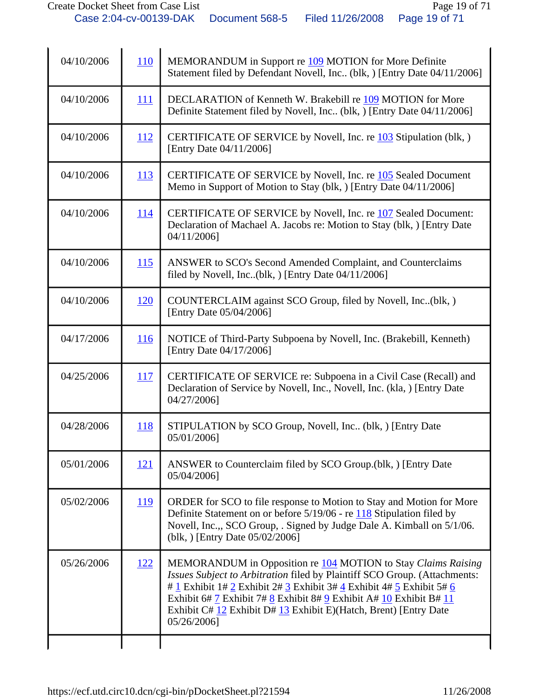| 04/10/2006 | <b>110</b> | MEMORANDUM in Support re 109 MOTION for More Definite<br>Statement filed by Defendant Novell, Inc (blk, ) [Entry Date 04/11/2006]                                                                                                                                                                                                                                           |
|------------|------------|-----------------------------------------------------------------------------------------------------------------------------------------------------------------------------------------------------------------------------------------------------------------------------------------------------------------------------------------------------------------------------|
| 04/10/2006 | 111        | DECLARATION of Kenneth W. Brakebill re 109 MOTION for More<br>Definite Statement filed by Novell, Inc (blk, ) [Entry Date 04/11/2006]                                                                                                                                                                                                                                       |
| 04/10/2006 | <u>112</u> | CERTIFICATE OF SERVICE by Novell, Inc. re 103 Stipulation (blk, )<br>[Entry Date 04/11/2006]                                                                                                                                                                                                                                                                                |
| 04/10/2006 | <b>113</b> | CERTIFICATE OF SERVICE by Novell, Inc. re 105 Sealed Document<br>Memo in Support of Motion to Stay (blk, ) [Entry Date 04/11/2006]                                                                                                                                                                                                                                          |
| 04/10/2006 | <u>114</u> | CERTIFICATE OF SERVICE by Novell, Inc. re 107 Sealed Document:<br>Declaration of Machael A. Jacobs re: Motion to Stay (blk, ) [Entry Date<br>04/11/2006]                                                                                                                                                                                                                    |
| 04/10/2006 | <u>115</u> | ANSWER to SCO's Second Amended Complaint, and Counterclaims<br>filed by Novell, Inc(blk, ) [Entry Date 04/11/2006]                                                                                                                                                                                                                                                          |
| 04/10/2006 | 120        | COUNTERCLAIM against SCO Group, filed by Novell, Inc(blk,)<br>[Entry Date 05/04/2006]                                                                                                                                                                                                                                                                                       |
| 04/17/2006 | 116        | NOTICE of Third-Party Subpoena by Novell, Inc. (Brakebill, Kenneth)<br>[Entry Date 04/17/2006]                                                                                                                                                                                                                                                                              |
| 04/25/2006 | <u>117</u> | CERTIFICATE OF SERVICE re: Subpoena in a Civil Case (Recall) and<br>Declaration of Service by Novell, Inc., Novell, Inc. (kla, ) [Entry Date<br>04/27/2006]                                                                                                                                                                                                                 |
| 04/28/2006 | <b>118</b> | STIPULATION by SCO Group, Novell, Inc. (blk, ) [Entry Date<br>05/01/2006]                                                                                                                                                                                                                                                                                                   |
| 05/01/2006 | <u>121</u> | ANSWER to Counterclaim filed by SCO Group.(blk, ) [Entry Date<br>05/04/2006]                                                                                                                                                                                                                                                                                                |
| 05/02/2006 | <u>119</u> | ORDER for SCO to file response to Motion to Stay and Motion for More<br>Definite Statement on or before $5/19/06$ - re $118$ Stipulation filed by<br>Novell, Inc.,, SCO Group, . Signed by Judge Dale A. Kimball on 5/1/06.<br>(blk, ) [Entry Date 05/02/2006]                                                                                                              |
| 05/26/2006 | <u>122</u> | MEMORANDUM in Opposition re 104 MOTION to Stay Claims Raising<br>Issues Subject to Arbitration filed by Plaintiff SCO Group. (Attachments:<br># 1 Exhibit 1# 2 Exhibit 2# 3 Exhibit 3# 4 Exhibit 4# 5 Exhibit 5# 6<br>Exhibit 6# 7 Exhibit 7# 8 Exhibit 8# 9 Exhibit A# 10 Exhibit B# 11<br>Exhibit C# 12 Exhibit D# 13 Exhibit E)(Hatch, Brent) [Entry Date<br>05/26/2006] |
|            |            |                                                                                                                                                                                                                                                                                                                                                                             |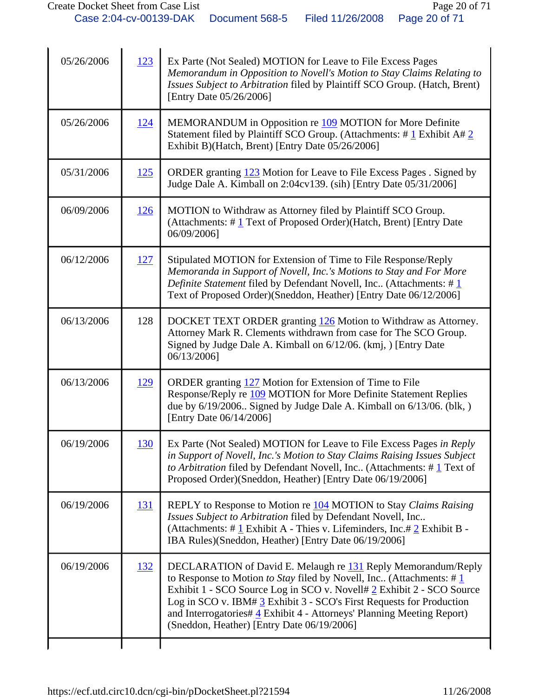| 05/26/2006 | 123         | Ex Parte (Not Sealed) MOTION for Leave to File Excess Pages<br>Memorandum in Opposition to Novell's Motion to Stay Claims Relating to<br>Issues Subject to Arbitration filed by Plaintiff SCO Group. (Hatch, Brent)<br>[Entry Date 05/26/2006]                                                                                                                                                                               |
|------------|-------------|------------------------------------------------------------------------------------------------------------------------------------------------------------------------------------------------------------------------------------------------------------------------------------------------------------------------------------------------------------------------------------------------------------------------------|
| 05/26/2006 | <u> 124</u> | MEMORANDUM in Opposition re 109 MOTION for More Definite<br>Statement filed by Plaintiff SCO Group. (Attachments: $\# \underline{1}$ Exhibit A $\# \underline{2}$<br>Exhibit B)(Hatch, Brent) [Entry Date 05/26/2006]                                                                                                                                                                                                        |
| 05/31/2006 | <u>125</u>  | ORDER granting 123 Motion for Leave to File Excess Pages . Signed by<br>Judge Dale A. Kimball on 2:04cv139. (sih) [Entry Date 05/31/2006]                                                                                                                                                                                                                                                                                    |
| 06/09/2006 | <u>126</u>  | MOTION to Withdraw as Attorney filed by Plaintiff SCO Group.<br>(Attachments: $\#$ 1 Text of Proposed Order)(Hatch, Brent) [Entry Date<br>06/09/2006]                                                                                                                                                                                                                                                                        |
| 06/12/2006 | <u>127</u>  | Stipulated MOTION for Extension of Time to File Response/Reply<br>Memoranda in Support of Novell, Inc.'s Motions to Stay and For More<br>Definite Statement filed by Defendant Novell, Inc (Attachments: # $1$<br>Text of Proposed Order)(Sneddon, Heather) [Entry Date 06/12/2006]                                                                                                                                          |
| 06/13/2006 | 128         | DOCKET TEXT ORDER granting 126 Motion to Withdraw as Attorney.<br>Attorney Mark R. Clements withdrawn from case for The SCO Group.<br>Signed by Judge Dale A. Kimball on 6/12/06. (kmj, ) [Entry Date<br>06/13/2006]                                                                                                                                                                                                         |
| 06/13/2006 | <u>129</u>  | ORDER granting 127 Motion for Extension of Time to File<br>Response/Reply re 109 MOTION for More Definite Statement Replies<br>due by $6/19/2006$ . Signed by Judge Dale A. Kimball on $6/13/06$ . (blk, )<br>[Entry Date 06/14/2006]                                                                                                                                                                                        |
| 06/19/2006 | <u>130</u>  | Ex Parte (Not Sealed) MOTION for Leave to File Excess Pages in Reply<br>in Support of Novell, Inc.'s Motion to Stay Claims Raising Issues Subject<br>to Arbitration filed by Defendant Novell, Inc (Attachments: #1 Text of<br>Proposed Order)(Sneddon, Heather) [Entry Date 06/19/2006]                                                                                                                                     |
| 06/19/2006 | <u>131</u>  | REPLY to Response to Motion re 104 MOTION to Stay Claims Raising<br>Issues Subject to Arbitration filed by Defendant Novell, Inc<br>(Attachments: # $1$ Exhibit A - Thies v. Lifeminders, Inc.# $2$ Exhibit B -<br>IBA Rules)(Sneddon, Heather) [Entry Date 06/19/2006]                                                                                                                                                      |
| 06/19/2006 | <u>132</u>  | DECLARATION of David E. Melaugh re 131 Reply Memorandum/Reply<br>to Response to Motion to Stay filed by Novell, Inc (Attachments: $\#\underline{1}$<br>Exhibit 1 - SCO Source Log in SCO v. Novell# 2 Exhibit 2 - SCO Source<br>Log in SCO v. IBM# 3 Exhibit 3 - SCO's First Requests for Production<br>and Interrogatories# 4 Exhibit 4 - Attorneys' Planning Meeting Report)<br>(Sneddon, Heather) [Entry Date 06/19/2006] |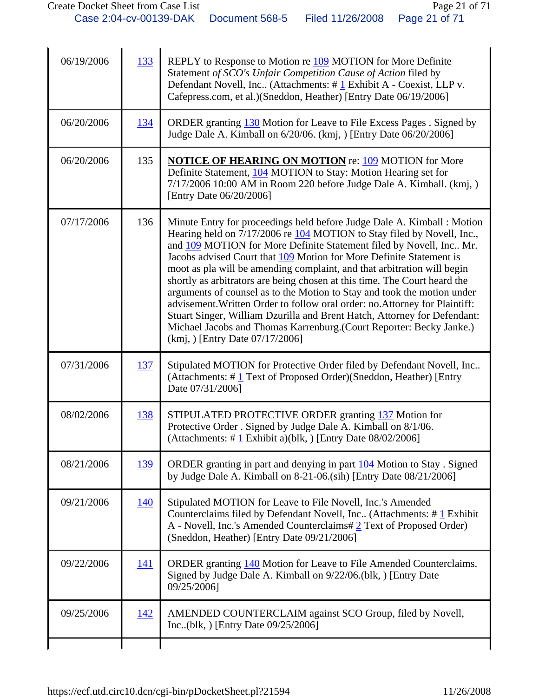| 06/19/2006 | 133        | REPLY to Response to Motion re 109 MOTION for More Definite<br>Statement of SCO's Unfair Competition Cause of Action filed by<br>Defendant Novell, Inc (Attachments: #1 Exhibit A - Coexist, LLP v.<br>Cafepress.com, et al.)(Sneddon, Heather) [Entry Date 06/19/2006]                                                                                                                                                                                                                                                                                                                                                                                                                                                                                                                                 |
|------------|------------|---------------------------------------------------------------------------------------------------------------------------------------------------------------------------------------------------------------------------------------------------------------------------------------------------------------------------------------------------------------------------------------------------------------------------------------------------------------------------------------------------------------------------------------------------------------------------------------------------------------------------------------------------------------------------------------------------------------------------------------------------------------------------------------------------------|
| 06/20/2006 | <u>134</u> | ORDER granting 130 Motion for Leave to File Excess Pages . Signed by<br>Judge Dale A. Kimball on 6/20/06. (kmj, ) [Entry Date 06/20/2006]                                                                                                                                                                                                                                                                                                                                                                                                                                                                                                                                                                                                                                                               |
| 06/20/2006 | 135        | <b>NOTICE OF HEARING ON MOTION re: 109 MOTION for More</b><br>Definite Statement, 104 MOTION to Stay: Motion Hearing set for<br>7/17/2006 10:00 AM in Room 220 before Judge Dale A. Kimball. (kmj, )<br>[Entry Date 06/20/2006]                                                                                                                                                                                                                                                                                                                                                                                                                                                                                                                                                                         |
| 07/17/2006 | 136        | Minute Entry for proceedings held before Judge Dale A. Kimball : Motion<br>Hearing held on 7/17/2006 re 104 MOTION to Stay filed by Novell, Inc.,<br>and 109 MOTION for More Definite Statement filed by Novell, Inc Mr.<br>Jacobs advised Court that 109 Motion for More Definite Statement is<br>moot as pla will be amending complaint, and that arbitration will begin<br>shortly as arbitrators are being chosen at this time. The Court heard the<br>arguments of counsel as to the Motion to Stay and took the motion under<br>advisement. Written Order to follow oral order: no. Attorney for Plaintiff:<br>Stuart Singer, William Dzurilla and Brent Hatch, Attorney for Defendant:<br>Michael Jacobs and Thomas Karrenburg.(Court Reporter: Becky Janke.)<br>(kmj, ) [Entry Date 07/17/2006] |
| 07/31/2006 | 137        | Stipulated MOTION for Protective Order filed by Defendant Novell, Inc<br>(Attachments: #1 Text of Proposed Order)(Sneddon, Heather) [Entry<br>Date 07/31/2006]                                                                                                                                                                                                                                                                                                                                                                                                                                                                                                                                                                                                                                          |
| 08/02/2006 | 138        | STIPULATED PROTECTIVE ORDER granting 137 Motion for<br>Protective Order . Signed by Judge Dale A. Kimball on 8/1/06.<br>(Attachments: $\#$ 1 Exhibit a)(blk, ) [Entry Date 08/02/2006]                                                                                                                                                                                                                                                                                                                                                                                                                                                                                                                                                                                                                  |
| 08/21/2006 | 139        | ORDER granting in part and denying in part 104 Motion to Stay. Signed<br>by Judge Dale A. Kimball on $8-21-06$ . (sih) [Entry Date $08/21/2006$ ]                                                                                                                                                                                                                                                                                                                                                                                                                                                                                                                                                                                                                                                       |
| 09/21/2006 | 140        | Stipulated MOTION for Leave to File Novell, Inc.'s Amended<br>Counterclaims filed by Defendant Novell, Inc (Attachments: $\# \underline{1}$ Exhibit<br>A - Novell, Inc.'s Amended Counterclaims# 2 Text of Proposed Order)<br>(Sneddon, Heather) [Entry Date 09/21/2006]                                                                                                                                                                                                                                                                                                                                                                                                                                                                                                                                |
| 09/22/2006 | <u>141</u> | ORDER granting 140 Motion for Leave to File Amended Counterclaims.<br>Signed by Judge Dale A. Kimball on 9/22/06.(blk, ) [Entry Date<br>09/25/2006]                                                                                                                                                                                                                                                                                                                                                                                                                                                                                                                                                                                                                                                     |
| 09/25/2006 | <u>142</u> | AMENDED COUNTERCLAIM against SCO Group, filed by Novell,<br>Inc(blk, ) [Entry Date $09/25/2006$ ]                                                                                                                                                                                                                                                                                                                                                                                                                                                                                                                                                                                                                                                                                                       |
|            |            |                                                                                                                                                                                                                                                                                                                                                                                                                                                                                                                                                                                                                                                                                                                                                                                                         |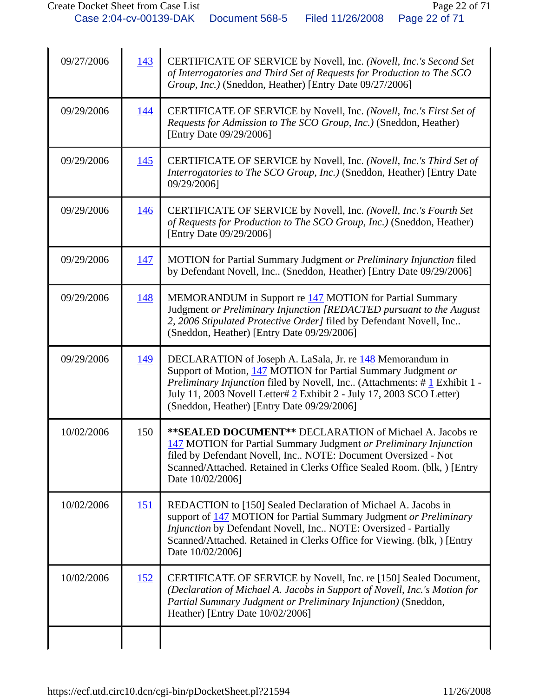| 09/27/2006 | 143        | CERTIFICATE OF SERVICE by Novell, Inc. (Novell, Inc.'s Second Set<br>of Interrogatories and Third Set of Requests for Production to The SCO<br>Group, Inc.) (Sneddon, Heather) [Entry Date 09/27/2006]                                                                                                                       |
|------------|------------|------------------------------------------------------------------------------------------------------------------------------------------------------------------------------------------------------------------------------------------------------------------------------------------------------------------------------|
| 09/29/2006 | 144        | CERTIFICATE OF SERVICE by Novell, Inc. (Novell, Inc.'s First Set of<br>Requests for Admission to The SCO Group, Inc.) (Sneddon, Heather)<br>[Entry Date 09/29/2006]                                                                                                                                                          |
| 09/29/2006 | 145        | CERTIFICATE OF SERVICE by Novell, Inc. (Novell, Inc.'s Third Set of<br>Interrogatories to The SCO Group, Inc.) (Sneddon, Heather) [Entry Date<br>09/29/2006]                                                                                                                                                                 |
| 09/29/2006 | <u>146</u> | CERTIFICATE OF SERVICE by Novell, Inc. (Novell, Inc.'s Fourth Set<br>of Requests for Production to The SCO Group, Inc.) (Sneddon, Heather)<br>[Entry Date 09/29/2006]                                                                                                                                                        |
| 09/29/2006 | <u>147</u> | MOTION for Partial Summary Judgment or Preliminary Injunction filed<br>by Defendant Novell, Inc (Sneddon, Heather) [Entry Date 09/29/2006]                                                                                                                                                                                   |
| 09/29/2006 | 148        | MEMORANDUM in Support re 147 MOTION for Partial Summary<br>Judgment or Preliminary Injunction [REDACTED pursuant to the August<br>2, 2006 Stipulated Protective Order] filed by Defendant Novell, Inc<br>(Sneddon, Heather) [Entry Date 09/29/2006]                                                                          |
| 09/29/2006 | 149        | DECLARATION of Joseph A. LaSala, Jr. re 148 Memorandum in<br>Support of Motion, 147 MOTION for Partial Summary Judgment or<br>Preliminary Injunction filed by Novell, Inc (Attachments: #1 Exhibit 1 -<br>July 11, 2003 Novell Letter# 2 Exhibit 2 - July 17, 2003 SCO Letter)<br>(Sneddon, Heather) [Entry Date 09/29/2006] |
| 10/02/2006 | 150        | **SEALED DOCUMENT** DECLARATION of Michael A. Jacobs re<br>147 MOTION for Partial Summary Judgment or Preliminary Injunction<br>filed by Defendant Novell, Inc NOTE: Document Oversized - Not<br>Scanned/Attached. Retained in Clerks Office Sealed Room. (blk, ) [Entry<br>Date 10/02/2006]                                 |
| 10/02/2006 | <u>151</u> | REDACTION to [150] Sealed Declaration of Michael A. Jacobs in<br>support of 147 MOTION for Partial Summary Judgment or Preliminary<br>Injunction by Defendant Novell, Inc NOTE: Oversized - Partially<br>Scanned/Attached. Retained in Clerks Office for Viewing. (blk, ) [Entry<br>Date 10/02/2006]                         |
| 10/02/2006 | <u>152</u> | CERTIFICATE OF SERVICE by Novell, Inc. re [150] Sealed Document,<br>(Declaration of Michael A. Jacobs in Support of Novell, Inc.'s Motion for<br>Partial Summary Judgment or Preliminary Injunction) (Sneddon,<br>Heather) [Entry Date 10/02/2006]                                                                           |
|            |            |                                                                                                                                                                                                                                                                                                                              |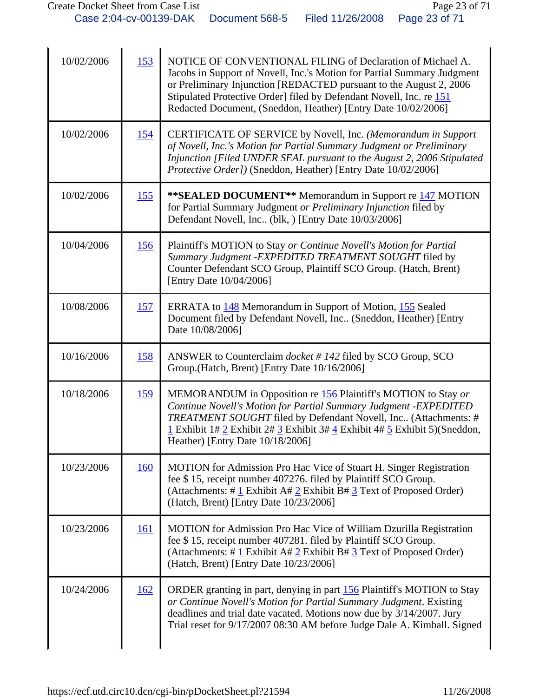| 10/02/2006 | 153        | NOTICE OF CONVENTIONAL FILING of Declaration of Michael A.<br>Jacobs in Support of Novell, Inc.'s Motion for Partial Summary Judgment<br>or Preliminary Injunction [REDACTED pursuant to the August 2, 2006<br>Stipulated Protective Order] filed by Defendant Novell, Inc. re 151<br>Redacted Document, (Sneddon, Heather) [Entry Date 10/02/2006] |
|------------|------------|-----------------------------------------------------------------------------------------------------------------------------------------------------------------------------------------------------------------------------------------------------------------------------------------------------------------------------------------------------|
| 10/02/2006 | <u>154</u> | CERTIFICATE OF SERVICE by Novell, Inc. (Memorandum in Support<br>of Novell, Inc.'s Motion for Partial Summary Judgment or Preliminary<br>Injunction [Filed UNDER SEAL pursuant to the August 2, 2006 Stipulated<br>Protective Order]) (Sneddon, Heather) [Entry Date 10/02/2006]                                                                    |
| 10/02/2006 | <u>155</u> | **SEALED DOCUMENT** Memorandum in Support re 147 MOTION<br>for Partial Summary Judgment or Preliminary Injunction filed by<br>Defendant Novell, Inc. (blk, ) [Entry Date 10/03/2006]                                                                                                                                                                |
| 10/04/2006 | <u>156</u> | Plaintiff's MOTION to Stay or Continue Novell's Motion for Partial<br>Summary Judgment - EXPEDITED TREATMENT SOUGHT filed by<br>Counter Defendant SCO Group, Plaintiff SCO Group. (Hatch, Brent)<br>[Entry Date 10/04/2006]                                                                                                                         |
| 10/08/2006 | <u>157</u> | ERRATA to 148 Memorandum in Support of Motion, 155 Sealed<br>Document filed by Defendant Novell, Inc (Sneddon, Heather) [Entry<br>Date 10/08/2006]                                                                                                                                                                                                  |
| 10/16/2006 | <u>158</u> | ANSWER to Counterclaim <i>docket</i> #142 filed by SCO Group, SCO<br>Group.(Hatch, Brent) [Entry Date 10/16/2006]                                                                                                                                                                                                                                   |
| 10/18/2006 | <u>159</u> | MEMORANDUM in Opposition re 156 Plaintiff's MOTION to Stay or<br>Continue Novell's Motion for Partial Summary Judgment - EXPEDITED<br>TREATMENT SOUGHT filed by Defendant Novell, Inc (Attachments: #<br>1 Exhibit 1# 2 Exhibit 2# 3 Exhibit 3# $\frac{4}{3}$ Exhibit 4# 5 Exhibit 5)(Sneddon,<br>Heather) [Entry Date 10/18/2006]                  |
| 10/23/2006 | <u>160</u> | MOTION for Admission Pro Hac Vice of Stuart H. Singer Registration<br>fee \$15, receipt number 407276. filed by Plaintiff SCO Group.<br>(Attachments: # $1$ Exhibit A# 2 Exhibit B# 3 Text of Proposed Order)<br>(Hatch, Brent) [Entry Date 10/23/2006]                                                                                             |
| 10/23/2006 | <u>161</u> | <b>MOTION</b> for Admission Pro Hac Vice of William Dzurilla Registration<br>fee \$15, receipt number 407281. filed by Plaintiff SCO Group.<br>(Attachments: # $\underline{1}$ Exhibit A# $\underline{2}$ Exhibit B# $\underline{3}$ Text of Proposed Order)<br>(Hatch, Brent) [Entry Date 10/23/2006]                                              |
| 10/24/2006 | 162        | ORDER granting in part, denying in part 156 Plaintiff's MOTION to Stay<br>or Continue Novell's Motion for Partial Summary Judgment. Existing<br>deadlines and trial date vacated. Motions now due by 3/14/2007. Jury<br>Trial reset for 9/17/2007 08:30 AM before Judge Dale A. Kimball. Signed                                                     |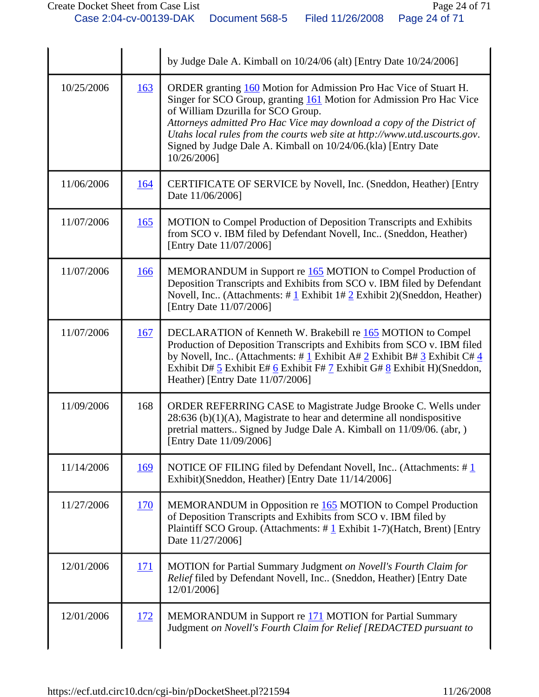|            |             | by Judge Dale A. Kimball on 10/24/06 (alt) [Entry Date 10/24/2006]                                                                                                                                                                                                                                                                                                                                                      |
|------------|-------------|-------------------------------------------------------------------------------------------------------------------------------------------------------------------------------------------------------------------------------------------------------------------------------------------------------------------------------------------------------------------------------------------------------------------------|
| 10/25/2006 | 163         | ORDER granting 160 Motion for Admission Pro Hac Vice of Stuart H.<br>Singer for SCO Group, granting 161 Motion for Admission Pro Hac Vice<br>of William Dzurilla for SCO Group.<br>Attorneys admitted Pro Hac Vice may download a copy of the District of<br>Utahs local rules from the courts web site at http://www.utd.uscourts.gov.<br>Signed by Judge Dale A. Kimball on 10/24/06.(kla) [Entry Date<br>10/26/2006] |
| 11/06/2006 | <u>164</u>  | CERTIFICATE OF SERVICE by Novell, Inc. (Sneddon, Heather) [Entry<br>Date 11/06/2006]                                                                                                                                                                                                                                                                                                                                    |
| 11/07/2006 | 165         | MOTION to Compel Production of Deposition Transcripts and Exhibits<br>from SCO v. IBM filed by Defendant Novell, Inc (Sneddon, Heather)<br>[Entry Date 11/07/2006]                                                                                                                                                                                                                                                      |
| 11/07/2006 | <b>166</b>  | MEMORANDUM in Support re 165 MOTION to Compel Production of<br>Deposition Transcripts and Exhibits from SCO v. IBM filed by Defendant<br>Novell, Inc (Attachments: $\#$ 1 Exhibit 1# 2 Exhibit 2)(Sneddon, Heather)<br>[Entry Date 11/07/2006]                                                                                                                                                                          |
| 11/07/2006 | <u>167</u>  | DECLARATION of Kenneth W. Brakebill re 165 MOTION to Compel<br>Production of Deposition Transcripts and Exhibits from SCO v. IBM filed<br>by Novell, Inc. (Attachments: # $1$ Exhibit A# $2$ Exhibit B# $3$ Exhibit C# $4$<br>Exhibit D# $\frac{5}{5}$ Exhibit E# $\frac{6}{5}$ Exhibit F# $\frac{7}{5}$ Exhibit G# $\frac{8}{5}$ Exhibit H)(Sneddon,<br>Heather) [Entry Date 11/07/2006]                               |
| 11/09/2006 | 168         | ORDER REFERRING CASE to Magistrate Judge Brooke C. Wells under<br>$28:636$ (b)(1)(A), Magistrate to hear and determine all nondispositive<br>pretrial matters Signed by Judge Dale A. Kimball on 11/09/06. (abr, )<br>[Entry Date 11/09/2006]                                                                                                                                                                           |
| 11/14/2006 | <u>169</u>  | NOTICE OF FILING filed by Defendant Novell, Inc (Attachments: $\#$ 1<br>Exhibit)(Sneddon, Heather) [Entry Date 11/14/2006]                                                                                                                                                                                                                                                                                              |
| 11/27/2006 | <u>170</u>  | MEMORANDUM in Opposition re 165 MOTION to Compel Production<br>of Deposition Transcripts and Exhibits from SCO v. IBM filed by<br>Plaintiff SCO Group. (Attachments: #1 Exhibit 1-7)(Hatch, Brent) [Entry<br>Date 11/27/2006]                                                                                                                                                                                           |
| 12/01/2006 | <u> 171</u> | MOTION for Partial Summary Judgment on Novell's Fourth Claim for<br>Relief filed by Defendant Novell, Inc (Sneddon, Heather) [Entry Date<br>12/01/2006]                                                                                                                                                                                                                                                                 |
| 12/01/2006 | <u>172</u>  | MEMORANDUM in Support re 171 MOTION for Partial Summary<br>Judgment on Novell's Fourth Claim for Relief [REDACTED pursuant to                                                                                                                                                                                                                                                                                           |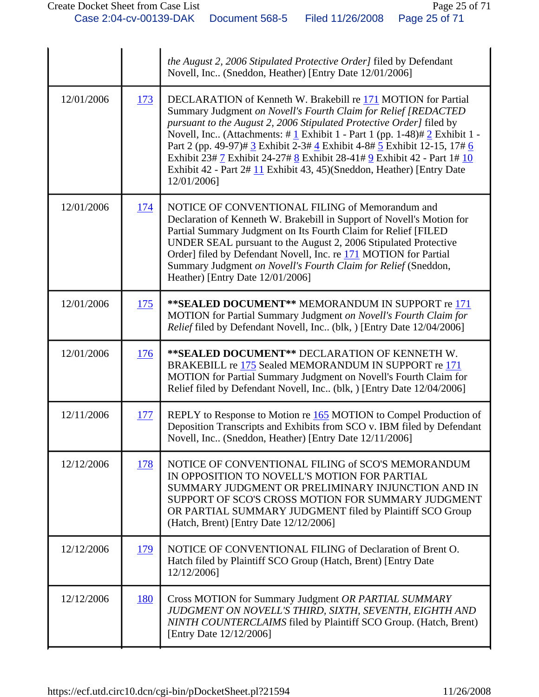|            |            | the August 2, 2006 Stipulated Protective Order] filed by Defendant<br>Novell, Inc (Sneddon, Heather) [Entry Date 12/01/2006]                                                                                                                                                                                                                                                                                                                                                                                                                                        |
|------------|------------|---------------------------------------------------------------------------------------------------------------------------------------------------------------------------------------------------------------------------------------------------------------------------------------------------------------------------------------------------------------------------------------------------------------------------------------------------------------------------------------------------------------------------------------------------------------------|
| 12/01/2006 | 173        | DECLARATION of Kenneth W. Brakebill re 171 MOTION for Partial<br>Summary Judgment on Novell's Fourth Claim for Relief [REDACTED<br>pursuant to the August 2, 2006 Stipulated Protective Order] filed by<br>Novell, Inc (Attachments: $\# \underline{1}$ Exhibit 1 - Part 1 (pp. 1-48) $\# \underline{2}$ Exhibit 1 -<br>Part 2 (pp. 49-97)# 3 Exhibit 2-3# 4 Exhibit 4-8# 5 Exhibit 12-15, 17# 6<br>Exhibit 23# 7 Exhibit 24-27# 8 Exhibit 28-41# 9 Exhibit 42 - Part 1# 10<br>Exhibit 42 - Part 2# 11 Exhibit 43, 45)(Sneddon, Heather) [Entry Date<br>12/01/2006] |
| 12/01/2006 | <u>174</u> | NOTICE OF CONVENTIONAL FILING of Memorandum and<br>Declaration of Kenneth W. Brakebill in Support of Novell's Motion for<br>Partial Summary Judgment on Its Fourth Claim for Relief [FILED<br>UNDER SEAL pursuant to the August 2, 2006 Stipulated Protective<br>Order] filed by Defendant Novell, Inc. re 171 MOTION for Partial<br>Summary Judgment on Novell's Fourth Claim for Relief (Sneddon,<br>Heather) [Entry Date 12/01/2006]                                                                                                                             |
| 12/01/2006 | 175        | ** SEALED DOCUMENT** MEMORANDUM IN SUPPORT re 171<br>MOTION for Partial Summary Judgment on Novell's Fourth Claim for<br>Relief filed by Defendant Novell, Inc (blk, ) [Entry Date 12/04/2006]                                                                                                                                                                                                                                                                                                                                                                      |
| 12/01/2006 | 176        | ** SEALED DOCUMENT** DECLARATION OF KENNETH W.<br>BRAKEBILL re 175 Sealed MEMORANDUM IN SUPPORT re 171<br>MOTION for Partial Summary Judgment on Novell's Fourth Claim for<br>Relief filed by Defendant Novell, Inc., (blk, ) [Entry Date 12/04/2006]                                                                                                                                                                                                                                                                                                               |
| 12/11/2006 | <u>177</u> | REPLY to Response to Motion re 165 MOTION to Compel Production of<br>Deposition Transcripts and Exhibits from SCO v. IBM filed by Defendant<br>Novell, Inc (Sneddon, Heather) [Entry Date 12/11/2006]                                                                                                                                                                                                                                                                                                                                                               |
| 12/12/2006 | 178        | NOTICE OF CONVENTIONAL FILING of SCO'S MEMORANDUM<br>IN OPPOSITION TO NOVELL'S MOTION FOR PARTIAL<br>SUMMARY JUDGMENT OR PRELIMINARY INJUNCTION AND IN<br>SUPPORT OF SCO'S CROSS MOTION FOR SUMMARY JUDGMENT<br>OR PARTIAL SUMMARY JUDGMENT filed by Plaintiff SCO Group<br>(Hatch, Brent) [Entry Date 12/12/2006]                                                                                                                                                                                                                                                  |
| 12/12/2006 | 179        | NOTICE OF CONVENTIONAL FILING of Declaration of Brent O.<br>Hatch filed by Plaintiff SCO Group (Hatch, Brent) [Entry Date<br>12/12/2006]                                                                                                                                                                                                                                                                                                                                                                                                                            |
| 12/12/2006 | 180        | Cross MOTION for Summary Judgment OR PARTIAL SUMMARY<br>JUDGMENT ON NOVELL'S THIRD, SIXTH, SEVENTH, EIGHTH AND<br>NINTH COUNTERCLAIMS filed by Plaintiff SCO Group. (Hatch, Brent)<br>[Entry Date 12/12/2006]                                                                                                                                                                                                                                                                                                                                                       |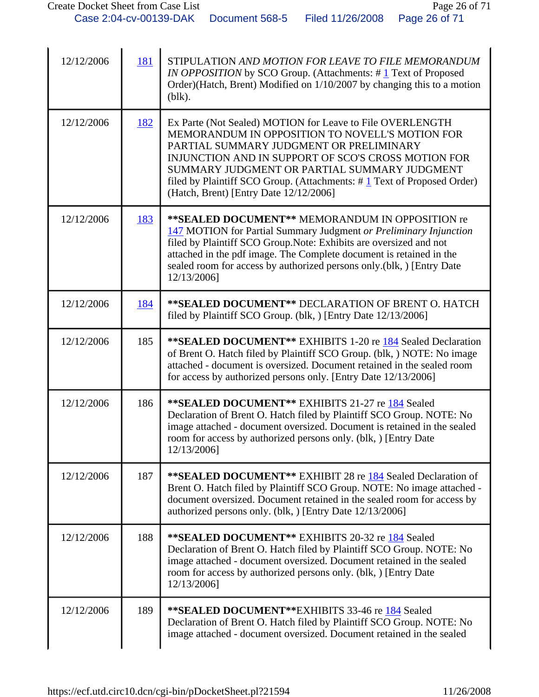| 12/12/2006 | 181 | STIPULATION AND MOTION FOR LEAVE TO FILE MEMORANDUM<br><i>IN OPPOSITION</i> by SCO Group. (Attachments: #1 Text of Proposed<br>Order)(Hatch, Brent) Modified on 1/10/2007 by changing this to a motion<br>$(b$ lk $).$                                                                                                                                                                             |
|------------|-----|----------------------------------------------------------------------------------------------------------------------------------------------------------------------------------------------------------------------------------------------------------------------------------------------------------------------------------------------------------------------------------------------------|
| 12/12/2006 | 182 | Ex Parte (Not Sealed) MOTION for Leave to File OVERLENGTH<br>MEMORANDUM IN OPPOSITION TO NOVELL'S MOTION FOR<br>PARTIAL SUMMARY JUDGMENT OR PRELIMINARY<br>INJUNCTION AND IN SUPPORT OF SCO'S CROSS MOTION FOR<br>SUMMARY JUDGMENT OR PARTIAL SUMMARY JUDGMENT<br>filed by Plaintiff SCO Group. (Attachments: $\# \underline{1}$ Text of Proposed Order)<br>(Hatch, Brent) [Entry Date 12/12/2006] |
| 12/12/2006 | 183 | ** SEALED DOCUMENT** MEMORANDUM IN OPPOSITION re<br>147 MOTION for Partial Summary Judgment or Preliminary Injunction<br>filed by Plaintiff SCO Group. Note: Exhibits are oversized and not<br>attached in the pdf image. The Complete document is retained in the<br>sealed room for access by authorized persons only.(blk, ) [Entry Date<br>12/13/2006]                                         |
| 12/12/2006 | 184 | <b>**SEALED DOCUMENT** DECLARATION OF BRENT O. HATCH</b><br>filed by Plaintiff SCO Group. (blk, ) [Entry Date 12/13/2006]                                                                                                                                                                                                                                                                          |
| 12/12/2006 | 185 | ** SEALED DOCUMENT** EXHIBITS 1-20 re 184 Sealed Declaration<br>of Brent O. Hatch filed by Plaintiff SCO Group. (blk, ) NOTE: No image<br>attached - document is oversized. Document retained in the sealed room<br>for access by authorized persons only. [Entry Date 12/13/2006]                                                                                                                 |
| 12/12/2006 | 186 | **SEALED DOCUMENT** EXHIBITS 21-27 re 184 Sealed<br>Declaration of Brent O. Hatch filed by Plaintiff SCO Group. NOTE: No<br>image attached - document oversized. Document is retained in the sealed<br>room for access by authorized persons only. (blk, ) [Entry Date<br>12/13/2006]                                                                                                              |
| 12/12/2006 | 187 | ** SEALED DOCUMENT** EXHIBIT 28 re 184 Sealed Declaration of<br>Brent O. Hatch filed by Plaintiff SCO Group. NOTE: No image attached -<br>document oversized. Document retained in the sealed room for access by<br>authorized persons only. (blk, ) [Entry Date 12/13/2006]                                                                                                                       |
| 12/12/2006 | 188 | **SEALED DOCUMENT** EXHIBITS 20-32 re 184 Sealed<br>Declaration of Brent O. Hatch filed by Plaintiff SCO Group. NOTE: No<br>image attached - document oversized. Document retained in the sealed<br>room for access by authorized persons only. (blk, ) [Entry Date<br>12/13/2006]                                                                                                                 |
| 12/12/2006 | 189 | ** SEALED DOCUMENT** EXHIBITS 33-46 re 184 Sealed<br>Declaration of Brent O. Hatch filed by Plaintiff SCO Group. NOTE: No<br>image attached - document oversized. Document retained in the sealed                                                                                                                                                                                                  |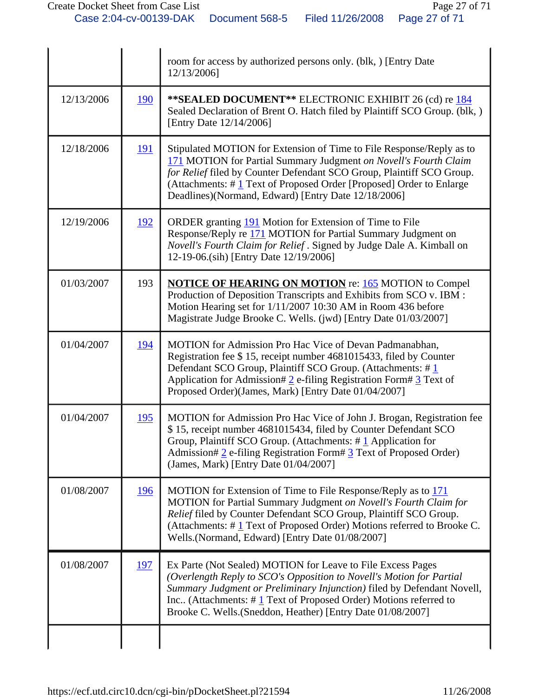|            |            | room for access by authorized persons only. (blk, ) [Entry Date<br>12/13/2006]                                                                                                                                                                                                                                                                       |
|------------|------------|------------------------------------------------------------------------------------------------------------------------------------------------------------------------------------------------------------------------------------------------------------------------------------------------------------------------------------------------------|
| 12/13/2006 | 190        | ** SEALED DOCUMENT** ELECTRONIC EXHIBIT 26 (cd) re 184<br>Sealed Declaration of Brent O. Hatch filed by Plaintiff SCO Group. (blk, )<br>[Entry Date 12/14/2006]                                                                                                                                                                                      |
| 12/18/2006 | <u>191</u> | Stipulated MOTION for Extension of Time to File Response/Reply as to<br>171 MOTION for Partial Summary Judgment on Novell's Fourth Claim<br>for Relief filed by Counter Defendant SCO Group, Plaintiff SCO Group.<br>(Attachments: $\#$ 1 Text of Proposed Order [Proposed] Order to Enlarge<br>Deadlines)(Normand, Edward) [Entry Date 12/18/2006]  |
| 12/19/2006 | <u>192</u> | ORDER granting 191 Motion for Extension of Time to File<br>Response/Reply re 171 MOTION for Partial Summary Judgment on<br>Novell's Fourth Claim for Relief . Signed by Judge Dale A. Kimball on<br>12-19-06.(sih) [Entry Date 12/19/2006]                                                                                                           |
| 01/03/2007 | 193        | <b>NOTICE OF HEARING ON MOTION</b> re: 165 MOTION to Compel<br>Production of Deposition Transcripts and Exhibits from SCO v. IBM :<br>Motion Hearing set for 1/11/2007 10:30 AM in Room 436 before<br>Magistrate Judge Brooke C. Wells. (jwd) [Entry Date 01/03/2007]                                                                                |
| 01/04/2007 | 194        | MOTION for Admission Pro Hac Vice of Devan Padmanabhan,<br>Registration fee \$15, receipt number 4681015433, filed by Counter<br>Defendant SCO Group, Plaintiff SCO Group. (Attachments: #1<br>Application for Admission# $2$ e-filing Registration Form# $3$ Text of<br>Proposed Order)(James, Mark) [Entry Date 01/04/2007]                        |
| 01/04/2007 | <u>195</u> | MOTION for Admission Pro Hac Vice of John J. Brogan, Registration fee<br>\$15, receipt number 4681015434, filed by Counter Defendant SCO<br>Group, Plaintiff SCO Group. (Attachments: $\# \underline{1}$ Application for<br>Admission# 2 e-filing Registration Form# 3 Text of Proposed Order)<br>(James, Mark) [Entry Date 01/04/2007]              |
| 01/08/2007 | <u>196</u> | MOTION for Extension of Time to File Response/Reply as to 171<br>MOTION for Partial Summary Judgment on Novell's Fourth Claim for<br>Relief filed by Counter Defendant SCO Group, Plaintiff SCO Group.<br>(Attachments: $\# \mathbf{1}$ Text of Proposed Order) Motions referred to Brooke C.<br>Wells.(Normand, Edward) [Entry Date 01/08/2007]     |
| 01/08/2007 | 197        | Ex Parte (Not Sealed) MOTION for Leave to File Excess Pages<br>(Overlength Reply to SCO's Opposition to Novell's Motion for Partial<br>Summary Judgment or Preliminary Injunction) filed by Defendant Novell,<br>Inc (Attachments: $\#$ 1 Text of Proposed Order) Motions referred to<br>Brooke C. Wells. (Sneddon, Heather) [Entry Date 01/08/2007] |
|            |            |                                                                                                                                                                                                                                                                                                                                                      |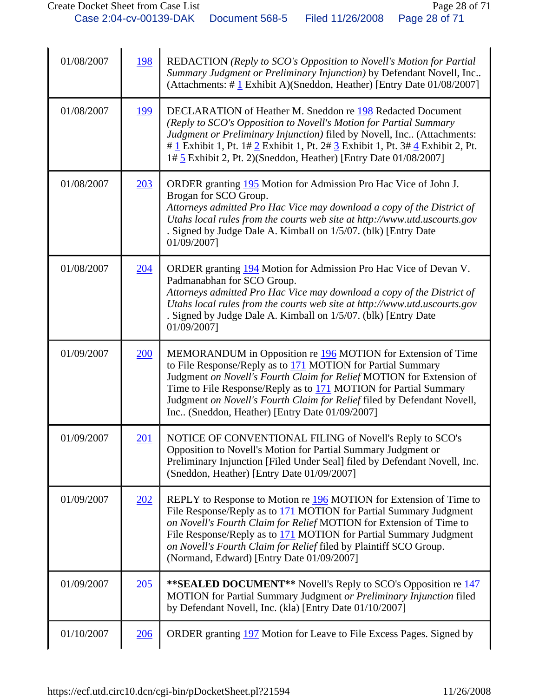| 01/08/2007 | 198 | REDACTION (Reply to SCO's Opposition to Novell's Motion for Partial<br>Summary Judgment or Preliminary Injunction) by Defendant Novell, Inc<br>(Attachments: $\#$ 1 Exhibit A)(Sneddon, Heather) [Entry Date 01/08/2007]                                                                                                                                                                               |
|------------|-----|--------------------------------------------------------------------------------------------------------------------------------------------------------------------------------------------------------------------------------------------------------------------------------------------------------------------------------------------------------------------------------------------------------|
| 01/08/2007 | 199 | DECLARATION of Heather M. Sneddon re 198 Redacted Document<br>(Reply to SCO's Opposition to Novell's Motion for Partial Summary<br>Judgment or Preliminary Injunction) filed by Novell, Inc (Attachments:<br># 1 Exhibit 1, Pt. 1# 2 Exhibit 1, Pt. 2# 3 Exhibit 1, Pt. 3# 4 Exhibit 2, Pt.<br>1# 5 Exhibit 2, Pt. 2) (Sneddon, Heather) [Entry Date 01/08/2007]                                       |
| 01/08/2007 | 203 | ORDER granting 195 Motion for Admission Pro Hac Vice of John J.<br>Brogan for SCO Group.<br>Attorneys admitted Pro Hac Vice may download a copy of the District of<br>Utahs local rules from the courts web site at http://www.utd.uscourts.gov<br>. Signed by Judge Dale A. Kimball on 1/5/07. (blk) [Entry Date<br>01/09/2007]                                                                       |
| 01/08/2007 | 204 | ORDER granting 194 Motion for Admission Pro Hac Vice of Devan V.<br>Padmanabhan for SCO Group.<br>Attorneys admitted Pro Hac Vice may download a copy of the District of<br>Utahs local rules from the courts web site at http://www.utd.uscourts.gov<br>. Signed by Judge Dale A. Kimball on 1/5/07. (blk) [Entry Date<br>01/09/2007]                                                                 |
| 01/09/2007 | 200 | MEMORANDUM in Opposition re 196 MOTION for Extension of Time<br>to File Response/Reply as to $171$ MOTION for Partial Summary<br>Judgment on Novell's Fourth Claim for Relief MOTION for Extension of<br>Time to File Response/Reply as to 171 MOTION for Partial Summary<br>Judgment on Novell's Fourth Claim for Relief filed by Defendant Novell,<br>Inc (Sneddon, Heather) [Entry Date 01/09/2007] |
| 01/09/2007 | 201 | NOTICE OF CONVENTIONAL FILING of Novell's Reply to SCO's<br>Opposition to Novell's Motion for Partial Summary Judgment or<br>Preliminary Injunction [Filed Under Seal] filed by Defendant Novell, Inc.<br>(Sneddon, Heather) [Entry Date 01/09/2007]                                                                                                                                                   |
| 01/09/2007 | 202 | REPLY to Response to Motion re 196 MOTION for Extension of Time to<br>File Response/Reply as to 171 MOTION for Partial Summary Judgment<br>on Novell's Fourth Claim for Relief MOTION for Extension of Time to<br>File Response/Reply as to 171 MOTION for Partial Summary Judgment<br>on Novell's Fourth Claim for Relief filed by Plaintiff SCO Group.<br>(Normand, Edward) [Entry Date 01/09/2007]  |
| 01/09/2007 | 205 | <b>**SEALED DOCUMENT**</b> Novell's Reply to SCO's Opposition re 147<br>MOTION for Partial Summary Judgment or Preliminary Injunction filed<br>by Defendant Novell, Inc. (kla) [Entry Date 01/10/2007]                                                                                                                                                                                                 |
| 01/10/2007 | 206 | ORDER granting 197 Motion for Leave to File Excess Pages. Signed by                                                                                                                                                                                                                                                                                                                                    |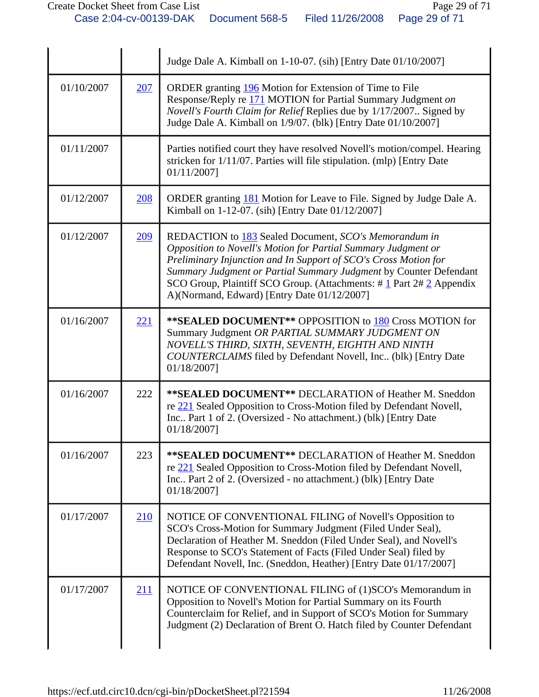|            |     | Judge Dale A. Kimball on 1-10-07. (sih) [Entry Date 01/10/2007]                                                                                                                                                                                                                                                                                                                              |
|------------|-----|----------------------------------------------------------------------------------------------------------------------------------------------------------------------------------------------------------------------------------------------------------------------------------------------------------------------------------------------------------------------------------------------|
| 01/10/2007 | 207 | ORDER granting 196 Motion for Extension of Time to File<br>Response/Reply re 171 MOTION for Partial Summary Judgment on<br>Novell's Fourth Claim for Relief Replies due by 1/17/2007. Signed by<br>Judge Dale A. Kimball on 1/9/07. (blk) [Entry Date 01/10/2007]                                                                                                                            |
| 01/11/2007 |     | Parties notified court they have resolved Novell's motion/compel. Hearing<br>stricken for 1/11/07. Parties will file stipulation. (mlp) [Entry Date<br>01/11/2007]                                                                                                                                                                                                                           |
| 01/12/2007 | 208 | ORDER granting 181 Motion for Leave to File. Signed by Judge Dale A.<br>Kimball on 1-12-07. (sih) [Entry Date 01/12/2007]                                                                                                                                                                                                                                                                    |
| 01/12/2007 | 209 | REDACTION to 183 Sealed Document, SCO's Memorandum in<br>Opposition to Novell's Motion for Partial Summary Judgment or<br>Preliminary Injunction and In Support of SCO's Cross Motion for<br>Summary Judgment or Partial Summary Judgment by Counter Defendant<br>SCO Group, Plaintiff SCO Group. (Attachments: $\#$ 1 Part 2 $\#$ 2 Appendix<br>A)(Normand, Edward) [Entry Date 01/12/2007] |
| 01/16/2007 | 221 | **SEALED DOCUMENT** OPPOSITION to 180 Cross MOTION for<br>Summary Judgment OR PARTIAL SUMMARY JUDGMENT ON<br>NOVELL'S THIRD, SIXTH, SEVENTH, EIGHTH AND NINTH<br><b>COUNTERCLAIMS</b> filed by Defendant Novell, Inc (blk) [Entry Date<br>01/18/2007]                                                                                                                                        |
| 01/16/2007 | 222 | **SEALED DOCUMENT** DECLARATION of Heather M. Sneddon<br>re 221 Sealed Opposition to Cross-Motion filed by Defendant Novell,<br>Inc., Part 1 of 2. (Oversized - No attachment.) (blk) [Entry Date<br>01/18/2007]                                                                                                                                                                             |
| 01/16/2007 | 223 | ** SEALED DOCUMENT** DECLARATION of Heather M. Sneddon<br>re 221 Sealed Opposition to Cross-Motion filed by Defendant Novell,<br>Inc Part 2 of 2. (Oversized - no attachment.) (blk) [Entry Date<br>01/18/2007]                                                                                                                                                                              |
| 01/17/2007 | 210 | NOTICE OF CONVENTIONAL FILING of Novell's Opposition to<br>SCO's Cross-Motion for Summary Judgment (Filed Under Seal),<br>Declaration of Heather M. Sneddon (Filed Under Seal), and Novell's<br>Response to SCO's Statement of Facts (Filed Under Seal) filed by<br>Defendant Novell, Inc. (Sneddon, Heather) [Entry Date 01/17/2007]                                                        |
| 01/17/2007 | 211 | NOTICE OF CONVENTIONAL FILING of (1)SCO's Memorandum in<br>Opposition to Novell's Motion for Partial Summary on its Fourth<br>Counterclaim for Relief, and in Support of SCO's Motion for Summary<br>Judgment (2) Declaration of Brent O. Hatch filed by Counter Defendant                                                                                                                   |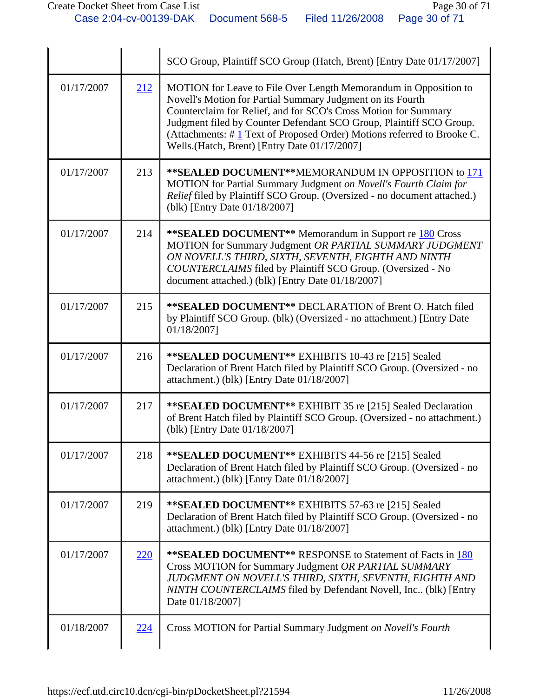|            |            | SCO Group, Plaintiff SCO Group (Hatch, Brent) [Entry Date 01/17/2007]                                                                                                                                                                                                                                                                                                                              |
|------------|------------|----------------------------------------------------------------------------------------------------------------------------------------------------------------------------------------------------------------------------------------------------------------------------------------------------------------------------------------------------------------------------------------------------|
| 01/17/2007 | 212        | MOTION for Leave to File Over Length Memorandum in Opposition to<br>Novell's Motion for Partial Summary Judgment on its Fourth<br>Counterclaim for Relief, and for SCO's Cross Motion for Summary<br>Judgment filed by Counter Defendant SCO Group, Plaintiff SCO Group.<br>(Attachments: #1 Text of Proposed Order) Motions referred to Brooke C.<br>Wells.(Hatch, Brent) [Entry Date 01/17/2007] |
| 01/17/2007 | 213        | ** SEALED DOCUMENT** MEMORANDUM IN OPPOSITION to 171<br>MOTION for Partial Summary Judgment on Novell's Fourth Claim for<br>Relief filed by Plaintiff SCO Group. (Oversized - no document attached.)<br>(blk) [Entry Date 01/18/2007]                                                                                                                                                              |
| 01/17/2007 | 214        | <b>**SEALED DOCUMENT**</b> Memorandum in Support re 180 Cross<br>MOTION for Summary Judgment OR PARTIAL SUMMARY JUDGMENT<br>ON NOVELL'S THIRD, SIXTH, SEVENTH, EIGHTH AND NINTH<br>COUNTERCLAIMS filed by Plaintiff SCO Group. (Oversized - No<br>document attached.) (blk) [Entry Date 01/18/2007]                                                                                                |
| 01/17/2007 | 215        | <b>**SEALED DOCUMENT**</b> DECLARATION of Brent O. Hatch filed<br>by Plaintiff SCO Group. (blk) (Oversized - no attachment.) [Entry Date<br>01/18/2007]                                                                                                                                                                                                                                            |
| 01/17/2007 | 216        | ** SEALED DOCUMENT** EXHIBITS 10-43 re [215] Sealed<br>Declaration of Brent Hatch filed by Plaintiff SCO Group. (Oversized - no<br>attachment.) (blk) [Entry Date 01/18/2007]                                                                                                                                                                                                                      |
| 01/17/2007 | 217        | ** SEALED DOCUMENT** EXHIBIT 35 re [215] Sealed Declaration<br>of Brent Hatch filed by Plaintiff SCO Group. (Oversized - no attachment.)<br>(blk) [Entry Date 01/18/2007]                                                                                                                                                                                                                          |
| 01/17/2007 | 218        | **SEALED DOCUMENT** EXHIBITS 44-56 re [215] Sealed<br>Declaration of Brent Hatch filed by Plaintiff SCO Group. (Oversized - no<br>attachment.) (blk) [Entry Date 01/18/2007]                                                                                                                                                                                                                       |
| 01/17/2007 | 219        | **SEALED DOCUMENT** EXHIBITS 57-63 re [215] Sealed<br>Declaration of Brent Hatch filed by Plaintiff SCO Group. (Oversized - no<br>attachment.) (blk) [Entry Date 01/18/2007]                                                                                                                                                                                                                       |
| 01/17/2007 | <u>220</u> | <b>**SEALED DOCUMENT**</b> RESPONSE to Statement of Facts in 180<br>Cross MOTION for Summary Judgment OR PARTIAL SUMMARY<br>JUDGMENT ON NOVELL'S THIRD, SIXTH, SEVENTH, EIGHTH AND<br>NINTH COUNTERCLAIMS filed by Defendant Novell, Inc (blk) [Entry<br>Date 01/18/2007]                                                                                                                          |
| 01/18/2007 | 224        | Cross MOTION for Partial Summary Judgment on Novell's Fourth                                                                                                                                                                                                                                                                                                                                       |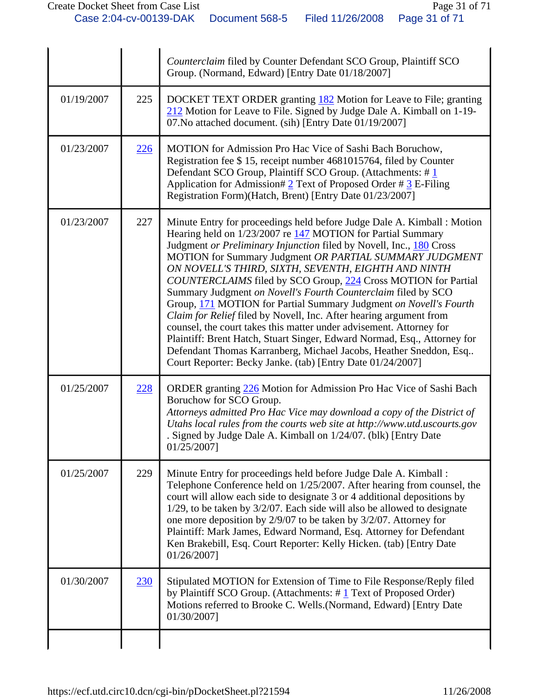|            |            | Counterclaim filed by Counter Defendant SCO Group, Plaintiff SCO<br>Group. (Normand, Edward) [Entry Date 01/18/2007]                                                                                                                                                                                                                                                                                                                                                                                                                                                                                                                                                                                                                                                                                                                                                                                |
|------------|------------|-----------------------------------------------------------------------------------------------------------------------------------------------------------------------------------------------------------------------------------------------------------------------------------------------------------------------------------------------------------------------------------------------------------------------------------------------------------------------------------------------------------------------------------------------------------------------------------------------------------------------------------------------------------------------------------------------------------------------------------------------------------------------------------------------------------------------------------------------------------------------------------------------------|
| 01/19/2007 | 225        | DOCKET TEXT ORDER granting 182 Motion for Leave to File; granting<br>212 Motion for Leave to File. Signed by Judge Dale A. Kimball on 1-19-<br>07. No attached document. (sih) [Entry Date 01/19/2007]                                                                                                                                                                                                                                                                                                                                                                                                                                                                                                                                                                                                                                                                                              |
| 01/23/2007 | 226        | MOTION for Admission Pro Hac Vice of Sashi Bach Boruchow,<br>Registration fee \$15, receipt number 4681015764, filed by Counter<br>Defendant SCO Group, Plaintiff SCO Group. (Attachments: #1<br>Application for Admission# $2$ Text of Proposed Order # $3$ E-Filing<br>Registration Form)(Hatch, Brent) [Entry Date 01/23/2007]                                                                                                                                                                                                                                                                                                                                                                                                                                                                                                                                                                   |
| 01/23/2007 | 227        | Minute Entry for proceedings held before Judge Dale A. Kimball : Motion<br>Hearing held on 1/23/2007 re 147 MOTION for Partial Summary<br>Judgment or Preliminary Injunction filed by Novell, Inc., 180 Cross<br>MOTION for Summary Judgment OR PARTIAL SUMMARY JUDGMENT<br>ON NOVELL'S THIRD, SIXTH, SEVENTH, EIGHTH AND NINTH<br>COUNTERCLAIMS filed by SCO Group, 224 Cross MOTION for Partial<br>Summary Judgment on Novell's Fourth Counterclaim filed by SCO<br>Group, 171 MOTION for Partial Summary Judgment on Novell's Fourth<br>Claim for Relief filed by Novell, Inc. After hearing argument from<br>counsel, the court takes this matter under advisement. Attorney for<br>Plaintiff: Brent Hatch, Stuart Singer, Edward Normad, Esq., Attorney for<br>Defendant Thomas Karranberg, Michael Jacobs, Heather Sneddon, Esq<br>Court Reporter: Becky Janke. (tab) [Entry Date 01/24/2007] |
| 01/25/2007 | 228        | ORDER granting 226 Motion for Admission Pro Hac Vice of Sashi Bach<br>Boruchow for SCO Group.<br>Attorneys admitted Pro Hac Vice may download a copy of the District of<br>Utahs local rules from the courts web site at http://www.utd.uscourts.gov<br>Signed by Judge Dale A. Kimball on 1/24/07. (blk) [Entry Date<br>01/25/2007]                                                                                                                                                                                                                                                                                                                                                                                                                                                                                                                                                                |
| 01/25/2007 | 229        | Minute Entry for proceedings held before Judge Dale A. Kimball:<br>Telephone Conference held on 1/25/2007. After hearing from counsel, the<br>court will allow each side to designate 3 or 4 additional depositions by<br>$1/29$ , to be taken by $3/2/07$ . Each side will also be allowed to designate<br>one more deposition by 2/9/07 to be taken by 3/2/07. Attorney for<br>Plaintiff: Mark James, Edward Normand, Esq. Attorney for Defendant<br>Ken Brakebill, Esq. Court Reporter: Kelly Hicken. (tab) [Entry Date<br>01/26/2007]                                                                                                                                                                                                                                                                                                                                                           |
| 01/30/2007 | <u>230</u> | Stipulated MOTION for Extension of Time to File Response/Reply filed<br>by Plaintiff SCO Group. (Attachments: #1 Text of Proposed Order)<br>Motions referred to Brooke C. Wells. (Normand, Edward) [Entry Date<br>01/30/2007]                                                                                                                                                                                                                                                                                                                                                                                                                                                                                                                                                                                                                                                                       |
|            |            |                                                                                                                                                                                                                                                                                                                                                                                                                                                                                                                                                                                                                                                                                                                                                                                                                                                                                                     |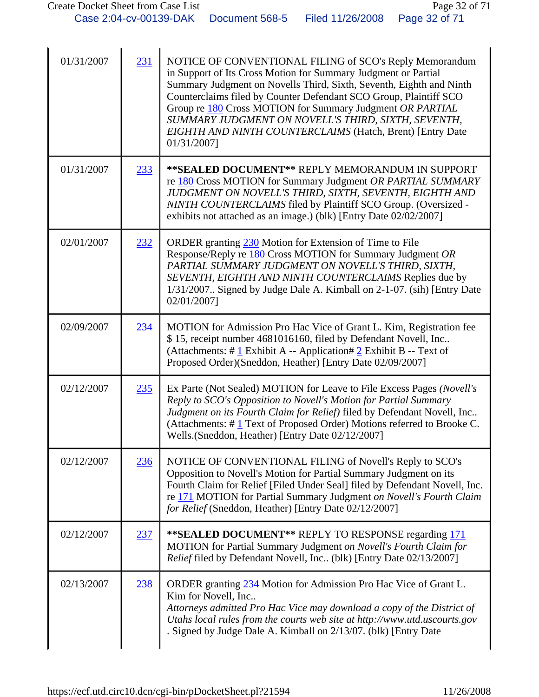| 01/31/2007 | 231 | NOTICE OF CONVENTIONAL FILING of SCO's Reply Memorandum<br>in Support of Its Cross Motion for Summary Judgment or Partial<br>Summary Judgment on Novells Third, Sixth, Seventh, Eighth and Ninth<br>Counterclaims filed by Counter Defendant SCO Group, Plaintiff SCO<br>Group re 180 Cross MOTION for Summary Judgment OR PARTIAL<br>SUMMARY JUDGMENT ON NOVELL'S THIRD, SIXTH, SEVENTH,<br>EIGHTH AND NINTH COUNTERCLAIMS (Hatch, Brent) [Entry Date<br>01/31/2007] |
|------------|-----|-----------------------------------------------------------------------------------------------------------------------------------------------------------------------------------------------------------------------------------------------------------------------------------------------------------------------------------------------------------------------------------------------------------------------------------------------------------------------|
| 01/31/2007 | 233 | ** SEALED DOCUMENT** REPLY MEMORANDUM IN SUPPORT<br>re 180 Cross MOTION for Summary Judgment OR PARTIAL SUMMARY<br>JUDGMENT ON NOVELL'S THIRD, SIXTH, SEVENTH, EIGHTH AND<br>NINTH COUNTERCLAIMS filed by Plaintiff SCO Group. (Oversized -<br>exhibits not attached as an image.) (blk) [Entry Date 02/02/2007]                                                                                                                                                      |
| 02/01/2007 | 232 | ORDER granting 230 Motion for Extension of Time to File<br>Response/Reply re 180 Cross MOTION for Summary Judgment OR<br>PARTIAL SUMMARY JUDGMENT ON NOVELL'S THIRD, SIXTH,<br>SEVENTH, EIGHTH AND NINTH COUNTERCLAIMS Replies due by<br>1/31/2007 Signed by Judge Dale A. Kimball on 2-1-07. (sih) [Entry Date<br>02/01/2007]                                                                                                                                        |
| 02/09/2007 | 234 | MOTION for Admission Pro Hac Vice of Grant L. Kim, Registration fee<br>\$15, receipt number 4681016160, filed by Defendant Novell, Inc<br>(Attachments: # $1$ Exhibit A -- Application# 2 Exhibit B -- Text of<br>Proposed Order)(Sneddon, Heather) [Entry Date 02/09/2007]                                                                                                                                                                                           |
| 02/12/2007 | 235 | Ex Parte (Not Sealed) MOTION for Leave to File Excess Pages (Novell's<br>Reply to SCO's Opposition to Novell's Motion for Partial Summary<br>Judgment on its Fourth Claim for Relief) filed by Defendant Novell, Inc<br>(Attachments: #1 Text of Proposed Order) Motions referred to Brooke C.<br>Wells.(Sneddon, Heather) [Entry Date 02/12/2007]                                                                                                                    |
| 02/12/2007 | 236 | NOTICE OF CONVENTIONAL FILING of Novell's Reply to SCO's<br>Opposition to Novell's Motion for Partial Summary Judgment on its<br>Fourth Claim for Relief [Filed Under Seal] filed by Defendant Novell, Inc.<br>re 171 MOTION for Partial Summary Judgment on Novell's Fourth Claim<br>for Relief (Sneddon, Heather) [Entry Date 02/12/2007]                                                                                                                           |
| 02/12/2007 | 237 | **SEALED DOCUMENT** REPLY TO RESPONSE regarding 171<br>MOTION for Partial Summary Judgment on Novell's Fourth Claim for<br>Relief filed by Defendant Novell, Inc (blk) [Entry Date 02/13/2007]                                                                                                                                                                                                                                                                        |
| 02/13/2007 | 238 | ORDER granting 234 Motion for Admission Pro Hac Vice of Grant L.<br>Kim for Novell, Inc<br>Attorneys admitted Pro Hac Vice may download a copy of the District of<br>Utahs local rules from the courts web site at http://www.utd.uscourts.gov<br>. Signed by Judge Dale A. Kimball on 2/13/07. (blk) [Entry Date                                                                                                                                                     |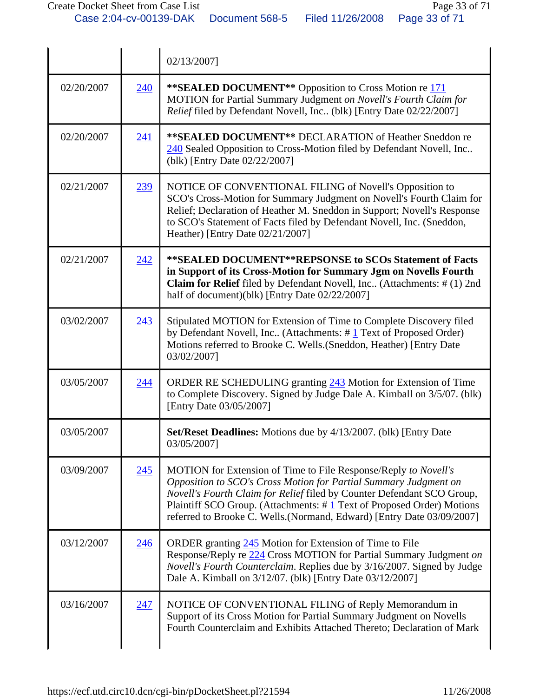|            |     | 02/13/2007]                                                                                                                                                                                                                                                                                                                                                     |
|------------|-----|-----------------------------------------------------------------------------------------------------------------------------------------------------------------------------------------------------------------------------------------------------------------------------------------------------------------------------------------------------------------|
| 02/20/2007 | 240 | ** SEALED DOCUMENT** Opposition to Cross Motion re 171<br>MOTION for Partial Summary Judgment on Novell's Fourth Claim for<br>Relief filed by Defendant Novell, Inc (blk) [Entry Date 02/22/2007]                                                                                                                                                               |
| 02/20/2007 | 241 | ** SEALED DOCUMENT** DECLARATION of Heather Sneddon re<br>240 Sealed Opposition to Cross-Motion filed by Defendant Novell, Inc<br>(blk) [Entry Date 02/22/2007]                                                                                                                                                                                                 |
| 02/21/2007 | 239 | NOTICE OF CONVENTIONAL FILING of Novell's Opposition to<br>SCO's Cross-Motion for Summary Judgment on Novell's Fourth Claim for<br>Relief; Declaration of Heather M. Sneddon in Support; Novell's Response<br>to SCO's Statement of Facts filed by Defendant Novell, Inc. (Sneddon,<br>Heather) [Entry Date 02/21/2007]                                         |
| 02/21/2007 | 242 | **SEALED DOCUMENT**REPSONSE to SCOs Statement of Facts<br>in Support of its Cross-Motion for Summary Jgm on Novells Fourth<br>Claim for Relief filed by Defendant Novell, Inc (Attachments: # (1) 2nd<br>half of document)(blk) [Entry Date 02/22/2007]                                                                                                         |
| 03/02/2007 | 243 | Stipulated MOTION for Extension of Time to Complete Discovery filed<br>by Defendant Novell, Inc (Attachments: #1 Text of Proposed Order)<br>Motions referred to Brooke C. Wells. (Sneddon, Heather) [Entry Date<br>03/02/2007]                                                                                                                                  |
| 03/05/2007 | 244 | ORDER RE SCHEDULING granting 243 Motion for Extension of Time<br>to Complete Discovery. Signed by Judge Dale A. Kimball on 3/5/07. (blk)<br>[Entry Date 03/05/2007]                                                                                                                                                                                             |
| 03/05/2007 |     | Set/Reset Deadlines: Motions due by 4/13/2007. (blk) [Entry Date<br>03/05/2007]                                                                                                                                                                                                                                                                                 |
| 03/09/2007 | 245 | MOTION for Extension of Time to File Response/Reply to Novell's<br>Opposition to SCO's Cross Motion for Partial Summary Judgment on<br>Novell's Fourth Claim for Relief filed by Counter Defendant SCO Group,<br>Plaintiff SCO Group. (Attachments: #1 Text of Proposed Order) Motions<br>referred to Brooke C. Wells.(Normand, Edward) [Entry Date 03/09/2007] |
| 03/12/2007 | 246 | ORDER granting 245 Motion for Extension of Time to File<br>Response/Reply re 224 Cross MOTION for Partial Summary Judgment on<br>Novell's Fourth Counterclaim. Replies due by 3/16/2007. Signed by Judge<br>Dale A. Kimball on 3/12/07. (blk) [Entry Date 03/12/2007]                                                                                           |
| 03/16/2007 | 247 | NOTICE OF CONVENTIONAL FILING of Reply Memorandum in<br>Support of its Cross Motion for Partial Summary Judgment on Novells<br>Fourth Counterclaim and Exhibits Attached Thereto; Declaration of Mark                                                                                                                                                           |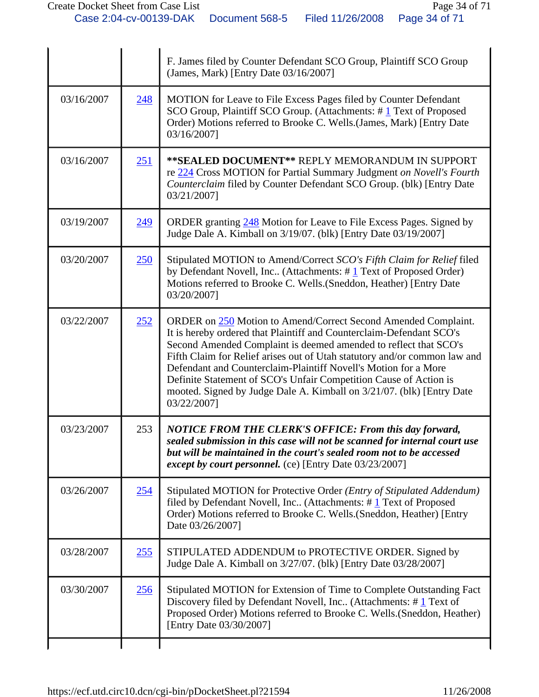|            |            | F. James filed by Counter Defendant SCO Group, Plaintiff SCO Group<br>(James, Mark) [Entry Date 03/16/2007]                                                                                                                                                                                                                                                                                                                                                                                                             |
|------------|------------|-------------------------------------------------------------------------------------------------------------------------------------------------------------------------------------------------------------------------------------------------------------------------------------------------------------------------------------------------------------------------------------------------------------------------------------------------------------------------------------------------------------------------|
| 03/16/2007 | <u>248</u> | MOTION for Leave to File Excess Pages filed by Counter Defendant<br>SCO Group, Plaintiff SCO Group. (Attachments: #1 Text of Proposed<br>Order) Motions referred to Brooke C. Wells.(James, Mark) [Entry Date<br>03/16/2007]                                                                                                                                                                                                                                                                                            |
| 03/16/2007 | 251        | **SEALED DOCUMENT** REPLY MEMORANDUM IN SUPPORT<br>re 224 Cross MOTION for Partial Summary Judgment on Novell's Fourth<br>Counterclaim filed by Counter Defendant SCO Group. (blk) [Entry Date<br>03/21/2007]                                                                                                                                                                                                                                                                                                           |
| 03/19/2007 | 249        | ORDER granting 248 Motion for Leave to File Excess Pages. Signed by<br>Judge Dale A. Kimball on 3/19/07. (blk) [Entry Date 03/19/2007]                                                                                                                                                                                                                                                                                                                                                                                  |
| 03/20/2007 | 250        | Stipulated MOTION to Amend/Correct SCO's Fifth Claim for Relief filed<br>by Defendant Novell, Inc (Attachments: #1 Text of Proposed Order)<br>Motions referred to Brooke C. Wells. (Sneddon, Heather) [Entry Date<br>03/20/2007]                                                                                                                                                                                                                                                                                        |
| 03/22/2007 | 252        | ORDER on 250 Motion to Amend/Correct Second Amended Complaint.<br>It is hereby ordered that Plaintiff and Counterclaim-Defendant SCO's<br>Second Amended Complaint is deemed amended to reflect that SCO's<br>Fifth Claim for Relief arises out of Utah statutory and/or common law and<br>Defendant and Counterclaim-Plaintiff Novell's Motion for a More<br>Definite Statement of SCO's Unfair Competition Cause of Action is<br>mooted. Signed by Judge Dale A. Kimball on 3/21/07. (blk) [Entry Date<br>03/22/2007] |
| 03/23/2007 | 253        | NOTICE FROM THE CLERK'S OFFICE: From this day forward,<br>sealed submission in this case will not be scanned for internal court use<br>but will be maintained in the court's sealed room not to be accessed<br><i>except by court personnel.</i> (ce) [Entry Date 03/23/2007]                                                                                                                                                                                                                                           |
| 03/26/2007 | 254        | Stipulated MOTION for Protective Order (Entry of Stipulated Addendum)<br>filed by Defendant Novell, Inc (Attachments: $\#$ 1 Text of Proposed<br>Order) Motions referred to Brooke C. Wells. (Sneddon, Heather) [Entry<br>Date 03/26/2007]                                                                                                                                                                                                                                                                              |
| 03/28/2007 | 255        | STIPULATED ADDENDUM to PROTECTIVE ORDER. Signed by<br>Judge Dale A. Kimball on 3/27/07. (blk) [Entry Date 03/28/2007]                                                                                                                                                                                                                                                                                                                                                                                                   |
| 03/30/2007 | 256        | Stipulated MOTION for Extension of Time to Complete Outstanding Fact<br>Discovery filed by Defendant Novell, Inc (Attachments: #1 Text of<br>Proposed Order) Motions referred to Brooke C. Wells.(Sneddon, Heather)<br>[Entry Date 03/30/2007]                                                                                                                                                                                                                                                                          |
|            |            |                                                                                                                                                                                                                                                                                                                                                                                                                                                                                                                         |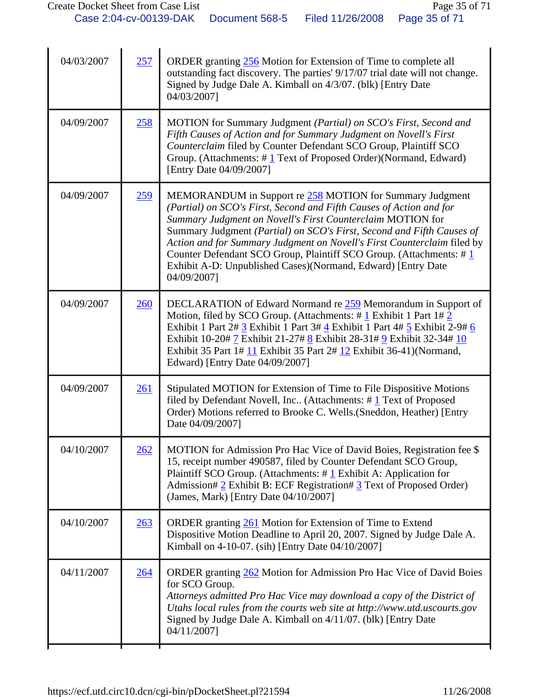| 04/03/2007 | 257        | ORDER granting 256 Motion for Extension of Time to complete all<br>outstanding fact discovery. The parties' 9/17/07 trial date will not change.<br>Signed by Judge Dale A. Kimball on 4/3/07. (blk) [Entry Date<br>04/03/2007]                                                                                                                                                                                                                                                                         |
|------------|------------|--------------------------------------------------------------------------------------------------------------------------------------------------------------------------------------------------------------------------------------------------------------------------------------------------------------------------------------------------------------------------------------------------------------------------------------------------------------------------------------------------------|
| 04/09/2007 | <u>258</u> | MOTION for Summary Judgment (Partial) on SCO's First, Second and<br>Fifth Causes of Action and for Summary Judgment on Novell's First<br>Counterclaim filed by Counter Defendant SCO Group, Plaintiff SCO<br>Group. (Attachments: $\# \mathbf{1}$ Text of Proposed Order)(Normand, Edward)<br>[Entry Date 04/09/2007]                                                                                                                                                                                  |
| 04/09/2007 | 259        | MEMORANDUM in Support re 258 MOTION for Summary Judgment<br>(Partial) on SCO's First, Second and Fifth Causes of Action and for<br>Summary Judgment on Novell's First Counterclaim MOTION for<br>Summary Judgment (Partial) on SCO's First, Second and Fifth Causes of<br>Action and for Summary Judgment on Novell's First Counterclaim filed by<br>Counter Defendant SCO Group, Plaintiff SCO Group. (Attachments: #1<br>Exhibit A-D: Unpublished Cases)(Normand, Edward) [Entry Date<br>04/09/2007] |
| 04/09/2007 | 260        | DECLARATION of Edward Normand re 259 Memorandum in Support of<br>Motion, filed by SCO Group. (Attachments: $\# \underline{1}$ Exhibit 1 Part 1# 2<br>Exhibit 1 Part 2# 3 Exhibit 1 Part 3# 4 Exhibit 1 Part 4# 5 Exhibit 2-9# 6<br>Exhibit 10-20# 7 Exhibit 21-27# 8 Exhibit 28-31# 9 Exhibit 32-34# 10<br>Exhibit 35 Part 1# $11$ Exhibit 35 Part 2# $12$ Exhibit 36-41)(Normand,<br>Edward) [Entry Date 04/09/2007]                                                                                  |
| 04/09/2007 | 261        | Stipulated MOTION for Extension of Time to File Dispositive Motions<br>filed by Defendant Novell, Inc (Attachments: $\# \underline{1}$ Text of Proposed<br>Order) Motions referred to Brooke C. Wells. (Sneddon, Heather) [Entry<br>Date 04/09/2007]                                                                                                                                                                                                                                                   |
| 04/10/2007 | 262        | MOTION for Admission Pro Hac Vice of David Boies, Registration fee \$<br>15, receipt number 490587, filed by Counter Defendant SCO Group,<br>Plaintiff SCO Group. (Attachments: $\#$ 1 Exhibit A: Application for<br>Admission# 2 Exhibit B: ECF Registration# 3 Text of Proposed Order)<br>(James, Mark) [Entry Date 04/10/2007]                                                                                                                                                                      |
| 04/10/2007 | 263        | ORDER granting 261 Motion for Extension of Time to Extend<br>Dispositive Motion Deadline to April 20, 2007. Signed by Judge Dale A.<br>Kimball on 4-10-07. (sih) [Entry Date 04/10/2007]                                                                                                                                                                                                                                                                                                               |
| 04/11/2007 | 264        | ORDER granting 262 Motion for Admission Pro Hac Vice of David Boies<br>for SCO Group.<br>Attorneys admitted Pro Hac Vice may download a copy of the District of<br>Utahs local rules from the courts web site at http://www.utd.uscourts.gov<br>Signed by Judge Dale A. Kimball on 4/11/07. (blk) [Entry Date<br>04/11/2007]                                                                                                                                                                           |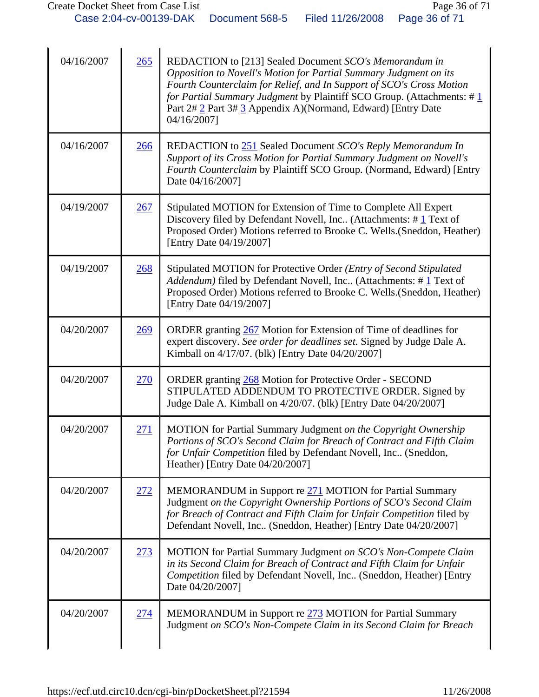| 04/16/2007 | 265        | REDACTION to [213] Sealed Document SCO's Memorandum in<br>Opposition to Novell's Motion for Partial Summary Judgment on its<br>Fourth Counterclaim for Relief, and In Support of SCO's Cross Motion<br>for Partial Summary Judgment by Plaintiff SCO Group. (Attachments: #1<br>Part 2# 2 Part 3# 3 Appendix A)(Normand, Edward) [Entry Date<br>04/16/2007] |
|------------|------------|-------------------------------------------------------------------------------------------------------------------------------------------------------------------------------------------------------------------------------------------------------------------------------------------------------------------------------------------------------------|
| 04/16/2007 | 266        | REDACTION to 251 Sealed Document SCO's Reply Memorandum In<br>Support of its Cross Motion for Partial Summary Judgment on Novell's<br>Fourth Counterclaim by Plaintiff SCO Group. (Normand, Edward) [Entry<br>Date 04/16/2007]                                                                                                                              |
| 04/19/2007 | 267        | Stipulated MOTION for Extension of Time to Complete All Expert<br>Discovery filed by Defendant Novell, Inc (Attachments: #1 Text of<br>Proposed Order) Motions referred to Brooke C. Wells.(Sneddon, Heather)<br>[Entry Date 04/19/2007]                                                                                                                    |
| 04/19/2007 | 268        | Stipulated MOTION for Protective Order (Entry of Second Stipulated<br>Addendum) filed by Defendant Novell, Inc (Attachments: #1 Text of<br>Proposed Order) Motions referred to Brooke C. Wells. (Sneddon, Heather)<br>[Entry Date 04/19/2007]                                                                                                               |
| 04/20/2007 | 269        | ORDER granting 267 Motion for Extension of Time of deadlines for<br>expert discovery. See order for deadlines set. Signed by Judge Dale A.<br>Kimball on 4/17/07. (blk) [Entry Date 04/20/2007]                                                                                                                                                             |
| 04/20/2007 | 270        | ORDER granting 268 Motion for Protective Order - SECOND<br>STIPULATED ADDENDUM TO PROTECTIVE ORDER. Signed by<br>Judge Dale A. Kimball on 4/20/07. (blk) [Entry Date 04/20/2007]                                                                                                                                                                            |
| 04/20/2007 | 271        | MOTION for Partial Summary Judgment on the Copyright Ownership<br>Portions of SCO's Second Claim for Breach of Contract and Fifth Claim<br>for Unfair Competition filed by Defendant Novell, Inc (Sneddon,<br>Heather) [Entry Date 04/20/2007]                                                                                                              |
| 04/20/2007 | <u>272</u> | MEMORANDUM in Support re 271 MOTION for Partial Summary<br>Judgment on the Copyright Ownership Portions of SCO's Second Claim<br>for Breach of Contract and Fifth Claim for Unfair Competition filed by<br>Defendant Novell, Inc (Sneddon, Heather) [Entry Date 04/20/2007]                                                                                 |
| 04/20/2007 | 273        | MOTION for Partial Summary Judgment on SCO's Non-Compete Claim<br>in its Second Claim for Breach of Contract and Fifth Claim for Unfair<br>Competition filed by Defendant Novell, Inc (Sneddon, Heather) [Entry<br>Date 04/20/2007]                                                                                                                         |
| 04/20/2007 | 274        | MEMORANDUM in Support re 273 MOTION for Partial Summary<br>Judgment on SCO's Non-Compete Claim in its Second Claim for Breach                                                                                                                                                                                                                               |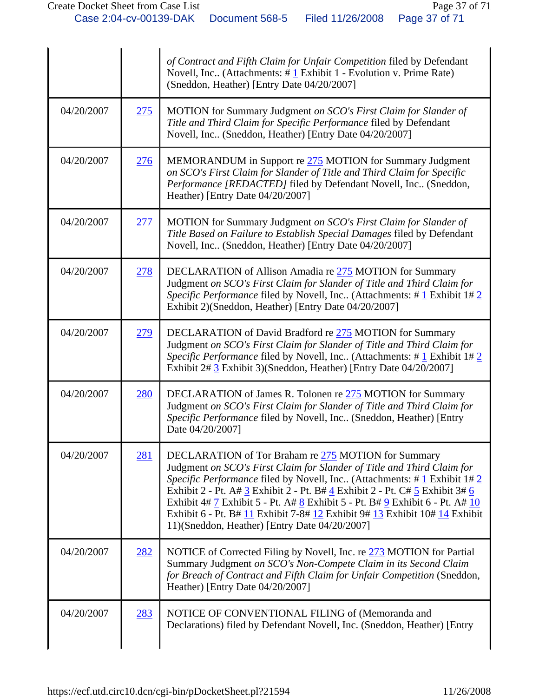|            |            | of Contract and Fifth Claim for Unfair Competition filed by Defendant<br>Novell, Inc (Attachments: #1 Exhibit 1 - Evolution v. Prime Rate)<br>(Sneddon, Heather) [Entry Date 04/20/2007]                                                                                                                                                                                                                                                                                                                       |
|------------|------------|----------------------------------------------------------------------------------------------------------------------------------------------------------------------------------------------------------------------------------------------------------------------------------------------------------------------------------------------------------------------------------------------------------------------------------------------------------------------------------------------------------------|
| 04/20/2007 | 275        | MOTION for Summary Judgment on SCO's First Claim for Slander of<br>Title and Third Claim for Specific Performance filed by Defendant<br>Novell, Inc (Sneddon, Heather) [Entry Date 04/20/2007]                                                                                                                                                                                                                                                                                                                 |
| 04/20/2007 | 276        | MEMORANDUM in Support re 275 MOTION for Summary Judgment<br>on SCO's First Claim for Slander of Title and Third Claim for Specific<br>Performance [REDACTED] filed by Defendant Novell, Inc (Sneddon,<br>Heather) [Entry Date 04/20/2007]                                                                                                                                                                                                                                                                      |
| 04/20/2007 | 277        | MOTION for Summary Judgment on SCO's First Claim for Slander of<br>Title Based on Failure to Establish Special Damages filed by Defendant<br>Novell, Inc (Sneddon, Heather) [Entry Date 04/20/2007]                                                                                                                                                                                                                                                                                                            |
| 04/20/2007 | <u>278</u> | DECLARATION of Allison Amadia re 275 MOTION for Summary<br>Judgment on SCO's First Claim for Slander of Title and Third Claim for<br>Specific Performance filed by Novell, Inc (Attachments: #1 Exhibit 1#2<br>Exhibit 2)(Sneddon, Heather) [Entry Date 04/20/2007]                                                                                                                                                                                                                                            |
| 04/20/2007 | 279        | DECLARATION of David Bradford re 275 MOTION for Summary<br>Judgment on SCO's First Claim for Slander of Title and Third Claim for<br>Specific Performance filed by Novell, Inc (Attachments: $\# \underline{1}$ Exhibit 1# $\underline{2}$<br>Exhibit 2# 3 Exhibit 3)(Sneddon, Heather) [Entry Date 04/20/2007]                                                                                                                                                                                                |
| 04/20/2007 | 280        | DECLARATION of James R. Tolonen re 275 MOTION for Summary<br>Judgment on SCO's First Claim for Slander of Title and Third Claim for<br>Specific Performance filed by Novell, Inc (Sneddon, Heather) [Entry<br>Date 04/20/2007]                                                                                                                                                                                                                                                                                 |
| 04/20/2007 | 281        | DECLARATION of Tor Braham re 275 MOTION for Summary<br>Judgment on SCO's First Claim for Slander of Title and Third Claim for<br>Specific Performance filed by Novell, Inc. (Attachments: $\# 1$ Exhibit $1\# 2$<br>Exhibit 2 - Pt. A# 3 Exhibit 2 - Pt. B# 4 Exhibit 2 - Pt. C# 5 Exhibit 3# 6<br>Exhibit 4# 7 Exhibit 5 - Pt. A# 8 Exhibit 5 - Pt. B# 9 Exhibit 6 - Pt. A# 10<br>Exhibit 6 - Pt. B# 11 Exhibit 7-8# 12 Exhibit 9# 13 Exhibit 10# 14 Exhibit<br>11)(Sneddon, Heather) [Entry Date 04/20/2007] |
| 04/20/2007 | 282        | NOTICE of Corrected Filing by Novell, Inc. re 273 MOTION for Partial<br>Summary Judgment on SCO's Non-Compete Claim in its Second Claim<br>for Breach of Contract and Fifth Claim for Unfair Competition (Sneddon,<br>Heather) [Entry Date 04/20/2007]                                                                                                                                                                                                                                                         |
| 04/20/2007 | 283        | NOTICE OF CONVENTIONAL FILING of (Memoranda and<br>Declarations) filed by Defendant Novell, Inc. (Sneddon, Heather) [Entry                                                                                                                                                                                                                                                                                                                                                                                     |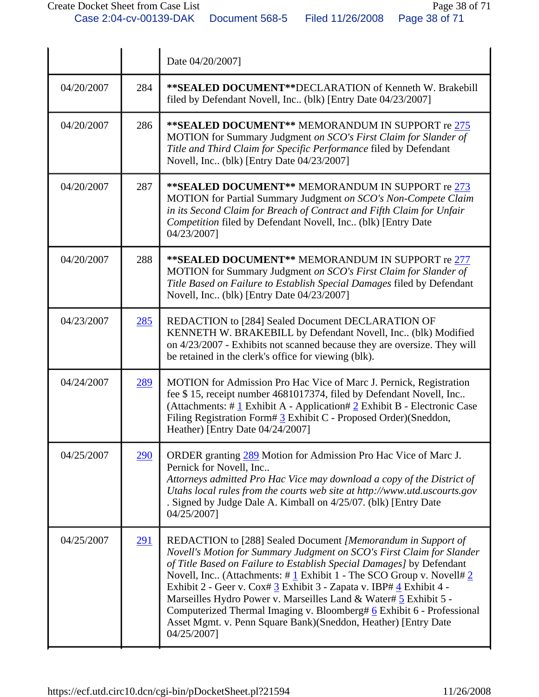|            |            | Date 04/20/2007]                                                                                                                                                                                                                                                                                                                                                                                                                                                                                                                                                                                                        |
|------------|------------|-------------------------------------------------------------------------------------------------------------------------------------------------------------------------------------------------------------------------------------------------------------------------------------------------------------------------------------------------------------------------------------------------------------------------------------------------------------------------------------------------------------------------------------------------------------------------------------------------------------------------|
| 04/20/2007 | 284        | <b>**SEALED DOCUMENT**DECLARATION of Kenneth W. Brakebill</b><br>filed by Defendant Novell, Inc (blk) [Entry Date 04/23/2007]                                                                                                                                                                                                                                                                                                                                                                                                                                                                                           |
| 04/20/2007 | 286        | ** SEALED DOCUMENT** MEMORANDUM IN SUPPORT re 275<br>MOTION for Summary Judgment on SCO's First Claim for Slander of<br>Title and Third Claim for Specific Performance filed by Defendant<br>Novell, Inc (blk) [Entry Date 04/23/2007]                                                                                                                                                                                                                                                                                                                                                                                  |
| 04/20/2007 | 287        | ** SEALED DOCUMENT** MEMORANDUM IN SUPPORT re 273<br>MOTION for Partial Summary Judgment on SCO's Non-Compete Claim<br>in its Second Claim for Breach of Contract and Fifth Claim for Unfair<br>Competition filed by Defendant Novell, Inc (blk) [Entry Date<br>04/23/2007]                                                                                                                                                                                                                                                                                                                                             |
| 04/20/2007 | 288        | ** SEALED DOCUMENT** MEMORANDUM IN SUPPORT re 277<br>MOTION for Summary Judgment on SCO's First Claim for Slander of<br>Title Based on Failure to Establish Special Damages filed by Defendant<br>Novell, Inc (blk) [Entry Date 04/23/2007]                                                                                                                                                                                                                                                                                                                                                                             |
| 04/23/2007 | 285        | REDACTION to [284] Sealed Document DECLARATION OF<br>KENNETH W. BRAKEBILL by Defendant Novell, Inc (blk) Modified<br>on 4/23/2007 - Exhibits not scanned because they are oversize. They will<br>be retained in the clerk's office for viewing (blk).                                                                                                                                                                                                                                                                                                                                                                   |
| 04/24/2007 | 289        | MOTION for Admission Pro Hac Vice of Marc J. Pernick, Registration<br>fee \$15, receipt number 4681017374, filed by Defendant Novell, Inc<br>(Attachments: # $1$ Exhibit A - Application# $2$ Exhibit B - Electronic Case<br>Filing Registration Form# 3 Exhibit C - Proposed Order)(Sneddon,<br>Heather) [Entry Date 04/24/2007]                                                                                                                                                                                                                                                                                       |
| 04/25/2007 | <u>290</u> | ORDER granting 289 Motion for Admission Pro Hac Vice of Marc J.<br>Pernick for Novell, Inc<br>Attorneys admitted Pro Hac Vice may download a copy of the District of<br>Utahs local rules from the courts web site at http://www.utd.uscourts.gov<br>. Signed by Judge Dale A. Kimball on 4/25/07. (blk) [Entry Date<br>04/25/2007]                                                                                                                                                                                                                                                                                     |
| 04/25/2007 | <u>291</u> | REDACTION to [288] Sealed Document [Memorandum in Support of<br>Novell's Motion for Summary Judgment on SCO's First Claim for Slander<br>of Title Based on Failure to Establish Special Damages] by Defendant<br>Novell, Inc (Attachments: $\#\underline{1}$ Exhibit 1 - The SCO Group v. Novell $\#\underline{2}$<br>Exhibit 2 - Geer v. Cox# 3 Exhibit 3 - Zapata v. IBP# 4 Exhibit 4 -<br>Marseilles Hydro Power v. Marseilles Land & Water# 5 Exhibit 5 -<br>Computerized Thermal Imaging v. Bloomberg# 6 Exhibit 6 - Professional<br>Asset Mgmt. v. Penn Square Bank)(Sneddon, Heather) [Entry Date<br>04/25/2007] |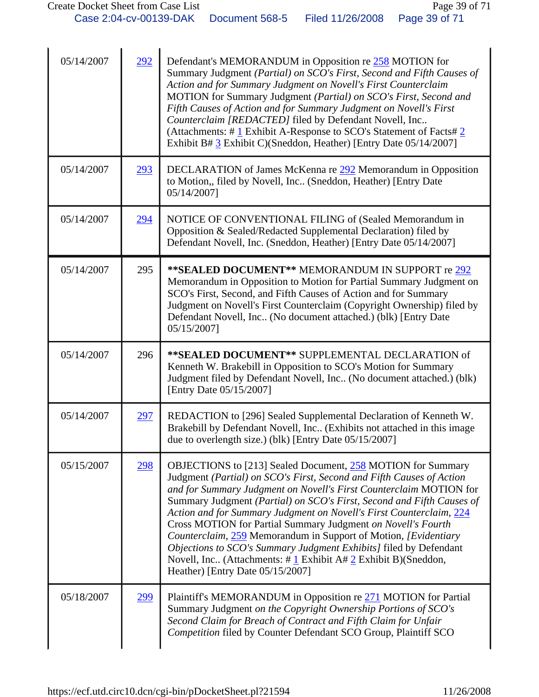| 05/14/2007 | 292        | Defendant's MEMORANDUM in Opposition re 258 MOTION for<br>Summary Judgment (Partial) on SCO's First, Second and Fifth Causes of<br>Action and for Summary Judgment on Novell's First Counterclaim<br>MOTION for Summary Judgment (Partial) on SCO's First, Second and<br>Fifth Causes of Action and for Summary Judgment on Novell's First<br>Counterclaim [REDACTED] filed by Defendant Novell, Inc<br>(Attachments: $\#$ 1 Exhibit A-Response to SCO's Statement of Facts $\#$ 2<br>Exhibit B# 3 Exhibit C)(Sneddon, Heather) [Entry Date 05/14/2007]                                                                                                                                                       |
|------------|------------|---------------------------------------------------------------------------------------------------------------------------------------------------------------------------------------------------------------------------------------------------------------------------------------------------------------------------------------------------------------------------------------------------------------------------------------------------------------------------------------------------------------------------------------------------------------------------------------------------------------------------------------------------------------------------------------------------------------|
| 05/14/2007 | <u>293</u> | DECLARATION of James McKenna re 292 Memorandum in Opposition<br>to Motion,, filed by Novell, Inc (Sneddon, Heather) [Entry Date<br>05/14/2007]                                                                                                                                                                                                                                                                                                                                                                                                                                                                                                                                                                |
| 05/14/2007 | 294        | NOTICE OF CONVENTIONAL FILING of (Sealed Memorandum in<br>Opposition & Sealed/Redacted Supplemental Declaration) filed by<br>Defendant Novell, Inc. (Sneddon, Heather) [Entry Date 05/14/2007]                                                                                                                                                                                                                                                                                                                                                                                                                                                                                                                |
| 05/14/2007 | 295        | ** SEALED DOCUMENT** MEMORANDUM IN SUPPORT re 292<br>Memorandum in Opposition to Motion for Partial Summary Judgment on<br>SCO's First, Second, and Fifth Causes of Action and for Summary<br>Judgment on Novell's First Counterclaim (Copyright Ownership) filed by<br>Defendant Novell, Inc (No document attached.) (blk) [Entry Date<br>05/15/2007]                                                                                                                                                                                                                                                                                                                                                        |
| 05/14/2007 | 296        | ** SEALED DOCUMENT** SUPPLEMENTAL DECLARATION of<br>Kenneth W. Brakebill in Opposition to SCO's Motion for Summary<br>Judgment filed by Defendant Novell, Inc (No document attached.) (blk)<br>[Entry Date 05/15/2007]                                                                                                                                                                                                                                                                                                                                                                                                                                                                                        |
| 05/14/2007 | 297        | REDACTION to [296] Sealed Supplemental Declaration of Kenneth W.<br>Brakebill by Defendant Novell, Inc (Exhibits not attached in this image<br>due to overlength size.) (blk) [Entry Date 05/15/2007]                                                                                                                                                                                                                                                                                                                                                                                                                                                                                                         |
| 05/15/2007 | <u>298</u> | <b>OBJECTIONS</b> to [213] Sealed Document, 258 MOTION for Summary<br>Judgment (Partial) on SCO's First, Second and Fifth Causes of Action<br>and for Summary Judgment on Novell's First Counterclaim MOTION for<br>Summary Judgment (Partial) on SCO's First, Second and Fifth Causes of<br>Action and for Summary Judgment on Novell's First Counterclaim, 224<br>Cross MOTION for Partial Summary Judgment on Novell's Fourth<br>Counterclaim, 259 Memorandum in Support of Motion, [Evidentiary<br>Objections to SCO's Summary Judgment Exhibits] filed by Defendant<br>Novell, Inc (Attachments: $\# \underline{1}$ Exhibit A $\# \underline{2}$ Exhibit B)(Sneddon,<br>Heather) [Entry Date 05/15/2007] |
| 05/18/2007 | <u>299</u> | Plaintiff's MEMORANDUM in Opposition re 271 MOTION for Partial<br>Summary Judgment on the Copyright Ownership Portions of SCO's<br>Second Claim for Breach of Contract and Fifth Claim for Unfair<br>Competition filed by Counter Defendant SCO Group, Plaintiff SCO                                                                                                                                                                                                                                                                                                                                                                                                                                          |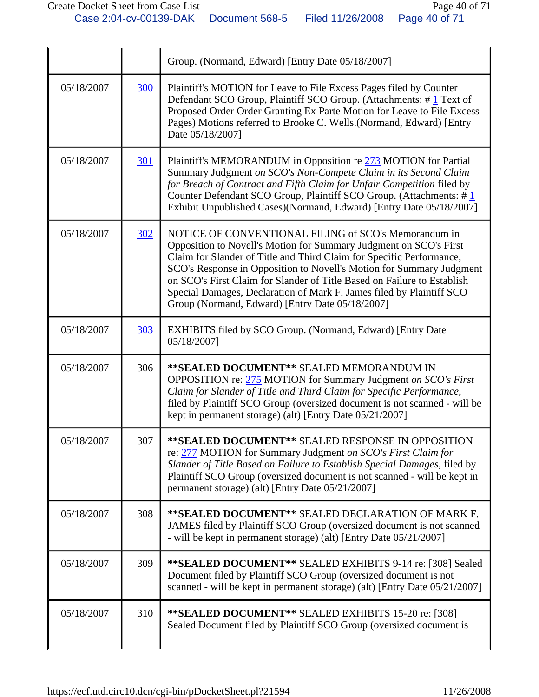|            |            | Group. (Normand, Edward) [Entry Date 05/18/2007]                                                                                                                                                                                                                                                                                                                                                                                                                                |
|------------|------------|---------------------------------------------------------------------------------------------------------------------------------------------------------------------------------------------------------------------------------------------------------------------------------------------------------------------------------------------------------------------------------------------------------------------------------------------------------------------------------|
| 05/18/2007 | <b>300</b> | Plaintiff's MOTION for Leave to File Excess Pages filed by Counter<br>Defendant SCO Group, Plaintiff SCO Group. (Attachments: #1 Text of<br>Proposed Order Order Granting Ex Parte Motion for Leave to File Excess<br>Pages) Motions referred to Brooke C. Wells.(Normand, Edward) [Entry<br>Date 05/18/2007]                                                                                                                                                                   |
| 05/18/2007 | <u>301</u> | Plaintiff's MEMORANDUM in Opposition re 273 MOTION for Partial<br>Summary Judgment on SCO's Non-Compete Claim in its Second Claim<br>for Breach of Contract and Fifth Claim for Unfair Competition filed by<br>Counter Defendant SCO Group, Plaintiff SCO Group. (Attachments: #1<br>Exhibit Unpublished Cases)(Normand, Edward) [Entry Date 05/18/2007]                                                                                                                        |
| 05/18/2007 | 302        | NOTICE OF CONVENTIONAL FILING of SCO's Memorandum in<br>Opposition to Novell's Motion for Summary Judgment on SCO's First<br>Claim for Slander of Title and Third Claim for Specific Performance,<br>SCO's Response in Opposition to Novell's Motion for Summary Judgment<br>on SCO's First Claim for Slander of Title Based on Failure to Establish<br>Special Damages, Declaration of Mark F. James filed by Plaintiff SCO<br>Group (Normand, Edward) [Entry Date 05/18/2007] |
| 05/18/2007 | 303        | EXHIBITS filed by SCO Group. (Normand, Edward) [Entry Date<br>05/18/2007]                                                                                                                                                                                                                                                                                                                                                                                                       |
| 05/18/2007 | 306        | **SEALED DOCUMENT** SEALED MEMORANDUM IN<br>OPPOSITION re: 275 MOTION for Summary Judgment on SCO's First<br>Claim for Slander of Title and Third Claim for Specific Performance,<br>filed by Plaintiff SCO Group (oversized document is not scanned - will be<br>kept in permanent storage) (alt) [Entry Date 05/21/2007]                                                                                                                                                      |
| 05/18/2007 | 307        | ** SEALED DOCUMENT** SEALED RESPONSE IN OPPOSITION<br>re: 277 MOTION for Summary Judgment on SCO's First Claim for<br>Slander of Title Based on Failure to Establish Special Damages, filed by<br>Plaintiff SCO Group (oversized document is not scanned - will be kept in<br>permanent storage) (alt) [Entry Date 05/21/2007]                                                                                                                                                  |
| 05/18/2007 | 308        | **SEALED DOCUMENT** SEALED DECLARATION OF MARK F.<br>JAMES filed by Plaintiff SCO Group (oversized document is not scanned<br>- will be kept in permanent storage) (alt) [Entry Date 05/21/2007]                                                                                                                                                                                                                                                                                |
| 05/18/2007 | 309        | **SEALED DOCUMENT** SEALED EXHIBITS 9-14 re: [308] Sealed<br>Document filed by Plaintiff SCO Group (oversized document is not<br>scanned - will be kept in permanent storage) (alt) [Entry Date 05/21/2007]                                                                                                                                                                                                                                                                     |
| 05/18/2007 | 310        | **SEALED DOCUMENT** SEALED EXHIBITS 15-20 re: [308]<br>Sealed Document filed by Plaintiff SCO Group (oversized document is                                                                                                                                                                                                                                                                                                                                                      |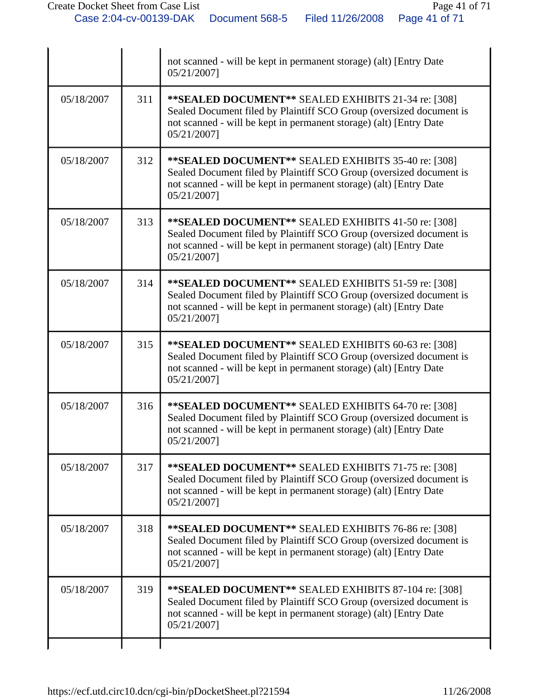|            |     | not scanned - will be kept in permanent storage) (alt) [Entry Date<br>05/21/2007]                                                                                                                                |
|------------|-----|------------------------------------------------------------------------------------------------------------------------------------------------------------------------------------------------------------------|
| 05/18/2007 | 311 | **SEALED DOCUMENT** SEALED EXHIBITS 21-34 re: [308]<br>Sealed Document filed by Plaintiff SCO Group (oversized document is<br>not scanned - will be kept in permanent storage) (alt) [Entry Date<br>05/21/2007]  |
| 05/18/2007 | 312 | **SEALED DOCUMENT** SEALED EXHIBITS 35-40 re: [308]<br>Sealed Document filed by Plaintiff SCO Group (oversized document is<br>not scanned - will be kept in permanent storage) (alt) [Entry Date<br>05/21/2007]  |
| 05/18/2007 | 313 | ** SEALED DOCUMENT** SEALED EXHIBITS 41-50 re: [308]<br>Sealed Document filed by Plaintiff SCO Group (oversized document is<br>not scanned - will be kept in permanent storage) (alt) [Entry Date<br>05/21/2007] |
| 05/18/2007 | 314 | ** SEALED DOCUMENT** SEALED EXHIBITS 51-59 re: [308]<br>Sealed Document filed by Plaintiff SCO Group (oversized document is<br>not scanned - will be kept in permanent storage) (alt) [Entry Date<br>05/21/2007] |
| 05/18/2007 | 315 | ** SEALED DOCUMENT** SEALED EXHIBITS 60-63 re: [308]<br>Sealed Document filed by Plaintiff SCO Group (oversized document is<br>not scanned - will be kept in permanent storage) (alt) [Entry Date<br>05/21/2007] |
| 05/18/2007 | 316 | **SEALED DOCUMENT** SEALED EXHIBITS 64-70 re: [308]<br>Sealed Document filed by Plaintiff SCO Group (oversized document is<br>not scanned - will be kept in permanent storage) (alt) [Entry Date<br>05/21/2007]  |
| 05/18/2007 | 317 | ** SEALED DOCUMENT** SEALED EXHIBITS 71-75 re: [308]<br>Sealed Document filed by Plaintiff SCO Group (oversized document is<br>not scanned - will be kept in permanent storage) (alt) [Entry Date<br>05/21/2007] |
| 05/18/2007 | 318 | **SEALED DOCUMENT** SEALED EXHIBITS 76-86 re: [308]<br>Sealed Document filed by Plaintiff SCO Group (oversized document is<br>not scanned - will be kept in permanent storage) (alt) [Entry Date<br>05/21/2007]  |
| 05/18/2007 | 319 | **SEALED DOCUMENT** SEALED EXHIBITS 87-104 re: [308]<br>Sealed Document filed by Plaintiff SCO Group (oversized document is<br>not scanned - will be kept in permanent storage) (alt) [Entry Date<br>05/21/2007] |
|            |     |                                                                                                                                                                                                                  |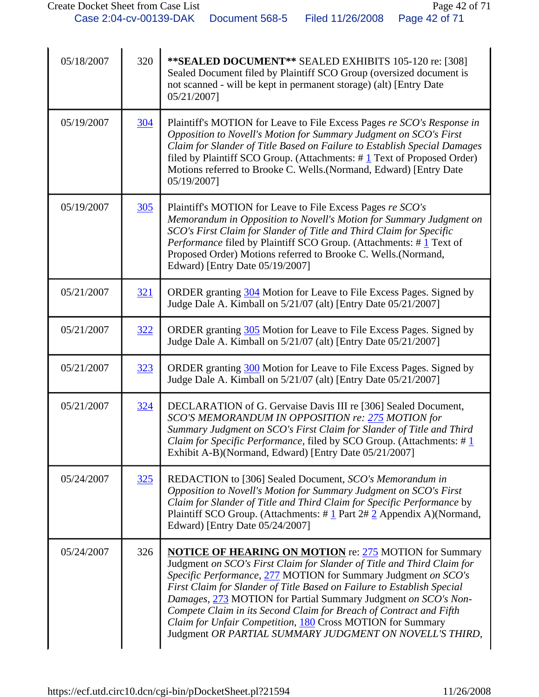| 05/18/2007 | 320 | ** SEALED DOCUMENT** SEALED EXHIBITS 105-120 re: [308]<br>Sealed Document filed by Plaintiff SCO Group (oversized document is<br>not scanned - will be kept in permanent storage) (alt) [Entry Date<br>05/21/2007]                                                                                                                                                                                                                                                                                                                                   |
|------------|-----|------------------------------------------------------------------------------------------------------------------------------------------------------------------------------------------------------------------------------------------------------------------------------------------------------------------------------------------------------------------------------------------------------------------------------------------------------------------------------------------------------------------------------------------------------|
| 05/19/2007 | 304 | Plaintiff's MOTION for Leave to File Excess Pages re SCO's Response in<br>Opposition to Novell's Motion for Summary Judgment on SCO's First<br>Claim for Slander of Title Based on Failure to Establish Special Damages<br>filed by Plaintiff SCO Group. (Attachments: $\# 1$ Text of Proposed Order)<br>Motions referred to Brooke C. Wells. (Normand, Edward) [Entry Date<br>05/19/2007]                                                                                                                                                           |
| 05/19/2007 | 305 | Plaintiff's MOTION for Leave to File Excess Pages re SCO's<br>Memorandum in Opposition to Novell's Motion for Summary Judgment on<br>SCO's First Claim for Slander of Title and Third Claim for Specific<br>Performance filed by Plaintiff SCO Group. (Attachments: #1 Text of<br>Proposed Order) Motions referred to Brooke C. Wells.(Normand,<br>Edward) [Entry Date 05/19/2007]                                                                                                                                                                   |
| 05/21/2007 | 321 | ORDER granting 304 Motion for Leave to File Excess Pages. Signed by<br>Judge Dale A. Kimball on 5/21/07 (alt) [Entry Date 05/21/2007]                                                                                                                                                                                                                                                                                                                                                                                                                |
| 05/21/2007 | 322 | ORDER granting 305 Motion for Leave to File Excess Pages. Signed by<br>Judge Dale A. Kimball on 5/21/07 (alt) [Entry Date 05/21/2007]                                                                                                                                                                                                                                                                                                                                                                                                                |
| 05/21/2007 | 323 | ORDER granting 300 Motion for Leave to File Excess Pages. Signed by<br>Judge Dale A. Kimball on 5/21/07 (alt) [Entry Date 05/21/2007]                                                                                                                                                                                                                                                                                                                                                                                                                |
| 05/21/2007 | 324 | DECLARATION of G. Gervaise Davis III re [306] Sealed Document,<br>SCO'S MEMORANDUM IN OPPOSITION re: 275 MOTION for<br>Summary Judgment on SCO's First Claim for Slander of Title and Third<br><i>Claim for Specific Performance</i> , filed by SCO Group. (Attachments: # 1<br>Exhibit A-B)(Normand, Edward) [Entry Date 05/21/2007]                                                                                                                                                                                                                |
| 05/24/2007 | 325 | REDACTION to [306] Sealed Document, SCO's Memorandum in<br>Opposition to Novell's Motion for Summary Judgment on SCO's First<br>Claim for Slander of Title and Third Claim for Specific Performance by<br>Plaintiff SCO Group. (Attachments: $\# \underline{1}$ Part $2\# \underline{2}$ Appendix A)(Normand,<br>Edward) [Entry Date 05/24/2007]                                                                                                                                                                                                     |
| 05/24/2007 | 326 | <b>NOTICE OF HEARING ON MOTION</b> re: 275 MOTION for Summary<br>Judgment on SCO's First Claim for Slander of Title and Third Claim for<br>Specific Performance, 277 MOTION for Summary Judgment on SCO's<br>First Claim for Slander of Title Based on Failure to Establish Special<br>Damages, 273 MOTION for Partial Summary Judgment on SCO's Non-<br>Compete Claim in its Second Claim for Breach of Contract and Fifth<br>Claim for Unfair Competition, 180 Cross MOTION for Summary<br>Judgment OR PARTIAL SUMMARY JUDGMENT ON NOVELL'S THIRD, |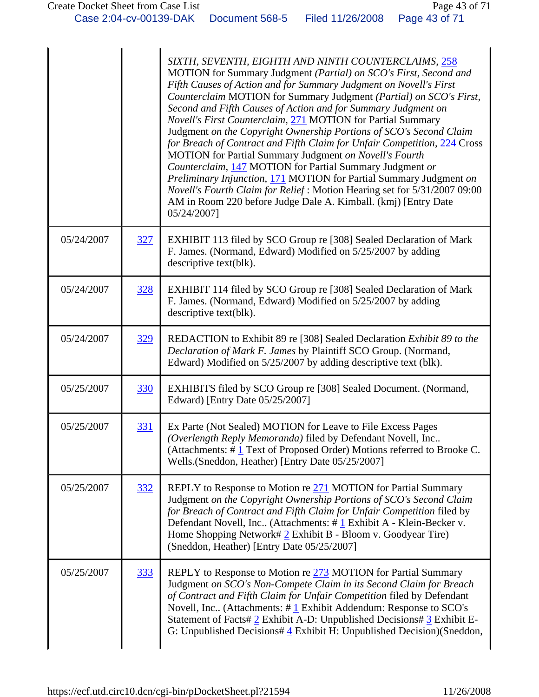|            |            | SIXTH, SEVENTH, EIGHTH AND NINTH COUNTERCLAIMS, 258<br>MOTION for Summary Judgment (Partial) on SCO's First, Second and<br>Fifth Causes of Action and for Summary Judgment on Novell's First<br>Counterclaim MOTION for Summary Judgment (Partial) on SCO's First,<br>Second and Fifth Causes of Action and for Summary Judgment on<br>Novell's First Counterclaim, 271 MOTION for Partial Summary<br>Judgment on the Copyright Ownership Portions of SCO's Second Claim<br>for Breach of Contract and Fifth Claim for Unfair Competition, 224 Cross<br>MOTION for Partial Summary Judgment on Novell's Fourth<br>Counterclaim, 147 MOTION for Partial Summary Judgment or<br>Preliminary Injunction, 171 MOTION for Partial Summary Judgment on<br>Novell's Fourth Claim for Relief: Motion Hearing set for 5/31/2007 09:00<br>AM in Room 220 before Judge Dale A. Kimball. (kmj) [Entry Date<br>05/24/2007] |
|------------|------------|---------------------------------------------------------------------------------------------------------------------------------------------------------------------------------------------------------------------------------------------------------------------------------------------------------------------------------------------------------------------------------------------------------------------------------------------------------------------------------------------------------------------------------------------------------------------------------------------------------------------------------------------------------------------------------------------------------------------------------------------------------------------------------------------------------------------------------------------------------------------------------------------------------------|
| 05/24/2007 | 327        | EXHIBIT 113 filed by SCO Group re [308] Sealed Declaration of Mark<br>F. James. (Normand, Edward) Modified on 5/25/2007 by adding<br>descriptive text(blk).                                                                                                                                                                                                                                                                                                                                                                                                                                                                                                                                                                                                                                                                                                                                                   |
| 05/24/2007 | 328        | EXHIBIT 114 filed by SCO Group re [308] Sealed Declaration of Mark<br>F. James. (Normand, Edward) Modified on 5/25/2007 by adding<br>descriptive text(blk).                                                                                                                                                                                                                                                                                                                                                                                                                                                                                                                                                                                                                                                                                                                                                   |
| 05/24/2007 | 329        | REDACTION to Exhibit 89 re [308] Sealed Declaration Exhibit 89 to the<br>Declaration of Mark F. James by Plaintiff SCO Group. (Normand,<br>Edward) Modified on 5/25/2007 by adding descriptive text (blk).                                                                                                                                                                                                                                                                                                                                                                                                                                                                                                                                                                                                                                                                                                    |
| 05/25/2007 | 330        | EXHIBITS filed by SCO Group re [308] Sealed Document. (Normand,<br>Edward) [Entry Date 05/25/2007]                                                                                                                                                                                                                                                                                                                                                                                                                                                                                                                                                                                                                                                                                                                                                                                                            |
| 05/25/2007 | 331        | Ex Parte (Not Sealed) MOTION for Leave to File Excess Pages<br>(Overlength Reply Memoranda) filed by Defendant Novell, Inc.<br>(Attachments: #1 Text of Proposed Order) Motions referred to Brooke C.<br>Wells. (Sneddon, Heather) [Entry Date 05/25/2007]                                                                                                                                                                                                                                                                                                                                                                                                                                                                                                                                                                                                                                                    |
| 05/25/2007 | 332        | REPLY to Response to Motion re 271 MOTION for Partial Summary<br>Judgment on the Copyright Ownership Portions of SCO's Second Claim<br>for Breach of Contract and Fifth Claim for Unfair Competition filed by<br>Defendant Novell, Inc (Attachments: #1 Exhibit A - Klein-Becker v.<br>Home Shopping Network# $2$ Exhibit B - Bloom v. Goodyear Tire)<br>(Sneddon, Heather) [Entry Date 05/25/2007]                                                                                                                                                                                                                                                                                                                                                                                                                                                                                                           |
| 05/25/2007 | <u>333</u> | REPLY to Response to Motion re 273 MOTION for Partial Summary<br>Judgment on SCO's Non-Compete Claim in its Second Claim for Breach<br>of Contract and Fifth Claim for Unfair Competition filed by Defendant<br>Novell, Inc (Attachments: $\#$ 1 Exhibit Addendum: Response to SCO's<br>Statement of Facts# 2 Exhibit A-D: Unpublished Decisions# 3 Exhibit E-<br>G: Unpublished Decisions# $4$ Exhibit H: Unpublished Decision)(Sneddon,                                                                                                                                                                                                                                                                                                                                                                                                                                                                     |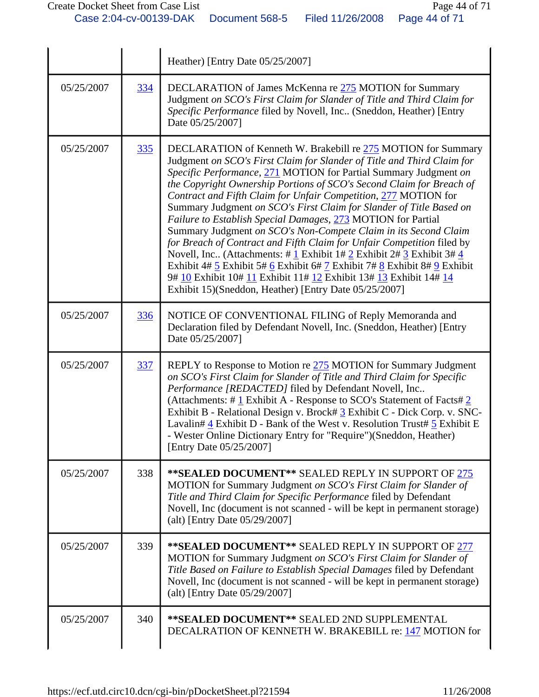|            |     | Heather) [Entry Date 05/25/2007]                                                                                                                                                                                                                                                                                                                                                                                                                                                                                                                                                                                                                                                                                                                                                                                                                                                                                                      |
|------------|-----|---------------------------------------------------------------------------------------------------------------------------------------------------------------------------------------------------------------------------------------------------------------------------------------------------------------------------------------------------------------------------------------------------------------------------------------------------------------------------------------------------------------------------------------------------------------------------------------------------------------------------------------------------------------------------------------------------------------------------------------------------------------------------------------------------------------------------------------------------------------------------------------------------------------------------------------|
| 05/25/2007 | 334 | DECLARATION of James McKenna re 275 MOTION for Summary<br>Judgment on SCO's First Claim for Slander of Title and Third Claim for<br>Specific Performance filed by Novell, Inc (Sneddon, Heather) [Entry<br>Date 05/25/2007]                                                                                                                                                                                                                                                                                                                                                                                                                                                                                                                                                                                                                                                                                                           |
| 05/25/2007 | 335 | DECLARATION of Kenneth W. Brakebill re 275 MOTION for Summary<br>Judgment on SCO's First Claim for Slander of Title and Third Claim for<br>Specific Performance, 271 MOTION for Partial Summary Judgment on<br>the Copyright Ownership Portions of SCO's Second Claim for Breach of<br>Contract and Fifth Claim for Unfair Competition, 277 MOTION for<br>Summary Judgment on SCO's First Claim for Slander of Title Based on<br>Failure to Establish Special Damages, 273 MOTION for Partial<br>Summary Judgment on SCO's Non-Compete Claim in its Second Claim<br>for Breach of Contract and Fifth Claim for Unfair Competition filed by<br>Novell, Inc. (Attachments: # $1$ Exhibit 1# $2$ Exhibit 2# $3$ Exhibit 3# $4$<br>Exhibit 4# 5 Exhibit 5# 6 Exhibit 6# 7 Exhibit 7# 8 Exhibit 8# 9 Exhibit<br>9# 10 Exhibit 10# 11 Exhibit 11# 12 Exhibit 13# 13 Exhibit 14# 14<br>Exhibit 15)(Sneddon, Heather) [Entry Date 05/25/2007] |
| 05/25/2007 | 336 | NOTICE OF CONVENTIONAL FILING of Reply Memoranda and<br>Declaration filed by Defendant Novell, Inc. (Sneddon, Heather) [Entry<br>Date 05/25/2007]                                                                                                                                                                                                                                                                                                                                                                                                                                                                                                                                                                                                                                                                                                                                                                                     |
| 05/25/2007 | 337 | REPLY to Response to Motion re 275 MOTION for Summary Judgment<br>on SCO's First Claim for Slander of Title and Third Claim for Specific<br>Performance [REDACTED] filed by Defendant Novell, Inc<br>(Attachments: $\# \underline{1}$ Exhibit A - Response to SCO's Statement of Facts $\frac{2}{2}$<br>Exhibit B - Relational Design v. Brock# 3 Exhibit C - Dick Corp. v. SNC-<br>Lavalin# 4 Exhibit D - Bank of the West v. Resolution Trust# 5 Exhibit E<br>- Wester Online Dictionary Entry for "Require")(Sneddon, Heather)<br>[Entry Date 05/25/2007]                                                                                                                                                                                                                                                                                                                                                                          |
| 05/25/2007 | 338 | ** SEALED DOCUMENT** SEALED REPLY IN SUPPORT OF 275<br>MOTION for Summary Judgment on SCO's First Claim for Slander of<br>Title and Third Claim for Specific Performance filed by Defendant<br>Novell, Inc (document is not scanned - will be kept in permanent storage)<br>(alt) [Entry Date 05/29/2007]                                                                                                                                                                                                                                                                                                                                                                                                                                                                                                                                                                                                                             |
| 05/25/2007 | 339 | **SEALED DOCUMENT** SEALED REPLY IN SUPPORT OF 277<br>MOTION for Summary Judgment on SCO's First Claim for Slander of<br>Title Based on Failure to Establish Special Damages filed by Defendant<br>Novell, Inc (document is not scanned - will be kept in permanent storage)<br>(alt) [Entry Date $05/29/2007$ ]                                                                                                                                                                                                                                                                                                                                                                                                                                                                                                                                                                                                                      |
| 05/25/2007 | 340 | ** SEALED DOCUMENT** SEALED 2ND SUPPLEMENTAL<br>DECALRATION OF KENNETH W. BRAKEBILL re: 147 MOTION for                                                                                                                                                                                                                                                                                                                                                                                                                                                                                                                                                                                                                                                                                                                                                                                                                                |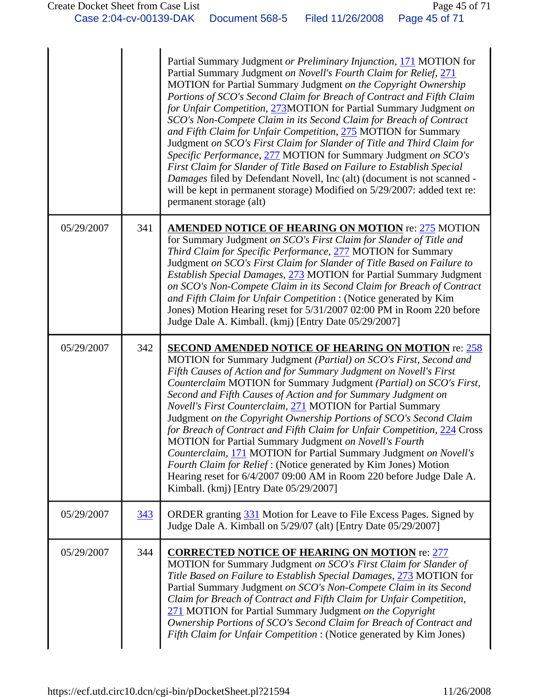|            |     | Partial Summary Judgment or Preliminary Injunction, 171 MOTION for<br>Partial Summary Judgment on Novell's Fourth Claim for Relief, 271<br>MOTION for Partial Summary Judgment on the Copyright Ownership<br>Portions of SCO's Second Claim for Breach of Contract and Fifth Claim<br>for Unfair Competition, 273MOTION for Partial Summary Judgment on<br>SCO's Non-Compete Claim in its Second Claim for Breach of Contract<br>and Fifth Claim for Unfair Competition, 275 MOTION for Summary<br>Judgment on SCO's First Claim for Slander of Title and Third Claim for<br>Specific Performance, 277 MOTION for Summary Judgment on SCO's<br>First Claim for Slander of Title Based on Failure to Establish Special<br>Damages filed by Defendant Novell, Inc (alt) (document is not scanned -<br>will be kept in permanent storage) Modified on 5/29/2007: added text re:<br>permanent storage (alt) |
|------------|-----|---------------------------------------------------------------------------------------------------------------------------------------------------------------------------------------------------------------------------------------------------------------------------------------------------------------------------------------------------------------------------------------------------------------------------------------------------------------------------------------------------------------------------------------------------------------------------------------------------------------------------------------------------------------------------------------------------------------------------------------------------------------------------------------------------------------------------------------------------------------------------------------------------------|
| 05/29/2007 | 341 | <b>AMENDED NOTICE OF HEARING ON MOTION re: 275 MOTION</b><br>for Summary Judgment on SCO's First Claim for Slander of Title and<br>Third Claim for Specific Performance, 277 MOTION for Summary<br>Judgment on SCO's First Claim for Slander of Title Based on Failure to<br>Establish Special Damages, 273 MOTION for Partial Summary Judgment<br>on SCO's Non-Compete Claim in its Second Claim for Breach of Contract<br>and Fifth Claim for Unfair Competition : (Notice generated by Kim<br>Jones) Motion Hearing reset for 5/31/2007 02:00 PM in Room 220 before<br>Judge Dale A. Kimball. (kmj) [Entry Date 05/29/2007]                                                                                                                                                                                                                                                                          |
| 05/29/2007 | 342 | <b>SECOND AMENDED NOTICE OF HEARING ON MOTION re: 258</b><br>MOTION for Summary Judgment (Partial) on SCO's First, Second and<br>Fifth Causes of Action and for Summary Judgment on Novell's First<br>Counterclaim MOTION for Summary Judgment (Partial) on SCO's First,<br>Second and Fifth Causes of Action and for Summary Judgment on<br>Novell's First Counterclaim, 271 MOTION for Partial Summary<br>Judgment on the Copyright Ownership Portions of SCO's Second Claim<br>for Breach of Contract and Fifth Claim for Unfair Competition, 224 Cross<br><b>MOTION</b> for Partial Summary Judgment on Novell's Fourth<br>Counterclaim, 171 MOTION for Partial Summary Judgment on Novell's<br>Fourth Claim for Relief: (Notice generated by Kim Jones) Motion<br>Hearing reset for 6/4/2007 09:00 AM in Room 220 before Judge Dale A.<br>Kimball. (kmj) [Entry Date 05/29/2007]                   |
| 05/29/2007 | 343 | ORDER granting 331 Motion for Leave to File Excess Pages. Signed by<br>Judge Dale A. Kimball on 5/29/07 (alt) [Entry Date 05/29/2007]                                                                                                                                                                                                                                                                                                                                                                                                                                                                                                                                                                                                                                                                                                                                                                   |
| 05/29/2007 | 344 | <b>CORRECTED NOTICE OF HEARING ON MOTION re: 277</b><br>MOTION for Summary Judgment on SCO's First Claim for Slander of<br>Title Based on Failure to Establish Special Damages, 273 MOTION for<br>Partial Summary Judgment on SCO's Non-Compete Claim in its Second<br>Claim for Breach of Contract and Fifth Claim for Unfair Competition,<br>271 MOTION for Partial Summary Judgment on the Copyright<br>Ownership Portions of SCO's Second Claim for Breach of Contract and<br>Fifth Claim for Unfair Competition : (Notice generated by Kim Jones)                                                                                                                                                                                                                                                                                                                                                  |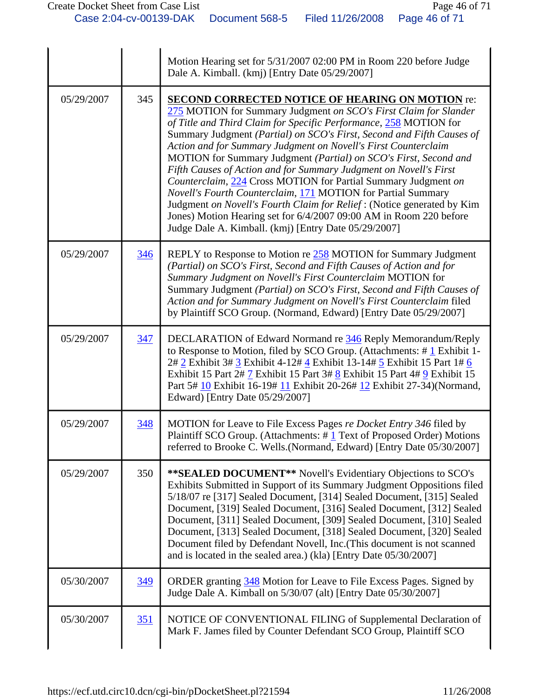|            |     | Motion Hearing set for 5/31/2007 02:00 PM in Room 220 before Judge<br>Dale A. Kimball. (kmj) [Entry Date 05/29/2007]                                                                                                                                                                                                                                                                                                                                                                                                                                                                                                                                                                                                                                                                                                           |
|------------|-----|--------------------------------------------------------------------------------------------------------------------------------------------------------------------------------------------------------------------------------------------------------------------------------------------------------------------------------------------------------------------------------------------------------------------------------------------------------------------------------------------------------------------------------------------------------------------------------------------------------------------------------------------------------------------------------------------------------------------------------------------------------------------------------------------------------------------------------|
| 05/29/2007 | 345 | <b>SECOND CORRECTED NOTICE OF HEARING ON MOTION re:</b><br>275 MOTION for Summary Judgment on SCO's First Claim for Slander<br>of Title and Third Claim for Specific Performance, 258 MOTION for<br>Summary Judgment (Partial) on SCO's First, Second and Fifth Causes of<br>Action and for Summary Judgment on Novell's First Counterclaim<br>MOTION for Summary Judgment (Partial) on SCO's First, Second and<br>Fifth Causes of Action and for Summary Judgment on Novell's First<br>Counterclaim, 224 Cross MOTION for Partial Summary Judgment on<br>Novell's Fourth Counterclaim, 171 MOTION for Partial Summary<br>Judgment on Novell's Fourth Claim for Relief: (Notice generated by Kim<br>Jones) Motion Hearing set for 6/4/2007 09:00 AM in Room 220 before<br>Judge Dale A. Kimball. (kmj) [Entry Date 05/29/2007] |
| 05/29/2007 | 346 | REPLY to Response to Motion re 258 MOTION for Summary Judgment<br>(Partial) on SCO's First, Second and Fifth Causes of Action and for<br>Summary Judgment on Novell's First Counterclaim MOTION for<br>Summary Judgment (Partial) on SCO's First, Second and Fifth Causes of<br>Action and for Summary Judgment on Novell's First Counterclaim filed<br>by Plaintiff SCO Group. (Normand, Edward) [Entry Date 05/29/2007]                                                                                                                                                                                                                                                                                                                                                                                                      |
| 05/29/2007 | 347 | DECLARATION of Edward Normand re 346 Reply Memorandum/Reply<br>to Response to Motion, filed by SCO Group. (Attachments: $\# \underline{1}$ Exhibit 1-<br>2# 2 Exhibit 3# 3 Exhibit 4-12# 4 Exhibit 13-14# 5 Exhibit 15 Part 1# 6<br>Exhibit 15 Part 2# 7 Exhibit 15 Part 3# 8 Exhibit 15 Part 4# 9 Exhibit 15<br>Part 5# 10 Exhibit 16-19# 11 Exhibit 20-26# 12 Exhibit 27-34) (Normand,<br>Edward) [Entry Date 05/29/2007]                                                                                                                                                                                                                                                                                                                                                                                                    |
| 05/29/2007 | 348 | MOTION for Leave to File Excess Pages re Docket Entry 346 filed by<br>Plaintiff SCO Group. (Attachments: $\#$ 1 Text of Proposed Order) Motions<br>referred to Brooke C. Wells. (Normand, Edward) [Entry Date 05/30/2007]                                                                                                                                                                                                                                                                                                                                                                                                                                                                                                                                                                                                      |
| 05/29/2007 | 350 | ** SEALED DOCUMENT** Novell's Evidentiary Objections to SCO's<br>Exhibits Submitted in Support of its Summary Judgment Oppositions filed<br>5/18/07 re [317] Sealed Document, [314] Sealed Document, [315] Sealed<br>Document, [319] Sealed Document, [316] Sealed Document, [312] Sealed<br>Document, [311] Sealed Document, [309] Sealed Document, [310] Sealed<br>Document, [313] Sealed Document, [318] Sealed Document, [320] Sealed<br>Document filed by Defendant Novell, Inc. (This document is not scanned<br>and is located in the sealed area.) (kla) [Entry Date 05/30/2007]                                                                                                                                                                                                                                       |
| 05/30/2007 | 349 | ORDER granting 348 Motion for Leave to File Excess Pages. Signed by<br>Judge Dale A. Kimball on 5/30/07 (alt) [Entry Date 05/30/2007]                                                                                                                                                                                                                                                                                                                                                                                                                                                                                                                                                                                                                                                                                          |
| 05/30/2007 | 351 | NOTICE OF CONVENTIONAL FILING of Supplemental Declaration of<br>Mark F. James filed by Counter Defendant SCO Group, Plaintiff SCO                                                                                                                                                                                                                                                                                                                                                                                                                                                                                                                                                                                                                                                                                              |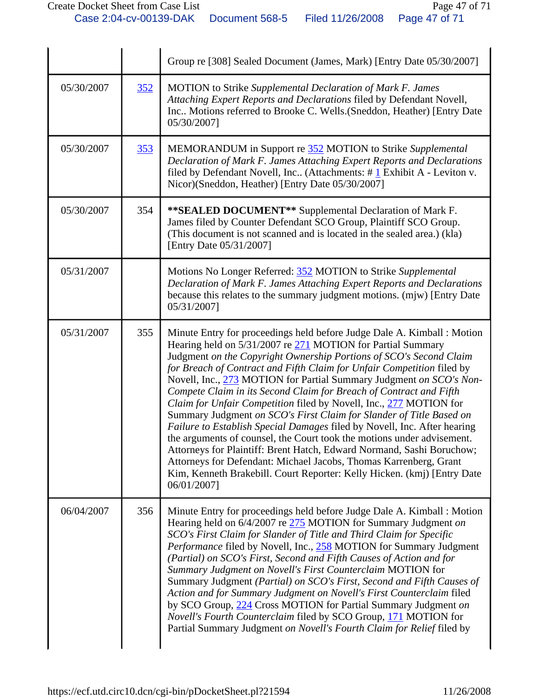|            |     | Group re [308] Sealed Document (James, Mark) [Entry Date 05/30/2007]                                                                                                                                                                                                                                                                                                                                                                                                                                                                                                                                                                                                                                                                                                                                                                                                                                                                                                           |
|------------|-----|--------------------------------------------------------------------------------------------------------------------------------------------------------------------------------------------------------------------------------------------------------------------------------------------------------------------------------------------------------------------------------------------------------------------------------------------------------------------------------------------------------------------------------------------------------------------------------------------------------------------------------------------------------------------------------------------------------------------------------------------------------------------------------------------------------------------------------------------------------------------------------------------------------------------------------------------------------------------------------|
| 05/30/2007 | 352 | <b>MOTION</b> to Strike Supplemental Declaration of Mark F. James<br>Attaching Expert Reports and Declarations filed by Defendant Novell,<br>Inc Motions referred to Brooke C. Wells.(Sneddon, Heather) [Entry Date<br>05/30/2007]                                                                                                                                                                                                                                                                                                                                                                                                                                                                                                                                                                                                                                                                                                                                             |
| 05/30/2007 | 353 | MEMORANDUM in Support re 352 MOTION to Strike Supplemental<br>Declaration of Mark F. James Attaching Expert Reports and Declarations<br>filed by Defendant Novell, Inc (Attachments: $\# \underline{1}$ Exhibit A - Leviton v.<br>Nicor)(Sneddon, Heather) [Entry Date 05/30/2007]                                                                                                                                                                                                                                                                                                                                                                                                                                                                                                                                                                                                                                                                                             |
| 05/30/2007 | 354 | ** SEALED DOCUMENT** Supplemental Declaration of Mark F.<br>James filed by Counter Defendant SCO Group, Plaintiff SCO Group.<br>(This document is not scanned and is located in the sealed area.) (kla)<br>[Entry Date 05/31/2007]                                                                                                                                                                                                                                                                                                                                                                                                                                                                                                                                                                                                                                                                                                                                             |
| 05/31/2007 |     | Motions No Longer Referred: 352 MOTION to Strike Supplemental<br>Declaration of Mark F. James Attaching Expert Reports and Declarations<br>because this relates to the summary judgment motions. (mjw) [Entry Date<br>05/31/2007]                                                                                                                                                                                                                                                                                                                                                                                                                                                                                                                                                                                                                                                                                                                                              |
| 05/31/2007 | 355 | Minute Entry for proceedings held before Judge Dale A. Kimball : Motion<br>Hearing held on 5/31/2007 re 271 MOTION for Partial Summary<br>Judgment on the Copyright Ownership Portions of SCO's Second Claim<br>for Breach of Contract and Fifth Claim for Unfair Competition filed by<br>Novell, Inc., 273 MOTION for Partial Summary Judgment on SCO's Non-<br>Compete Claim in its Second Claim for Breach of Contract and Fifth<br>Claim for Unfair Competition filed by Novell, Inc., 277 MOTION for<br>Summary Judgment on SCO's First Claim for Slander of Title Based on<br>Failure to Establish Special Damages filed by Novell, Inc. After hearing<br>the arguments of counsel, the Court took the motions under advisement.<br>Attorneys for Plaintiff: Brent Hatch, Edward Normand, Sashi Boruchow;<br>Attorneys for Defendant: Michael Jacobs, Thomas Karrenberg, Grant<br>Kim, Kenneth Brakebill. Court Reporter: Kelly Hicken. (kmj) [Entry Date<br>06/01/2007] |
| 06/04/2007 | 356 | Minute Entry for proceedings held before Judge Dale A. Kimball: Motion<br>Hearing held on 6/4/2007 re 275 MOTION for Summary Judgment on<br>SCO's First Claim for Slander of Title and Third Claim for Specific<br>Performance filed by Novell, Inc., 258 MOTION for Summary Judgment<br>(Partial) on SCO's First, Second and Fifth Causes of Action and for<br>Summary Judgment on Novell's First Counterclaim MOTION for<br>Summary Judgment (Partial) on SCO's First, Second and Fifth Causes of<br>Action and for Summary Judgment on Novell's First Counterclaim filed<br>by SCO Group, 224 Cross MOTION for Partial Summary Judgment on<br>Novell's Fourth Counterclaim filed by SCO Group, 171 MOTION for<br>Partial Summary Judgment on Novell's Fourth Claim for Relief filed by                                                                                                                                                                                      |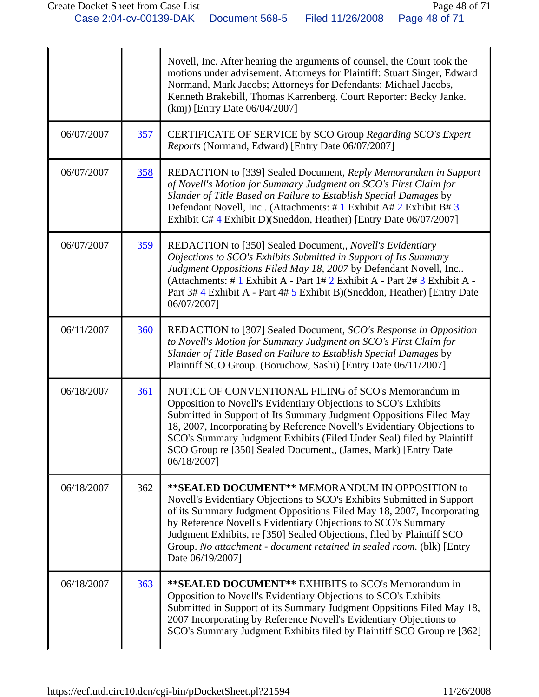|            |            | Novell, Inc. After hearing the arguments of counsel, the Court took the<br>motions under advisement. Attorneys for Plaintiff: Stuart Singer, Edward<br>Normand, Mark Jacobs; Attorneys for Defendants: Michael Jacobs,<br>Kenneth Brakebill, Thomas Karrenberg. Court Reporter: Becky Janke.<br>(kmj) [Entry Date 06/04/2007]                                                                                                              |
|------------|------------|--------------------------------------------------------------------------------------------------------------------------------------------------------------------------------------------------------------------------------------------------------------------------------------------------------------------------------------------------------------------------------------------------------------------------------------------|
| 06/07/2007 | <u>357</u> | CERTIFICATE OF SERVICE by SCO Group Regarding SCO's Expert<br>Reports (Normand, Edward) [Entry Date 06/07/2007]                                                                                                                                                                                                                                                                                                                            |
| 06/07/2007 | 358        | REDACTION to [339] Sealed Document, Reply Memorandum in Support<br>of Novell's Motion for Summary Judgment on SCO's First Claim for<br>Slander of Title Based on Failure to Establish Special Damages by<br>Defendant Novell, Inc. (Attachments: $\# \underline{1}$ Exhibit A $\# \underline{2}$ Exhibit B $\# \underline{3}$<br>Exhibit C# 4 Exhibit D)(Sneddon, Heather) [Entry Date 06/07/2007]                                         |
| 06/07/2007 | 359        | REDACTION to [350] Sealed Document,, Novell's Evidentiary<br>Objections to SCO's Exhibits Submitted in Support of Its Summary<br>Judgment Oppositions Filed May 18, 2007 by Defendant Novell, Inc<br>(Attachments: # $1$ Exhibit A - Part $1# 2$ Exhibit A - Part $2# 3$ Exhibit A -<br>Part 3# 4 Exhibit A - Part 4# 5 Exhibit B)(Sneddon, Heather) [Entry Date<br>06/07/2007]                                                            |
| 06/11/2007 | 360        | REDACTION to [307] Sealed Document, SCO's Response in Opposition<br>to Novell's Motion for Summary Judgment on SCO's First Claim for<br>Slander of Title Based on Failure to Establish Special Damages by<br>Plaintiff SCO Group. (Boruchow, Sashi) [Entry Date 06/11/2007]                                                                                                                                                                |
| 06/18/2007 | 361        | NOTICE OF CONVENTIONAL FILING of SCO's Memorandum in<br>Opposition to Novell's Evidentiary Objections to SCO's Exhibits<br>Submitted in Support of Its Summary Judgment Oppositions Filed May<br>18, 2007, Incorporating by Reference Novell's Evidentiary Objections to<br>SCO's Summary Judgment Exhibits (Filed Under Seal) filed by Plaintiff<br>SCO Group re [350] Sealed Document,, (James, Mark) [Entry Date<br>06/18/2007]         |
| 06/18/2007 | 362        | ** SEALED DOCUMENT** MEMORANDUM IN OPPOSITION to<br>Novell's Evidentiary Objections to SCO's Exhibits Submitted in Support<br>of its Summary Judgment Oppositions Filed May 18, 2007, Incorporating<br>by Reference Novell's Evidentiary Objections to SCO's Summary<br>Judgment Exhibits, re [350] Sealed Objections, filed by Plaintiff SCO<br>Group. No attachment - document retained in sealed room. (blk) [Entry<br>Date 06/19/2007] |
| 06/18/2007 | 363        | ** SEALED DOCUMENT** EXHIBITS to SCO's Memorandum in<br>Opposition to Novell's Evidentiary Objections to SCO's Exhibits<br>Submitted in Support of its Summary Judgment Oppsitions Filed May 18,<br>2007 Incorporating by Reference Novell's Evidentiary Objections to<br>SCO's Summary Judgment Exhibits filed by Plaintiff SCO Group re [362]                                                                                            |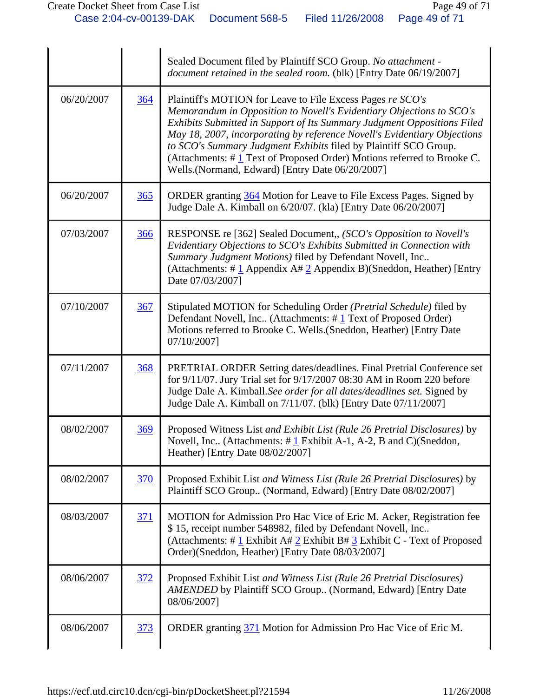|            |     | Sealed Document filed by Plaintiff SCO Group. No attachment -<br>document retained in the sealed room. (blk) [Entry Date 06/19/2007]                                                                                                                                                                                                                                                                                                                                                           |
|------------|-----|------------------------------------------------------------------------------------------------------------------------------------------------------------------------------------------------------------------------------------------------------------------------------------------------------------------------------------------------------------------------------------------------------------------------------------------------------------------------------------------------|
| 06/20/2007 | 364 | Plaintiff's MOTION for Leave to File Excess Pages re SCO's<br>Memorandum in Opposition to Novell's Evidentiary Objections to SCO's<br>Exhibits Submitted in Support of Its Summary Judgment Oppositions Filed<br>May 18, 2007, incorporating by reference Novell's Evidentiary Objections<br>to SCO's Summary Judgment Exhibits filed by Plaintiff SCO Group.<br>(Attachments: $\#$ 1 Text of Proposed Order) Motions referred to Brooke C.<br>Wells.(Normand, Edward) [Entry Date 06/20/2007] |
| 06/20/2007 | 365 | ORDER granting 364 Motion for Leave to File Excess Pages. Signed by<br>Judge Dale A. Kimball on 6/20/07. (kla) [Entry Date 06/20/2007]                                                                                                                                                                                                                                                                                                                                                         |
| 07/03/2007 | 366 | RESPONSE re [362] Sealed Document,, (SCO's Opposition to Novell's<br>Evidentiary Objections to SCO's Exhibits Submitted in Connection with<br>Summary Judgment Motions) filed by Defendant Novell, Inc<br>(Attachments: # $\perp$ Appendix A# $\perp$ Appendix B)(Sneddon, Heather) [Entry<br>Date 07/03/2007]                                                                                                                                                                                 |
| 07/10/2007 | 367 | Stipulated MOTION for Scheduling Order (Pretrial Schedule) filed by<br>Defendant Novell, Inc (Attachments: #1 Text of Proposed Order)<br>Motions referred to Brooke C. Wells. (Sneddon, Heather) [Entry Date<br>07/10/2007]                                                                                                                                                                                                                                                                    |
| 07/11/2007 | 368 | PRETRIAL ORDER Setting dates/deadlines. Final Pretrial Conference set<br>for 9/11/07. Jury Trial set for 9/17/2007 08:30 AM in Room 220 before<br>Judge Dale A. Kimball. See order for all dates/deadlines set. Signed by<br>Judge Dale A. Kimball on 7/11/07. (blk) [Entry Date 07/11/2007]                                                                                                                                                                                                   |
| 08/02/2007 | 369 | Proposed Witness List and Exhibit List (Rule 26 Pretrial Disclosures) by<br>Novell, Inc (Attachments: $\# \underline{1}$ Exhibit A-1, A-2, B and C)(Sneddon,<br>Heather) [Entry Date 08/02/2007]                                                                                                                                                                                                                                                                                               |
| 08/02/2007 | 370 | Proposed Exhibit List and Witness List (Rule 26 Pretrial Disclosures) by<br>Plaintiff SCO Group (Normand, Edward) [Entry Date 08/02/2007]                                                                                                                                                                                                                                                                                                                                                      |
| 08/03/2007 | 371 | MOTION for Admission Pro Hac Vice of Eric M. Acker, Registration fee<br>\$15, receipt number 548982, filed by Defendant Novell, Inc<br>(Attachments: # $1$ Exhibit A# $2$ Exhibit B# $3$ Exhibit C - Text of Proposed<br>Order)(Sneddon, Heather) [Entry Date 08/03/2007]                                                                                                                                                                                                                      |
| 08/06/2007 | 372 | Proposed Exhibit List and Witness List (Rule 26 Pretrial Disclosures)<br>AMENDED by Plaintiff SCO Group (Normand, Edward) [Entry Date<br>08/06/2007]                                                                                                                                                                                                                                                                                                                                           |
| 08/06/2007 | 373 | ORDER granting 371 Motion for Admission Pro Hac Vice of Eric M.                                                                                                                                                                                                                                                                                                                                                                                                                                |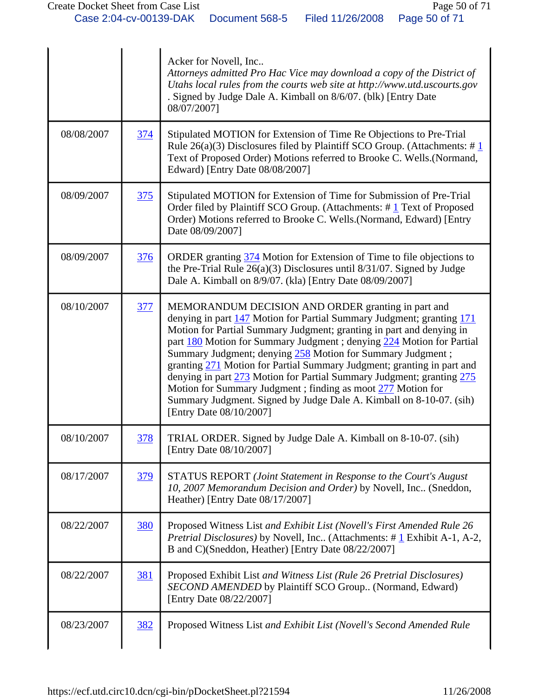|            |            | Acker for Novell, Inc<br>Attorneys admitted Pro Hac Vice may download a copy of the District of<br>Utahs local rules from the courts web site at http://www.utd.uscourts.gov<br>. Signed by Judge Dale A. Kimball on 8/6/07. (blk) [Entry Date<br>08/07/2007]                                                                                                                                                                                                                                                                                                                                                                                                   |
|------------|------------|-----------------------------------------------------------------------------------------------------------------------------------------------------------------------------------------------------------------------------------------------------------------------------------------------------------------------------------------------------------------------------------------------------------------------------------------------------------------------------------------------------------------------------------------------------------------------------------------------------------------------------------------------------------------|
| 08/08/2007 | <u>374</u> | Stipulated MOTION for Extension of Time Re Objections to Pre-Trial<br>Rule 26(a)(3) Disclosures filed by Plaintiff SCO Group. (Attachments: $\#$ 1<br>Text of Proposed Order) Motions referred to Brooke C. Wells.(Normand,<br>Edward) [Entry Date 08/08/2007]                                                                                                                                                                                                                                                                                                                                                                                                  |
| 08/09/2007 | 375        | Stipulated MOTION for Extension of Time for Submission of Pre-Trial<br>Order filed by Plaintiff SCO Group. (Attachments: $\# \underline{1}$ Text of Proposed<br>Order) Motions referred to Brooke C. Wells. (Normand, Edward) [Entry<br>Date 08/09/2007]                                                                                                                                                                                                                                                                                                                                                                                                        |
| 08/09/2007 | 376        | ORDER granting 374 Motion for Extension of Time to file objections to<br>the Pre-Trial Rule $26(a)(3)$ Disclosures until $8/31/07$ . Signed by Judge<br>Dale A. Kimball on 8/9/07. (kla) [Entry Date 08/09/2007]                                                                                                                                                                                                                                                                                                                                                                                                                                                |
| 08/10/2007 | 377        | MEMORANDUM DECISION AND ORDER granting in part and<br>denying in part 147 Motion for Partial Summary Judgment; granting 171<br>Motion for Partial Summary Judgment; granting in part and denying in<br>part 180 Motion for Summary Judgment ; denying 224 Motion for Partial<br>Summary Judgment; denying 258 Motion for Summary Judgment;<br>granting 271 Motion for Partial Summary Judgment; granting in part and<br>denying in part 273 Motion for Partial Summary Judgment; granting 275<br>Motion for Summary Judgment ; finding as moot 277 Motion for<br>Summary Judgment. Signed by Judge Dale A. Kimball on 8-10-07. (sih)<br>[Entry Date 08/10/2007] |
| 08/10/2007 | 378        | TRIAL ORDER. Signed by Judge Dale A. Kimball on 8-10-07. (sih)<br>[Entry Date 08/10/2007]                                                                                                                                                                                                                                                                                                                                                                                                                                                                                                                                                                       |
| 08/17/2007 | <u>379</u> | STATUS REPORT (Joint Statement in Response to the Court's August<br>10, 2007 Memorandum Decision and Order) by Novell, Inc (Sneddon,<br>Heather) [Entry Date 08/17/2007]                                                                                                                                                                                                                                                                                                                                                                                                                                                                                        |
| 08/22/2007 | <b>380</b> | Proposed Witness List and Exhibit List (Novell's First Amended Rule 26<br><i>Pretrial Disclosures</i> ) by Novell, Inc (Attachments: #1 Exhibit A-1, A-2,<br>B and C)(Sneddon, Heather) [Entry Date 08/22/2007]                                                                                                                                                                                                                                                                                                                                                                                                                                                 |
| 08/22/2007 | <u>381</u> | Proposed Exhibit List and Witness List (Rule 26 Pretrial Disclosures)<br>SECOND AMENDED by Plaintiff SCO Group (Normand, Edward)<br>[Entry Date 08/22/2007]                                                                                                                                                                                                                                                                                                                                                                                                                                                                                                     |
| 08/23/2007 | 382        | Proposed Witness List and Exhibit List (Novell's Second Amended Rule                                                                                                                                                                                                                                                                                                                                                                                                                                                                                                                                                                                            |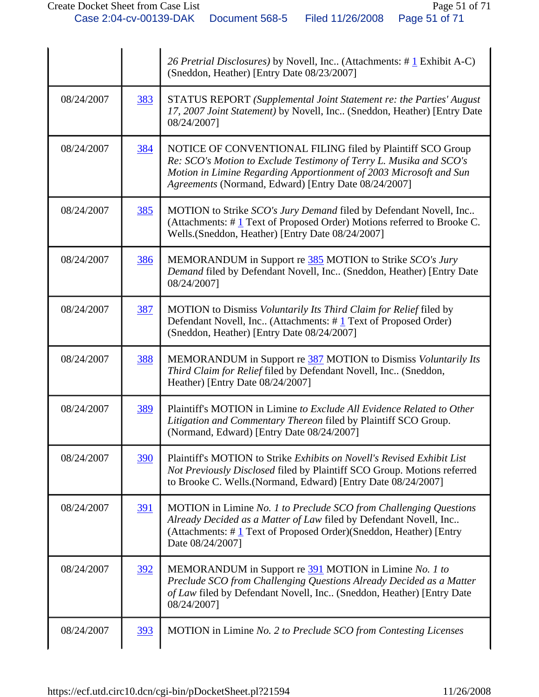|            |            | 26 Pretrial Disclosures) by Novell, Inc (Attachments: #1 Exhibit A-C)<br>(Sneddon, Heather) [Entry Date 08/23/2007]                                                                                                                                            |
|------------|------------|----------------------------------------------------------------------------------------------------------------------------------------------------------------------------------------------------------------------------------------------------------------|
| 08/24/2007 | 383        | STATUS REPORT (Supplemental Joint Statement re: the Parties' August<br>17, 2007 Joint Statement) by Novell, Inc (Sneddon, Heather) [Entry Date<br>08/24/2007]                                                                                                  |
| 08/24/2007 | 384        | NOTICE OF CONVENTIONAL FILING filed by Plaintiff SCO Group<br>Re: SCO's Motion to Exclude Testimony of Terry L. Musika and SCO's<br>Motion in Limine Regarding Apportionment of 2003 Microsoft and Sun<br>Agreements (Normand, Edward) [Entry Date 08/24/2007] |
| 08/24/2007 | 385        | MOTION to Strike SCO's Jury Demand filed by Defendant Novell, Inc<br>(Attachments: #1 Text of Proposed Order) Motions referred to Brooke C.<br>Wells.(Sneddon, Heather) [Entry Date 08/24/2007]                                                                |
| 08/24/2007 | 386        | MEMORANDUM in Support re 385 MOTION to Strike SCO's Jury<br>Demand filed by Defendant Novell, Inc (Sneddon, Heather) [Entry Date<br>08/24/2007]                                                                                                                |
| 08/24/2007 | 387        | MOTION to Dismiss Voluntarily Its Third Claim for Relief filed by<br>Defendant Novell, Inc (Attachments: #1 Text of Proposed Order)<br>(Sneddon, Heather) [Entry Date 08/24/2007]                                                                              |
| 08/24/2007 | 388        | MEMORANDUM in Support re 387 MOTION to Dismiss Voluntarily Its<br>Third Claim for Relief filed by Defendant Novell, Inc (Sneddon,<br>Heather) [Entry Date 08/24/2007]                                                                                          |
| 08/24/2007 | 389        | Plaintiff's MOTION in Limine to Exclude All Evidence Related to Other<br>Litigation and Commentary Thereon filed by Plaintiff SCO Group.<br>(Normand, Edward) [Entry Date 08/24/2007]                                                                          |
| 08/24/2007 | 390        | Plaintiff's MOTION to Strike Exhibits on Novell's Revised Exhibit List<br>Not Previously Disclosed filed by Plaintiff SCO Group. Motions referred<br>to Brooke C. Wells. (Normand, Edward) [Entry Date 08/24/2007]                                             |
| 08/24/2007 | <u>391</u> | MOTION in Limine No. 1 to Preclude SCO from Challenging Questions<br>Already Decided as a Matter of Law filed by Defendant Novell, Inc<br>(Attachments: $\# \mathbf{1}$ Text of Proposed Order)(Sneddon, Heather) [Entry<br>Date 08/24/2007]                   |
| 08/24/2007 | <u>392</u> | MEMORANDUM in Support re 391 MOTION in Limine No. 1 to<br>Preclude SCO from Challenging Questions Already Decided as a Matter<br>of Law filed by Defendant Novell, Inc (Sneddon, Heather) [Entry Date<br>08/24/2007]                                           |
| 08/24/2007 | <u>393</u> | MOTION in Limine No. 2 to Preclude SCO from Contesting Licenses                                                                                                                                                                                                |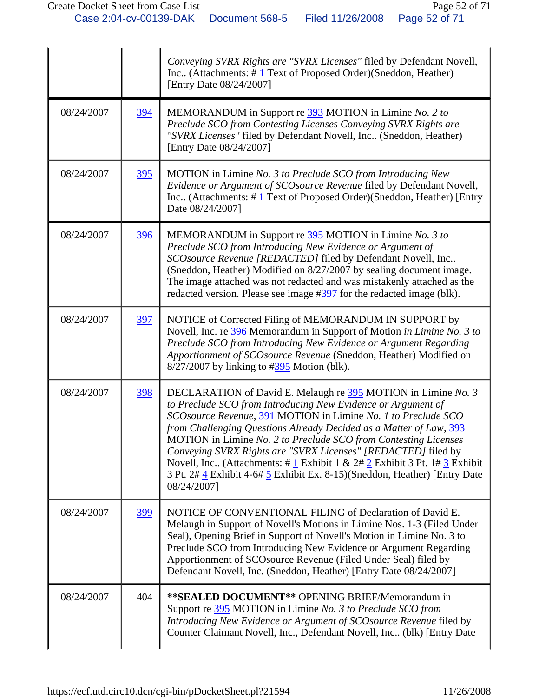|            |            | Conveying SVRX Rights are "SVRX Licenses" filed by Defendant Novell,<br>Inc (Attachments: #1 Text of Proposed Order)(Sneddon, Heather)<br>[Entry Date 08/24/2007]                                                                                                                                                                                                                                                                                                                                                                                                                   |
|------------|------------|-------------------------------------------------------------------------------------------------------------------------------------------------------------------------------------------------------------------------------------------------------------------------------------------------------------------------------------------------------------------------------------------------------------------------------------------------------------------------------------------------------------------------------------------------------------------------------------|
| 08/24/2007 | 394        | MEMORANDUM in Support re 393 MOTION in Limine No. 2 to<br>Preclude SCO from Contesting Licenses Conveying SVRX Rights are<br>"SVRX Licenses" filed by Defendant Novell, Inc (Sneddon, Heather)<br>[Entry Date 08/24/2007]                                                                                                                                                                                                                                                                                                                                                           |
| 08/24/2007 | <u>395</u> | MOTION in Limine No. 3 to Preclude SCO from Introducing New<br>Evidence or Argument of SCOsource Revenue filed by Defendant Novell,<br>Inc (Attachments: $\#$ 1 Text of Proposed Order)(Sneddon, Heather) [Entry<br>Date 08/24/2007]                                                                                                                                                                                                                                                                                                                                                |
| 08/24/2007 | 396        | MEMORANDUM in Support re 395 MOTION in Limine No. 3 to<br>Preclude SCO from Introducing New Evidence or Argument of<br>SCOsource Revenue [REDACTED] filed by Defendant Novell, Inc<br>(Sneddon, Heather) Modified on 8/27/2007 by sealing document image.<br>The image attached was not redacted and was mistakenly attached as the<br>redacted version. Please see image #397 for the redacted image (blk).                                                                                                                                                                        |
| 08/24/2007 | 397        | NOTICE of Corrected Filing of MEMORANDUM IN SUPPORT by<br>Novell, Inc. re 396 Memorandum in Support of Motion in Limine No. 3 to<br>Preclude SCO from Introducing New Evidence or Argument Regarding<br>Apportionment of SCOsource Revenue (Sneddon, Heather) Modified on<br>$8/27/2007$ by linking to $\#395$ Motion (blk).                                                                                                                                                                                                                                                        |
| 08/24/2007 | <u>398</u> | DECLARATION of David E. Melaugh re 395 MOTION in Limine No. 3<br>to Preclude SCO from Introducing New Evidence or Argument of<br>SCOsource Revenue, 391 MOTION in Limine No. 1 to Preclude SCO<br>from Challenging Questions Already Decided as a Matter of Law, 393<br>MOTION in Limine No. 2 to Preclude SCO from Contesting Licenses<br>Conveying SVRX Rights are "SVRX Licenses" [REDACTED] filed by<br>Novell, Inc. (Attachments: #1 Exhibit 1 & $2# 2$ Exhibit 3 Pt. 1#3 Exhibit<br>3 Pt. 2# 4 Exhibit 4-6# 5 Exhibit Ex. 8-15) (Sneddon, Heather) [Entry Date<br>08/24/2007] |
| 08/24/2007 | 399        | NOTICE OF CONVENTIONAL FILING of Declaration of David E.<br>Melaugh in Support of Novell's Motions in Limine Nos. 1-3 (Filed Under<br>Seal), Opening Brief in Support of Novell's Motion in Limine No. 3 to<br>Preclude SCO from Introducing New Evidence or Argument Regarding<br>Apportionment of SCOsource Revenue (Filed Under Seal) filed by<br>Defendant Novell, Inc. (Sneddon, Heather) [Entry Date 08/24/2007]                                                                                                                                                              |
| 08/24/2007 | 404        | ** SEALED DOCUMENT** OPENING BRIEF/Memorandum in<br>Support re 395 MOTION in Limine No. 3 to Preclude SCO from<br>Introducing New Evidence or Argument of SCOsource Revenue filed by<br>Counter Claimant Novell, Inc., Defendant Novell, Inc (blk) [Entry Date                                                                                                                                                                                                                                                                                                                      |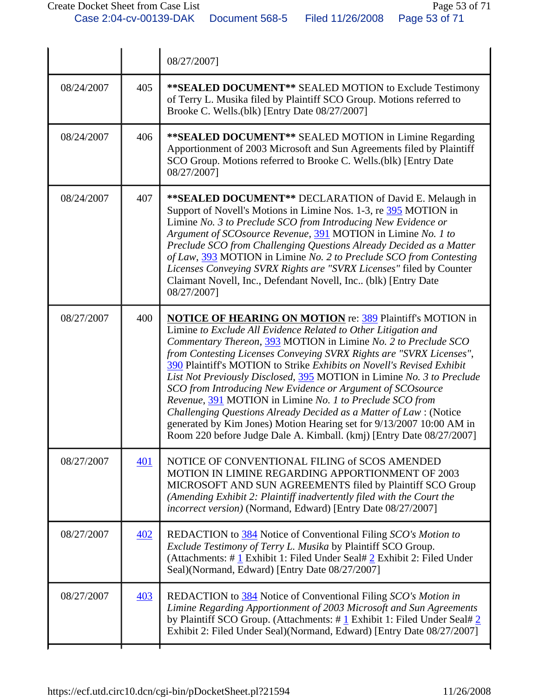|            |     | 08/27/2007]                                                                                                                                                                                                                                                                                                                                                                                                                                                                                                                                                                                                                                                                                                                                                                 |
|------------|-----|-----------------------------------------------------------------------------------------------------------------------------------------------------------------------------------------------------------------------------------------------------------------------------------------------------------------------------------------------------------------------------------------------------------------------------------------------------------------------------------------------------------------------------------------------------------------------------------------------------------------------------------------------------------------------------------------------------------------------------------------------------------------------------|
| 08/24/2007 | 405 | ** SEALED DOCUMENT** SEALED MOTION to Exclude Testimony<br>of Terry L. Musika filed by Plaintiff SCO Group. Motions referred to<br>Brooke C. Wells.(blk) [Entry Date 08/27/2007]                                                                                                                                                                                                                                                                                                                                                                                                                                                                                                                                                                                            |
| 08/24/2007 | 406 | ** SEALED DOCUMENT** SEALED MOTION in Limine Regarding<br>Apportionment of 2003 Microsoft and Sun Agreements filed by Plaintiff<br>SCO Group. Motions referred to Brooke C. Wells.(blk) [Entry Date<br>08/27/2007]                                                                                                                                                                                                                                                                                                                                                                                                                                                                                                                                                          |
| 08/24/2007 | 407 | ** SEALED DOCUMENT** DECLARATION of David E. Melaugh in<br>Support of Novell's Motions in Limine Nos. 1-3, re 395 MOTION in<br>Limine No. 3 to Preclude SCO from Introducing New Evidence or<br>Argument of SCOsource Revenue, 391 MOTION in Limine No. 1 to<br>Preclude SCO from Challenging Questions Already Decided as a Matter<br>of Law, 393 MOTION in Limine No. 2 to Preclude SCO from Contesting<br>Licenses Conveying SVRX Rights are "SVRX Licenses" filed by Counter<br>Claimant Novell, Inc., Defendant Novell, Inc., (blk) [Entry Date<br>08/27/2007]                                                                                                                                                                                                         |
| 08/27/2007 | 400 | <b>NOTICE OF HEARING ON MOTION re: 389 Plaintiffs MOTION in</b><br>Limine to Exclude All Evidence Related to Other Litigation and<br>Commentary Thereon, 393 MOTION in Limine No. 2 to Preclude SCO<br>from Contesting Licenses Conveying SVRX Rights are "SVRX Licenses",<br>390 Plaintiff's MOTION to Strike Exhibits on Novell's Revised Exhibit<br>List Not Previously Disclosed, 395 MOTION in Limine No. 3 to Preclude<br>SCO from Introducing New Evidence or Argument of SCOsource<br>Revenue, 391 MOTION in Limine No. 1 to Preclude SCO from<br>Challenging Questions Already Decided as a Matter of Law: (Notice<br>generated by Kim Jones) Motion Hearing set for 9/13/2007 10:00 AM in<br>Room 220 before Judge Dale A. Kimball. (kmj) [Entry Date 08/27/2007] |
| 08/27/2007 | 401 | NOTICE OF CONVENTIONAL FILING of SCOS AMENDED<br>MOTION IN LIMINE REGARDING APPORTIONMENT OF 2003<br>MICROSOFT AND SUN AGREEMENTS filed by Plaintiff SCO Group<br>(Amending Exhibit 2: Plaintiff inadvertently filed with the Court the<br>incorrect version) (Normand, Edward) [Entry Date 08/27/2007]                                                                                                                                                                                                                                                                                                                                                                                                                                                                     |
| 08/27/2007 | 402 | REDACTION to 384 Notice of Conventional Filing SCO's Motion to<br>Exclude Testimony of Terry L. Musika by Plaintiff SCO Group.<br>(Attachments: #1 Exhibit 1: Filed Under Seal# 2 Exhibit 2: Filed Under<br>Seal)(Normand, Edward) [Entry Date 08/27/2007]                                                                                                                                                                                                                                                                                                                                                                                                                                                                                                                  |
| 08/27/2007 | 403 | REDACTION to 384 Notice of Conventional Filing SCO's Motion in<br>Limine Regarding Apportionment of 2003 Microsoft and Sun Agreements<br>by Plaintiff SCO Group. (Attachments: $\# \underline{1}$ Exhibit 1: Filed Under Seal# $\underline{2}$<br>Exhibit 2: Filed Under Seal)(Normand, Edward) [Entry Date 08/27/2007]                                                                                                                                                                                                                                                                                                                                                                                                                                                     |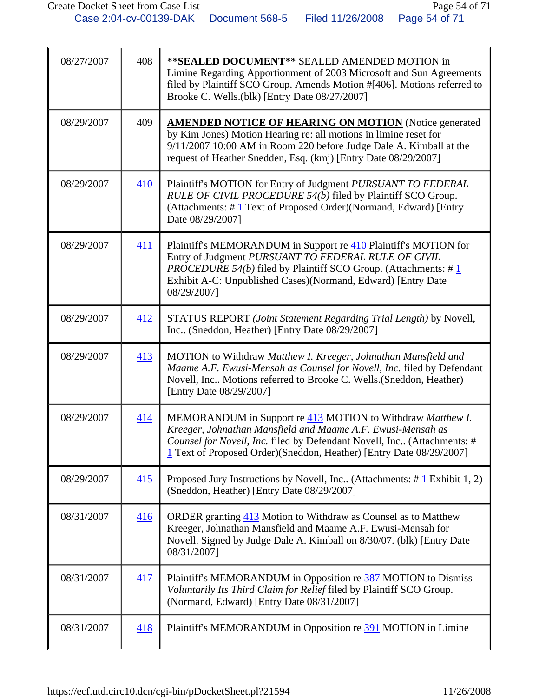| 08/27/2007 | 408        | ** SEALED DOCUMENT** SEALED AMENDED MOTION in<br>Limine Regarding Apportionment of 2003 Microsoft and Sun Agreements<br>filed by Plaintiff SCO Group. Amends Motion #[406]. Motions referred to<br>Brooke C. Wells.(blk) [Entry Date 08/27/2007]                                   |
|------------|------------|------------------------------------------------------------------------------------------------------------------------------------------------------------------------------------------------------------------------------------------------------------------------------------|
| 08/29/2007 | 409        | <b>AMENDED NOTICE OF HEARING ON MOTION</b> (Notice generated<br>by Kim Jones) Motion Hearing re: all motions in limine reset for<br>9/11/2007 10:00 AM in Room 220 before Judge Dale A. Kimball at the<br>request of Heather Snedden, Esq. (kmj) [Entry Date 08/29/2007]           |
| 08/29/2007 | 410        | Plaintiff's MOTION for Entry of Judgment PURSUANT TO FEDERAL<br>RULE OF CIVIL PROCEDURE 54(b) filed by Plaintiff SCO Group.<br>(Attachments: $\# \underline{1}$ Text of Proposed Order)(Normand, Edward) [Entry<br>Date 08/29/2007]                                                |
| 08/29/2007 | 411        | Plaintiff's MEMORANDUM in Support re 410 Plaintiff's MOTION for<br>Entry of Judgment PURSUANT TO FEDERAL RULE OF CIVIL<br><i>PROCEDURE 54(b)</i> filed by Plaintiff SCO Group. (Attachments: $\#$ 1<br>Exhibit A-C: Unpublished Cases)(Normand, Edward) [Entry Date<br>08/29/2007] |
| 08/29/2007 | 412        | STATUS REPORT (Joint Statement Regarding Trial Length) by Novell,<br>Inc (Sneddon, Heather) [Entry Date 08/29/2007]                                                                                                                                                                |
| 08/29/2007 | 413        | MOTION to Withdraw Matthew I. Kreeger, Johnathan Mansfield and<br>Maame A.F. Ewusi-Mensah as Counsel for Novell, Inc. filed by Defendant<br>Novell, Inc Motions referred to Brooke C. Wells. (Sneddon, Heather)<br>[Entry Date 08/29/2007]                                         |
| 08/29/2007 | 414        | MEMORANDUM in Support re 413 MOTION to Withdraw Matthew I.<br>Kreeger, Johnathan Mansfield and Maame A.F. Ewusi-Mensah as<br>Counsel for Novell, Inc. filed by Defendant Novell, Inc (Attachments: #<br>1 Text of Proposed Order) (Sneddon, Heather) [Entry Date 08/29/2007]       |
| 08/29/2007 | <u>415</u> | Proposed Jury Instructions by Novell, Inc. (Attachments: $\#$ 1 Exhibit 1, 2)<br>(Sneddon, Heather) [Entry Date 08/29/2007]                                                                                                                                                        |
| 08/31/2007 | 416        | ORDER granting 413 Motion to Withdraw as Counsel as to Matthew<br>Kreeger, Johnathan Mansfield and Maame A.F. Ewusi-Mensah for<br>Novell. Signed by Judge Dale A. Kimball on 8/30/07. (blk) [Entry Date<br>08/31/2007]                                                             |
| 08/31/2007 | <u>417</u> | Plaintiff's MEMORANDUM in Opposition re 387 MOTION to Dismiss<br>Voluntarily Its Third Claim for Relief filed by Plaintiff SCO Group.<br>(Normand, Edward) [Entry Date 08/31/2007]                                                                                                 |
| 08/31/2007 | 418        | Plaintiff's MEMORANDUM in Opposition re 391 MOTION in Limine                                                                                                                                                                                                                       |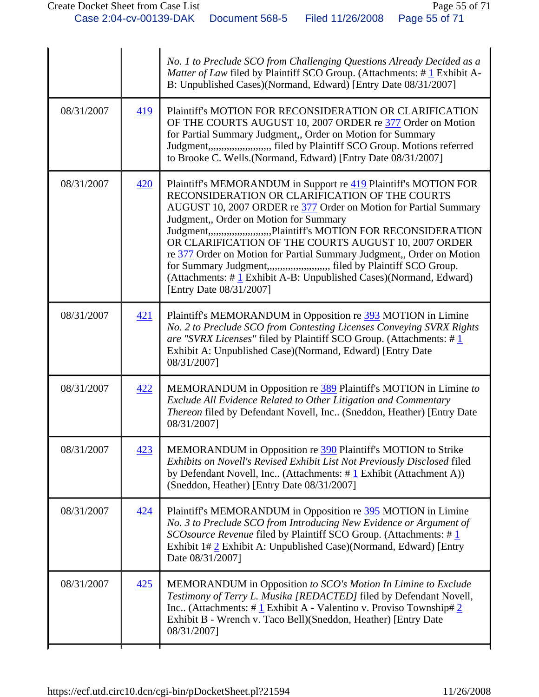|            |     | No. 1 to Preclude SCO from Challenging Questions Already Decided as a<br>Matter of Law filed by Plaintiff SCO Group. (Attachments: $\# \underline{1}$ Exhibit A-<br>B: Unpublished Cases)(Normand, Edward) [Entry Date 08/31/2007]                                                                                                                                                                                                                                                                                                                                                                                                  |
|------------|-----|-------------------------------------------------------------------------------------------------------------------------------------------------------------------------------------------------------------------------------------------------------------------------------------------------------------------------------------------------------------------------------------------------------------------------------------------------------------------------------------------------------------------------------------------------------------------------------------------------------------------------------------|
| 08/31/2007 | 419 | Plaintiff's MOTION FOR RECONSIDERATION OR CLARIFICATION<br>OF THE COURTS AUGUST 10, 2007 ORDER re 377 Order on Motion<br>for Partial Summary Judgment,, Order on Motion for Summary<br>Judgment,,,,,,,,,,,,,,,,,,,,,, filed by Plaintiff SCO Group. Motions referred<br>to Brooke C. Wells.(Normand, Edward) [Entry Date 08/31/2007]                                                                                                                                                                                                                                                                                                |
| 08/31/2007 | 420 | Plaintiff's MEMORANDUM in Support re 419 Plaintiff's MOTION FOR<br>RECONSIDERATION OR CLARIFICATION OF THE COURTS<br>AUGUST 10, 2007 ORDER re 377 Order on Motion for Partial Summary<br>Judgment,, Order on Motion for Summary<br>Judgment,,,,,,,,,,,,,,,,,,,,,,,Plaintiff's MOTION FOR RECONSIDERATION<br>OR CLARIFICATION OF THE COURTS AUGUST 10, 2007 ORDER<br>re 377 Order on Motion for Partial Summary Judgment,, Order on Motion<br>for Summary Judgment,,,,,,,,,,,,,,,,,,,,,,, filed by Plaintiff SCO Group.<br>(Attachments: $\# \mathbf{1}$ Exhibit A-B: Unpublished Cases)(Normand, Edward)<br>[Entry Date 08/31/2007] |
| 08/31/2007 | 421 | Plaintiff's MEMORANDUM in Opposition re 393 MOTION in Limine<br>No. 2 to Preclude SCO from Contesting Licenses Conveying SVRX Rights<br>are "SVRX Licenses" filed by Plaintiff SCO Group. (Attachments: #1<br>Exhibit A: Unpublished Case)(Normand, Edward) [Entry Date<br>08/31/2007]                                                                                                                                                                                                                                                                                                                                              |
| 08/31/2007 | 422 | MEMORANDUM in Opposition re 389 Plaintiff's MOTION in Limine to<br>Exclude All Evidence Related to Other Litigation and Commentary<br>Thereon filed by Defendant Novell, Inc (Sneddon, Heather) [Entry Date<br>08/31/2007]                                                                                                                                                                                                                                                                                                                                                                                                          |
| 08/31/2007 | 423 | MEMORANDUM in Opposition re 390 Plaintiff's MOTION to Strike<br>Exhibits on Novell's Revised Exhibit List Not Previously Disclosed filed<br>by Defendant Novell, Inc (Attachments: $\#$ 1 Exhibit (Attachment A))<br>(Sneddon, Heather) [Entry Date 08/31/2007]                                                                                                                                                                                                                                                                                                                                                                     |
| 08/31/2007 | 424 | Plaintiff's MEMORANDUM in Opposition re 395 MOTION in Limine<br>No. 3 to Preclude SCO from Introducing New Evidence or Argument of<br>SCOsource Revenue filed by Plaintiff SCO Group. (Attachments: #1<br>Exhibit 1# 2 Exhibit A: Unpublished Case)(Normand, Edward) [Entry<br>Date 08/31/2007]                                                                                                                                                                                                                                                                                                                                     |
| 08/31/2007 | 425 | MEMORANDUM in Opposition to SCO's Motion In Limine to Exclude<br>Testimony of Terry L. Musika [REDACTED] filed by Defendant Novell,<br>Inc (Attachments: # $1$ Exhibit A - Valentino v. Proviso Township# 2<br>Exhibit B - Wrench v. Taco Bell) (Sneddon, Heather) [Entry Date<br>08/31/2007]                                                                                                                                                                                                                                                                                                                                       |
|            |     |                                                                                                                                                                                                                                                                                                                                                                                                                                                                                                                                                                                                                                     |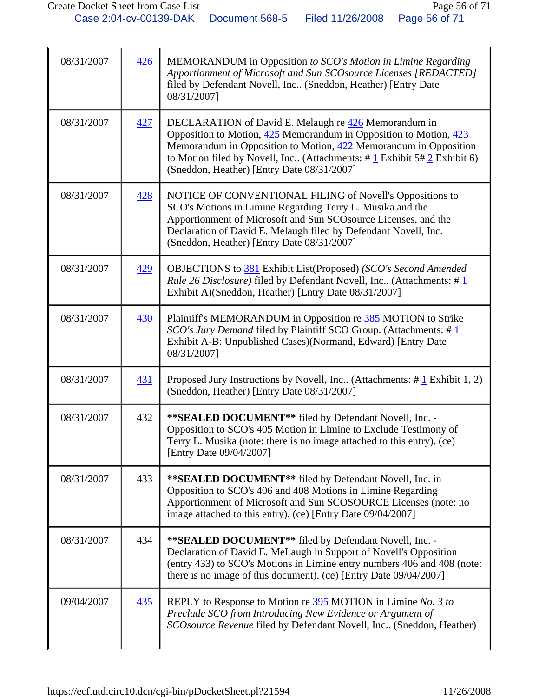| 08/31/2007 | 426 | MEMORANDUM in Opposition to SCO's Motion in Limine Regarding<br>Apportionment of Microsoft and Sun SCOsource Licenses [REDACTED]<br>filed by Defendant Novell, Inc (Sneddon, Heather) [Entry Date<br>08/31/2007]                                                                                                                                         |
|------------|-----|----------------------------------------------------------------------------------------------------------------------------------------------------------------------------------------------------------------------------------------------------------------------------------------------------------------------------------------------------------|
| 08/31/2007 | 427 | DECLARATION of David E. Melaugh re 426 Memorandum in<br>Opposition to Motion, $425$ Memorandum in Opposition to Motion, $423$<br>Memorandum in Opposition to Motion, 422 Memorandum in Opposition<br>to Motion filed by Novell, Inc (Attachments: $\# \underline{1}$ Exhibit 5# $\underline{2}$ Exhibit 6)<br>(Sneddon, Heather) [Entry Date 08/31/2007] |
| 08/31/2007 | 428 | NOTICE OF CONVENTIONAL FILING of Novell's Oppositions to<br>SCO's Motions in Limine Regarding Terry L. Musika and the<br>Apportionment of Microsoft and Sun SCO source Licenses, and the<br>Declaration of David E. Melaugh filed by Defendant Novell, Inc.<br>(Sneddon, Heather) [Entry Date 08/31/2007]                                                |
| 08/31/2007 | 429 | OBJECTIONS to 381 Exhibit List(Proposed) (SCO's Second Amended<br><i>Rule 26 Disclosure</i> ) filed by Defendant Novell, Inc (Attachments: #1<br>Exhibit A)(Sneddon, Heather) [Entry Date 08/31/2007]                                                                                                                                                    |
| 08/31/2007 | 430 | Plaintiff's MEMORANDUM in Opposition re 385 MOTION to Strike<br>SCO's Jury Demand filed by Plaintiff SCO Group. (Attachments: #1<br>Exhibit A-B: Unpublished Cases)(Normand, Edward) [Entry Date<br>08/31/2007]                                                                                                                                          |
| 08/31/2007 | 431 | Proposed Jury Instructions by Novell, Inc. (Attachments: $\#$ 1 Exhibit 1, 2)<br>(Sneddon, Heather) [Entry Date 08/31/2007]                                                                                                                                                                                                                              |
| 08/31/2007 | 432 | ** SEALED DOCUMENT** filed by Defendant Novell, Inc. -<br>Opposition to SCO's 405 Motion in Limine to Exclude Testimony of<br>Terry L. Musika (note: there is no image attached to this entry). (ce)<br>[Entry Date 09/04/2007]                                                                                                                          |
| 08/31/2007 | 433 | ** SEALED DOCUMENT** filed by Defendant Novell, Inc. in<br>Opposition to SCO's 406 and 408 Motions in Limine Regarding<br>Apportionment of Microsoft and Sun SCOSOURCE Licenses (note: no<br>image attached to this entry). (ce) [Entry Date 09/04/2007]                                                                                                 |
| 08/31/2007 | 434 | ** SEALED DOCUMENT** filed by Defendant Novell, Inc. -<br>Declaration of David E. MeLaugh in Support of Novell's Opposition<br>(entry 433) to SCO's Motions in Limine entry numbers 406 and 408 (note:<br>there is no image of this document). (ce) [Entry Date 09/04/2007]                                                                              |
| 09/04/2007 | 435 | REPLY to Response to Motion re 395 MOTION in Limine No. 3 to<br>Preclude SCO from Introducing New Evidence or Argument of<br>SCOsource Revenue filed by Defendant Novell, Inc (Sneddon, Heather)                                                                                                                                                         |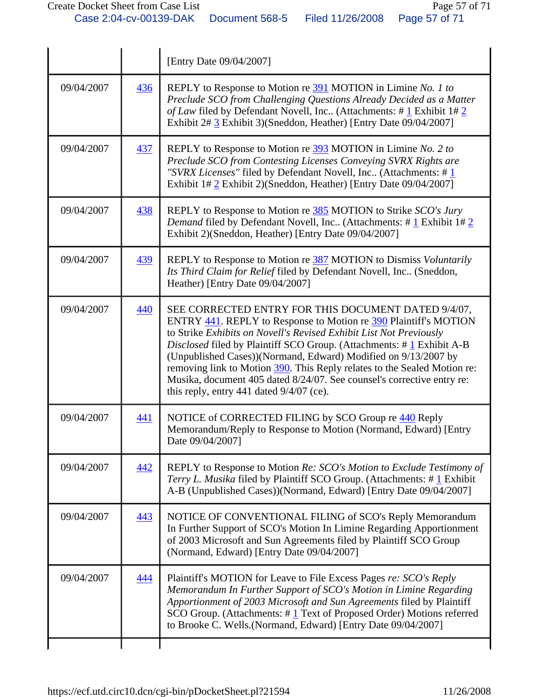|            |            | [Entry Date 09/04/2007]                                                                                                                                                                                                                                                                                                                                                                                                                                                                                                                     |
|------------|------------|---------------------------------------------------------------------------------------------------------------------------------------------------------------------------------------------------------------------------------------------------------------------------------------------------------------------------------------------------------------------------------------------------------------------------------------------------------------------------------------------------------------------------------------------|
| 09/04/2007 | 436        | REPLY to Response to Motion re 391 MOTION in Limine No. 1 to<br>Preclude SCO from Challenging Questions Already Decided as a Matter<br>of Law filed by Defendant Novell, Inc (Attachments: # $1$ Exhibit 1# $2$<br>Exhibit 2# 3 Exhibit 3)(Sneddon, Heather) [Entry Date 09/04/2007]                                                                                                                                                                                                                                                        |
| 09/04/2007 | 437        | REPLY to Response to Motion re 393 MOTION in Limine No. 2 to<br>Preclude SCO from Contesting Licenses Conveying SVRX Rights are<br>"SVRX Licenses" filed by Defendant Novell, Inc (Attachments: #1<br>Exhibit 1# 2 Exhibit 2)(Sneddon, Heather) [Entry Date 09/04/2007]                                                                                                                                                                                                                                                                     |
| 09/04/2007 | 438        | REPLY to Response to Motion re 385 MOTION to Strike SCO's Jury<br><i>Demand</i> filed by Defendant Novell, Inc (Attachments: $\#$ 1 Exhibit 1# 2<br>Exhibit 2)(Sneddon, Heather) [Entry Date 09/04/2007]                                                                                                                                                                                                                                                                                                                                    |
| 09/04/2007 | 439        | REPLY to Response to Motion re 387 MOTION to Dismiss Voluntarily<br>Its Third Claim for Relief filed by Defendant Novell, Inc (Sneddon,<br>Heather) [Entry Date 09/04/2007]                                                                                                                                                                                                                                                                                                                                                                 |
| 09/04/2007 | 440        | SEE CORRECTED ENTRY FOR THIS DOCUMENT DATED 9/4/07,<br>ENTRY 441. REPLY to Response to Motion re 390 Plaintiff's MOTION<br>to Strike Exhibits on Novell's Revised Exhibit List Not Previously<br>Disclosed filed by Plaintiff SCO Group. (Attachments: #1 Exhibit A-B<br>(Unpublished Cases))(Normand, Edward) Modified on 9/13/2007 by<br>removing link to Motion 390. This Reply relates to the Sealed Motion re:<br>Musika, document 405 dated 8/24/07. See counsel's corrective entry re:<br>this reply, entry 441 dated $9/4/07$ (ce). |
| 09/04/2007 | 441        | NOTICE of CORRECTED FILING by SCO Group re 440 Reply<br>Memorandum/Reply to Response to Motion (Normand, Edward) [Entry<br>Date 09/04/2007]                                                                                                                                                                                                                                                                                                                                                                                                 |
| 09/04/2007 | <u>442</u> | REPLY to Response to Motion Re: SCO's Motion to Exclude Testimony of<br>Terry L. Musika filed by Plaintiff SCO Group. (Attachments: #1 Exhibit<br>A-B (Unpublished Cases))(Normand, Edward) [Entry Date 09/04/2007]                                                                                                                                                                                                                                                                                                                         |
| 09/04/2007 | 443        | NOTICE OF CONVENTIONAL FILING of SCO's Reply Memorandum<br>In Further Support of SCO's Motion In Limine Regarding Apportionment<br>of 2003 Microsoft and Sun Agreements filed by Plaintiff SCO Group<br>(Normand, Edward) [Entry Date 09/04/2007]                                                                                                                                                                                                                                                                                           |
| 09/04/2007 | 444        | Plaintiff's MOTION for Leave to File Excess Pages re: SCO's Reply<br>Memorandum In Further Support of SCO's Motion in Limine Regarding<br>Apportionment of 2003 Microsoft and Sun Agreements filed by Plaintiff<br>SCO Group. (Attachments: $\#$ 1 Text of Proposed Order) Motions referred<br>to Brooke C. Wells.(Normand, Edward) [Entry Date 09/04/2007]                                                                                                                                                                                 |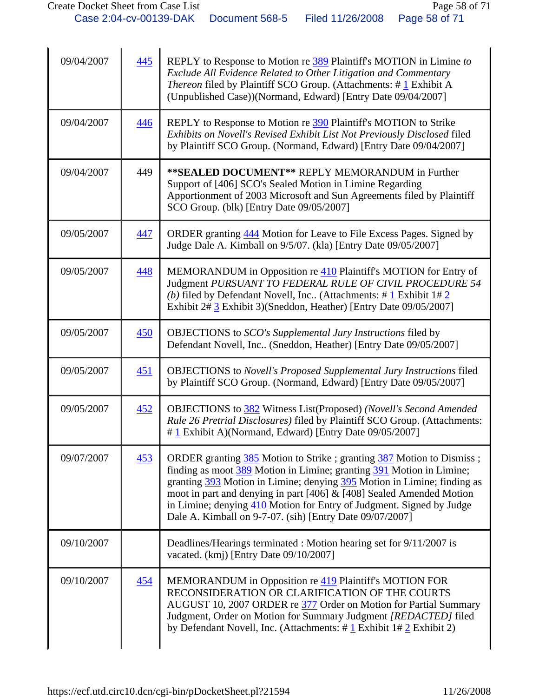| 09/04/2007 | 445 | REPLY to Response to Motion re 389 Plaintiff's MOTION in Limine to<br>Exclude All Evidence Related to Other Litigation and Commentary<br><i>Thereon</i> filed by Plaintiff SCO Group. (Attachments: #1 Exhibit A<br>(Unpublished Case))(Normand, Edward) [Entry Date 09/04/2007]                                                                                                                                                       |
|------------|-----|----------------------------------------------------------------------------------------------------------------------------------------------------------------------------------------------------------------------------------------------------------------------------------------------------------------------------------------------------------------------------------------------------------------------------------------|
| 09/04/2007 | 446 | REPLY to Response to Motion re 390 Plaintiff's MOTION to Strike<br>Exhibits on Novell's Revised Exhibit List Not Previously Disclosed filed<br>by Plaintiff SCO Group. (Normand, Edward) [Entry Date 09/04/2007]                                                                                                                                                                                                                       |
| 09/04/2007 | 449 | ** SEALED DOCUMENT** REPLY MEMORANDUM in Further<br>Support of [406] SCO's Sealed Motion in Limine Regarding<br>Apportionment of 2003 Microsoft and Sun Agreements filed by Plaintiff<br>SCO Group. (blk) [Entry Date 09/05/2007]                                                                                                                                                                                                      |
| 09/05/2007 | 447 | ORDER granting 444 Motion for Leave to File Excess Pages. Signed by<br>Judge Dale A. Kimball on 9/5/07. (kla) [Entry Date 09/05/2007]                                                                                                                                                                                                                                                                                                  |
| 09/05/2007 | 448 | MEMORANDUM in Opposition re 410 Plaintiff's MOTION for Entry of<br>Judgment PURSUANT TO FEDERAL RULE OF CIVIL PROCEDURE 54<br>(b) filed by Defendant Novell, Inc (Attachments: $\#$ 1 Exhibit 1# 2<br>Exhibit 2# 3 Exhibit 3)(Sneddon, Heather) [Entry Date 09/05/2007]                                                                                                                                                                |
| 09/05/2007 | 450 | OBJECTIONS to SCO's Supplemental Jury Instructions filed by<br>Defendant Novell, Inc (Sneddon, Heather) [Entry Date 09/05/2007]                                                                                                                                                                                                                                                                                                        |
| 09/05/2007 | 451 | <b>OBJECTIONS</b> to Novell's Proposed Supplemental Jury Instructions filed<br>by Plaintiff SCO Group. (Normand, Edward) [Entry Date 09/05/2007]                                                                                                                                                                                                                                                                                       |
| 09/05/2007 | 452 | OBJECTIONS to 382 Witness List(Proposed) (Novell's Second Amended<br>Rule 26 Pretrial Disclosures) filed by Plaintiff SCO Group. (Attachments:<br>#1 Exhibit A)(Normand, Edward) [Entry Date 09/05/2007]                                                                                                                                                                                                                               |
| 09/07/2007 | 453 | ORDER granting 385 Motion to Strike; granting 387 Motion to Dismiss;<br>finding as moot 389 Motion in Limine; granting 391 Motion in Limine;<br>granting 393 Motion in Limine; denying 395 Motion in Limine; finding as<br>moot in part and denying in part [406] $\&$ [408] Sealed Amended Motion<br>in Limine; denying 410 Motion for Entry of Judgment. Signed by Judge<br>Dale A. Kimball on 9-7-07. (sih) [Entry Date 09/07/2007] |
| 09/10/2007 |     | Deadlines/Hearings terminated : Motion hearing set for 9/11/2007 is<br>vacated. (kmj) [Entry Date 09/10/2007]                                                                                                                                                                                                                                                                                                                          |
| 09/10/2007 | 454 | MEMORANDUM in Opposition re 419 Plaintiff's MOTION FOR<br>RECONSIDERATION OR CLARIFICATION OF THE COURTS<br>AUGUST 10, 2007 ORDER re 377 Order on Motion for Partial Summary<br>Judgment, Order on Motion for Summary Judgment [REDACTED] filed<br>by Defendant Novell, Inc. (Attachments: $\#$ 1 Exhibit 1# 2 Exhibit 2)                                                                                                              |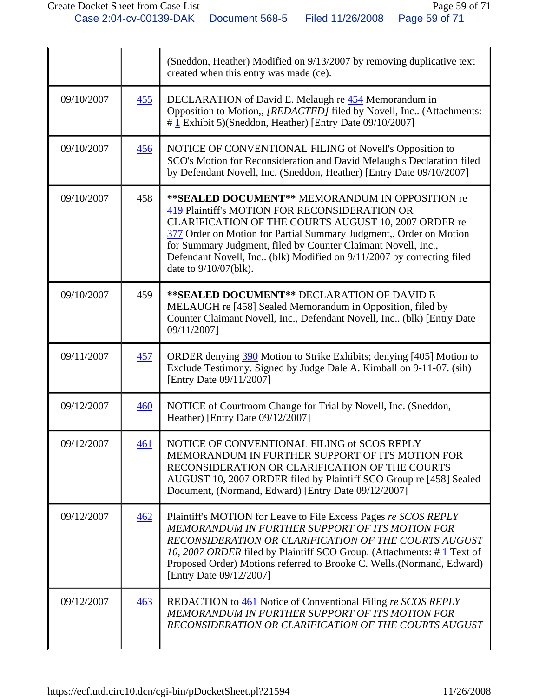|            |     | (Sneddon, Heather) Modified on 9/13/2007 by removing duplicative text<br>created when this entry was made (ce).                                                                                                                                                                                                                                                                                    |
|------------|-----|----------------------------------------------------------------------------------------------------------------------------------------------------------------------------------------------------------------------------------------------------------------------------------------------------------------------------------------------------------------------------------------------------|
| 09/10/2007 | 455 | DECLARATION of David E. Melaugh re 454 Memorandum in<br>Opposition to Motion,, [REDACTED] filed by Novell, Inc (Attachments:<br>$\#$ 1 Exhibit 5)(Sneddon, Heather) [Entry Date 09/10/2007]                                                                                                                                                                                                        |
| 09/10/2007 | 456 | NOTICE OF CONVENTIONAL FILING of Novell's Opposition to<br>SCO's Motion for Reconsideration and David Melaugh's Declaration filed<br>by Defendant Novell, Inc. (Sneddon, Heather) [Entry Date 09/10/2007]                                                                                                                                                                                          |
| 09/10/2007 | 458 | **SEALED DOCUMENT** MEMORANDUM IN OPPOSITION re<br>419 Plaintiff's MOTION FOR RECONSIDERATION OR<br>CLARIFICATION OF THE COURTS AUGUST 10, 2007 ORDER re<br>377 Order on Motion for Partial Summary Judgment,, Order on Motion<br>for Summary Judgment, filed by Counter Claimant Novell, Inc.,<br>Defendant Novell, Inc. (blk) Modified on 9/11/2007 by correcting filed<br>date to 9/10/07(blk). |
| 09/10/2007 | 459 | ** SEALED DOCUMENT** DECLARATION OF DAVID E<br>MELAUGH re [458] Sealed Memorandum in Opposition, filed by<br>Counter Claimant Novell, Inc., Defendant Novell, Inc., (blk) [Entry Date<br>09/11/2007]                                                                                                                                                                                               |
| 09/11/2007 | 457 | ORDER denying 390 Motion to Strike Exhibits; denying [405] Motion to<br>Exclude Testimony. Signed by Judge Dale A. Kimball on 9-11-07. (sih)<br>[Entry Date 09/11/2007]                                                                                                                                                                                                                            |
| 09/12/2007 | 460 | NOTICE of Courtroom Change for Trial by Novell, Inc. (Sneddon,<br>Heather) [Entry Date 09/12/2007]                                                                                                                                                                                                                                                                                                 |
| 09/12/2007 | 461 | NOTICE OF CONVENTIONAL FILING of SCOS REPLY<br>MEMORANDUM IN FURTHER SUPPORT OF ITS MOTION FOR<br>RECONSIDERATION OR CLARIFICATION OF THE COURTS<br>AUGUST 10, 2007 ORDER filed by Plaintiff SCO Group re [458] Sealed<br>Document, (Normand, Edward) [Entry Date 09/12/2007]                                                                                                                      |
| 09/12/2007 | 462 | Plaintiff's MOTION for Leave to File Excess Pages re SCOS REPLY<br>MEMORANDUM IN FURTHER SUPPORT OF ITS MOTION FOR<br>RECONSIDERATION OR CLARIFICATION OF THE COURTS AUGUST<br>10, 2007 ORDER filed by Plaintiff SCO Group. (Attachments: #1 Text of<br>Proposed Order) Motions referred to Brooke C. Wells.(Normand, Edward)<br>[Entry Date 09/12/2007]                                           |
| 09/12/2007 | 463 | REDACTION to 461 Notice of Conventional Filing re SCOS REPLY<br>MEMORANDUM IN FURTHER SUPPORT OF ITS MOTION FOR<br>RECONSIDERATION OR CLARIFICATION OF THE COURTS AUGUST                                                                                                                                                                                                                           |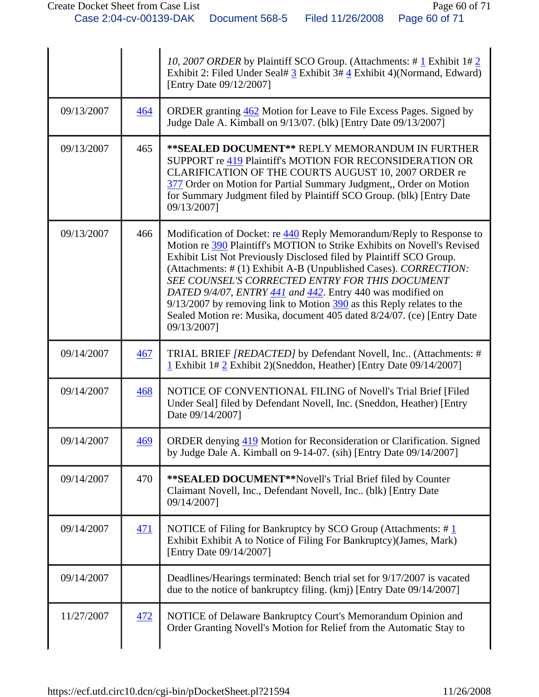|            |            | 10, 2007 ORDER by Plaintiff SCO Group. (Attachments: #1 Exhibit 1#2<br>Exhibit 2: Filed Under Seal# 3 Exhibit 3# 4 Exhibit 4)(Normand, Edward)<br>[Entry Date 09/12/2007]                                                                                                                                                                                                                                                                                                                                                                                                              |
|------------|------------|----------------------------------------------------------------------------------------------------------------------------------------------------------------------------------------------------------------------------------------------------------------------------------------------------------------------------------------------------------------------------------------------------------------------------------------------------------------------------------------------------------------------------------------------------------------------------------------|
| 09/13/2007 | 464        | ORDER granting 462 Motion for Leave to File Excess Pages. Signed by<br>Judge Dale A. Kimball on 9/13/07. (blk) [Entry Date 09/13/2007]                                                                                                                                                                                                                                                                                                                                                                                                                                                 |
| 09/13/2007 | 465        | ** SEALED DOCUMENT** REPLY MEMORANDUM IN FURTHER<br>SUPPORT re 419 Plaintiff's MOTION FOR RECONSIDERATION OR<br>CLARIFICATION OF THE COURTS AUGUST 10, 2007 ORDER re<br>377 Order on Motion for Partial Summary Judgment,, Order on Motion<br>for Summary Judgment filed by Plaintiff SCO Group. (blk) [Entry Date<br>09/13/2007]                                                                                                                                                                                                                                                      |
| 09/13/2007 | 466        | Modification of Docket: re 440 Reply Memorandum/Reply to Response to<br>Motion re 390 Plaintiff's MOTION to Strike Exhibits on Novell's Revised<br>Exhibit List Not Previously Disclosed filed by Plaintiff SCO Group.<br>(Attachments: # (1) Exhibit A-B (Unpublished Cases). CORRECTION:<br>SEE COUNSEL'S CORRECTED ENTRY FOR THIS DOCUMENT<br>DATED 9/4/07, ENTRY $441$ and $442$ . Entry 440 was modified on<br>$9/13/2007$ by removing link to Motion $390$ as this Reply relates to the<br>Sealed Motion re: Musika, document 405 dated 8/24/07. (ce) [Entry Date<br>09/13/2007] |
| 09/14/2007 | 467        | TRIAL BRIEF <i>[REDACTED]</i> by Defendant Novell, Inc (Attachments: #<br>1 Exhibit 1# 2 Exhibit 2) (Sneddon, Heather) [Entry Date 09/14/2007]                                                                                                                                                                                                                                                                                                                                                                                                                                         |
| 09/14/2007 | 468        | NOTICE OF CONVENTIONAL FILING of Novell's Trial Brief [Filed]<br>Under Seal] filed by Defendant Novell, Inc. (Sneddon, Heather) [Entry<br>Date 09/14/2007]                                                                                                                                                                                                                                                                                                                                                                                                                             |
| 09/14/2007 | <u>469</u> | <b>ORDER</b> denying 419 Motion for Reconsideration or Clarification. Signed<br>by Judge Dale A. Kimball on 9-14-07. (sih) [Entry Date 09/14/2007]                                                                                                                                                                                                                                                                                                                                                                                                                                     |
| 09/14/2007 | 470        | ** SEALED DOCUMENT** Novell's Trial Brief filed by Counter<br>Claimant Novell, Inc., Defendant Novell, Inc (blk) [Entry Date<br>09/14/2007]                                                                                                                                                                                                                                                                                                                                                                                                                                            |
| 09/14/2007 | <u>471</u> | NOTICE of Filing for Bankruptcy by SCO Group (Attachments: $\#$ 1<br>Exhibit Exhibit A to Notice of Filing For Bankruptcy)(James, Mark)<br>[Entry Date 09/14/2007]                                                                                                                                                                                                                                                                                                                                                                                                                     |
| 09/14/2007 |            | Deadlines/Hearings terminated: Bench trial set for 9/17/2007 is vacated<br>due to the notice of bankruptcy filing. (kmj) [Entry Date 09/14/2007]                                                                                                                                                                                                                                                                                                                                                                                                                                       |
| 11/27/2007 | 472        | NOTICE of Delaware Bankruptcy Court's Memorandum Opinion and<br>Order Granting Novell's Motion for Relief from the Automatic Stay to                                                                                                                                                                                                                                                                                                                                                                                                                                                   |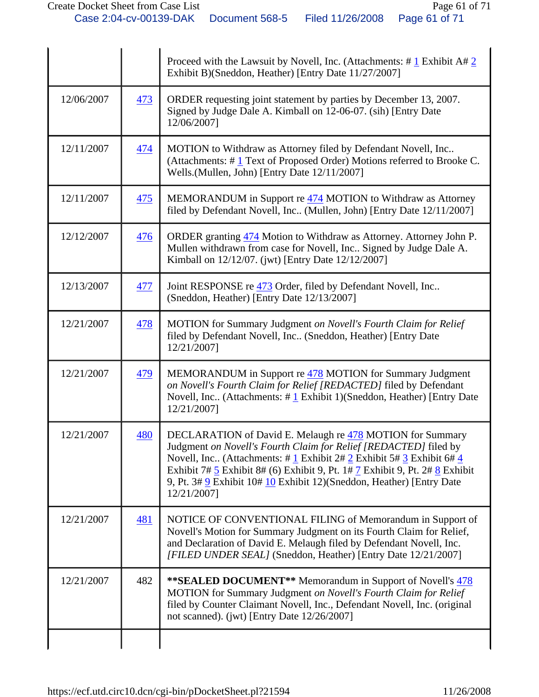|            |     | Proceed with the Lawsuit by Novell, Inc. (Attachments: $\# \underline{1}$ Exhibit A $\# \underline{2}$<br>Exhibit B)(Sneddon, Heather) [Entry Date 11/27/2007]                                                                                                                                                                                                                                                  |
|------------|-----|-----------------------------------------------------------------------------------------------------------------------------------------------------------------------------------------------------------------------------------------------------------------------------------------------------------------------------------------------------------------------------------------------------------------|
| 12/06/2007 | 473 | ORDER requesting joint statement by parties by December 13, 2007.<br>Signed by Judge Dale A. Kimball on 12-06-07. (sih) [Entry Date<br>12/06/2007]                                                                                                                                                                                                                                                              |
| 12/11/2007 | 474 | MOTION to Withdraw as Attorney filed by Defendant Novell, Inc<br>(Attachments: #1 Text of Proposed Order) Motions referred to Brooke C.<br>Wells.(Mullen, John) [Entry Date 12/11/2007]                                                                                                                                                                                                                         |
| 12/11/2007 | 475 | MEMORANDUM in Support re 474 MOTION to Withdraw as Attorney<br>filed by Defendant Novell, Inc (Mullen, John) [Entry Date 12/11/2007]                                                                                                                                                                                                                                                                            |
| 12/12/2007 | 476 | ORDER granting 474 Motion to Withdraw as Attorney. Attorney John P.<br>Mullen withdrawn from case for Novell, Inc Signed by Judge Dale A.<br>Kimball on 12/12/07. (jwt) [Entry Date 12/12/2007]                                                                                                                                                                                                                 |
| 12/13/2007 | 477 | Joint RESPONSE re 473 Order, filed by Defendant Novell, Inc<br>(Sneddon, Heather) [Entry Date 12/13/2007]                                                                                                                                                                                                                                                                                                       |
| 12/21/2007 | 478 | MOTION for Summary Judgment on Novell's Fourth Claim for Relief<br>filed by Defendant Novell, Inc (Sneddon, Heather) [Entry Date<br>12/21/2007]                                                                                                                                                                                                                                                                 |
| 12/21/2007 | 479 | MEMORANDUM in Support re 478 MOTION for Summary Judgment<br>on Novell's Fourth Claim for Relief [REDACTED] filed by Defendant<br>Novell, Inc (Attachments: $\# \mathbf{1}$ Exhibit 1)(Sneddon, Heather) [Entry Date<br>12/21/2007]                                                                                                                                                                              |
| 12/21/2007 | 480 | DECLARATION of David E. Melaugh re 478 MOTION for Summary<br>Judgment on Novell's Fourth Claim for Relief [REDACTED] filed by<br>Novell, Inc. (Attachments: #1 Exhibit 2# 2 Exhibit 5# 3 Exhibit 6# 4<br>Exhibit 7# $\frac{5}{5}$ Exhibit 8# (6) Exhibit 9, Pt. 1# $\frac{7}{5}$ Exhibit 9, Pt. 2# $\frac{8}{5}$ Exhibit<br>9, Pt. 3# 9 Exhibit 10# 10 Exhibit 12)(Sneddon, Heather) [Entry Date<br>12/21/2007] |
| 12/21/2007 | 481 | NOTICE OF CONVENTIONAL FILING of Memorandum in Support of<br>Novell's Motion for Summary Judgment on its Fourth Claim for Relief,<br>and Declaration of David E. Melaugh filed by Defendant Novell, Inc.<br>[FILED UNDER SEAL] (Sneddon, Heather) [Entry Date 12/21/2007]                                                                                                                                       |
| 12/21/2007 | 482 | <b>**SEALED DOCUMENT**</b> Memorandum in Support of Novell's 478<br>MOTION for Summary Judgment on Novell's Fourth Claim for Relief<br>filed by Counter Claimant Novell, Inc., Defendant Novell, Inc. (original<br>not scanned). (jwt) [Entry Date $12/26/2007$ ]                                                                                                                                               |
|            |     |                                                                                                                                                                                                                                                                                                                                                                                                                 |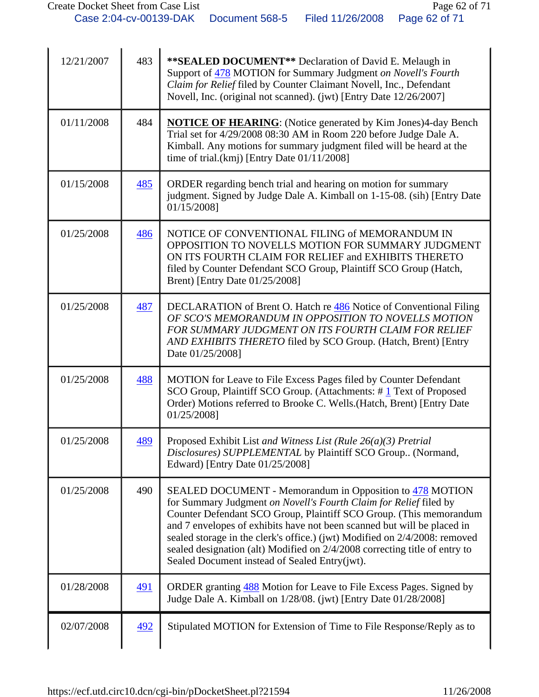| 12/21/2007 | 483        | ** SEALED DOCUMENT** Declaration of David E. Melaugh in<br>Support of 478 MOTION for Summary Judgment on Novell's Fourth<br>Claim for Relief filed by Counter Claimant Novell, Inc., Defendant<br>Novell, Inc. (original not scanned). (jwt) [Entry Date 12/26/2007]                                                                                                                                                                                                                        |
|------------|------------|---------------------------------------------------------------------------------------------------------------------------------------------------------------------------------------------------------------------------------------------------------------------------------------------------------------------------------------------------------------------------------------------------------------------------------------------------------------------------------------------|
| 01/11/2008 | 484        | <b>NOTICE OF HEARING:</b> (Notice generated by Kim Jones)4-day Bench<br>Trial set for 4/29/2008 08:30 AM in Room 220 before Judge Dale A.<br>Kimball. Any motions for summary judgment filed will be heard at the<br>time of trial. $(kmj)$ [Entry Date $01/11/2008$ ]                                                                                                                                                                                                                      |
| 01/15/2008 | 485        | ORDER regarding bench trial and hearing on motion for summary<br>judgment. Signed by Judge Dale A. Kimball on 1-15-08. (sih) [Entry Date<br>01/15/2008]                                                                                                                                                                                                                                                                                                                                     |
| 01/25/2008 | 486        | NOTICE OF CONVENTIONAL FILING of MEMORANDUM IN<br>OPPOSITION TO NOVELLS MOTION FOR SUMMARY JUDGMENT<br>ON ITS FOURTH CLAIM FOR RELIEF and EXHIBITS THERETO<br>filed by Counter Defendant SCO Group, Plaintiff SCO Group (Hatch,<br>Brent) [Entry Date 01/25/2008]                                                                                                                                                                                                                           |
| 01/25/2008 | 487        | DECLARATION of Brent O. Hatch re 486 Notice of Conventional Filing<br>OF SCO'S MEMORANDUM IN OPPOSITION TO NOVELLS MOTION<br>FOR SUMMARY JUDGMENT ON ITS FOURTH CLAIM FOR RELIEF<br>AND EXHIBITS THERETO filed by SCO Group. (Hatch, Brent) [Entry<br>Date 01/25/2008]                                                                                                                                                                                                                      |
| 01/25/2008 | 488        | MOTION for Leave to File Excess Pages filed by Counter Defendant<br>SCO Group, Plaintiff SCO Group. (Attachments: #1 Text of Proposed<br>Order) Motions referred to Brooke C. Wells.(Hatch, Brent) [Entry Date<br>01/25/2008]                                                                                                                                                                                                                                                               |
| 01/25/2008 | 489        | Proposed Exhibit List and Witness List (Rule $26(a)(3)$ Pretrial<br>Disclosures) SUPPLEMENTAL by Plaintiff SCO Group (Normand,<br>Edward) [Entry Date 01/25/2008]                                                                                                                                                                                                                                                                                                                           |
| 01/25/2008 | 490        | SEALED DOCUMENT - Memorandum in Opposition to 478 MOTION<br>for Summary Judgment on Novell's Fourth Claim for Relief filed by<br>Counter Defendant SCO Group, Plaintiff SCO Group. (This memorandum<br>and 7 envelopes of exhibits have not been scanned but will be placed in<br>sealed storage in the clerk's office.) (jwt) Modified on 2/4/2008: removed<br>sealed designation (alt) Modified on 2/4/2008 correcting title of entry to<br>Sealed Document instead of Sealed Entry(jwt). |
| 01/28/2008 | <u>491</u> | ORDER granting 488 Motion for Leave to File Excess Pages. Signed by<br>Judge Dale A. Kimball on 1/28/08. (jwt) [Entry Date 01/28/2008]                                                                                                                                                                                                                                                                                                                                                      |
| 02/07/2008 | 492        | Stipulated MOTION for Extension of Time to File Response/Reply as to                                                                                                                                                                                                                                                                                                                                                                                                                        |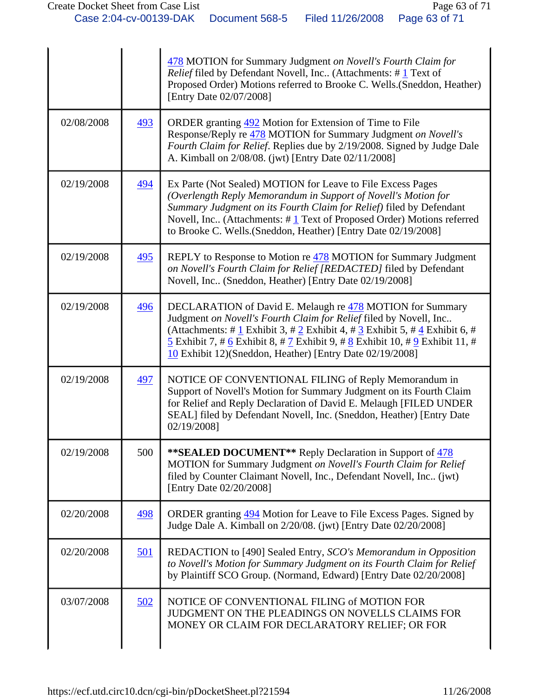|            |            | 478 MOTION for Summary Judgment on Novell's Fourth Claim for<br><i>Relief</i> filed by Defendant Novell, Inc (Attachments: $\# \underline{1}$ Text of<br>Proposed Order) Motions referred to Brooke C. Wells. (Sneddon, Heather)<br>[Entry Date 02/07/2008]                                                                                                                   |
|------------|------------|-------------------------------------------------------------------------------------------------------------------------------------------------------------------------------------------------------------------------------------------------------------------------------------------------------------------------------------------------------------------------------|
| 02/08/2008 | 493        | ORDER granting 492 Motion for Extension of Time to File<br>Response/Reply re 478 MOTION for Summary Judgment on Novell's<br>Fourth Claim for Relief. Replies due by 2/19/2008. Signed by Judge Dale<br>A. Kimball on 2/08/08. (jwt) [Entry Date 02/11/2008]                                                                                                                   |
| 02/19/2008 | 494        | Ex Parte (Not Sealed) MOTION for Leave to File Excess Pages<br>(Overlength Reply Memorandum in Support of Novell's Motion for<br>Summary Judgment on its Fourth Claim for Relief) filed by Defendant<br>Novell, Inc (Attachments: #1 Text of Proposed Order) Motions referred<br>to Brooke C. Wells.(Sneddon, Heather) [Entry Date 02/19/2008]                                |
| 02/19/2008 | 495        | REPLY to Response to Motion re 478 MOTION for Summary Judgment<br>on Novell's Fourth Claim for Relief [REDACTED] filed by Defendant<br>Novell, Inc (Sneddon, Heather) [Entry Date 02/19/2008]                                                                                                                                                                                 |
| 02/19/2008 | 496        | DECLARATION of David E. Melaugh re 478 MOTION for Summary<br>Judgment on Novell's Fourth Claim for Relief filed by Novell, Inc<br>(Attachments: # $1$ Exhibit 3, # $2$ Exhibit 4, # $3$ Exhibit 5, # $4$ Exhibit 6, #<br>$\frac{5}{5}$ Exhibit 7, # 6 Exhibit 8, # 7 Exhibit 9, # 8 Exhibit 10, # 9 Exhibit 11, #<br>10 Exhibit 12)(Sneddon, Heather) [Entry Date 02/19/2008] |
| 02/19/2008 | 497        | NOTICE OF CONVENTIONAL FILING of Reply Memorandum in<br>Support of Novell's Motion for Summary Judgment on its Fourth Claim<br>for Relief and Reply Declaration of David E. Melaugh [FILED UNDER<br>SEAL] filed by Defendant Novell, Inc. (Sneddon, Heather) [Entry Date<br>02/19/2008]                                                                                       |
| 02/19/2008 | 500        | <b>**SEALED DOCUMENT**</b> Reply Declaration in Support of 478<br>MOTION for Summary Judgment on Novell's Fourth Claim for Relief<br>filed by Counter Claimant Novell, Inc., Defendant Novell, Inc (jwt)<br>[Entry Date 02/20/2008]                                                                                                                                           |
| 02/20/2008 | 498        | ORDER granting 494 Motion for Leave to File Excess Pages. Signed by<br>Judge Dale A. Kimball on 2/20/08. (jwt) [Entry Date 02/20/2008]                                                                                                                                                                                                                                        |
| 02/20/2008 | <u>501</u> | REDACTION to [490] Sealed Entry, SCO's Memorandum in Opposition<br>to Novell's Motion for Summary Judgment on its Fourth Claim for Relief<br>by Plaintiff SCO Group. (Normand, Edward) [Entry Date 02/20/2008]                                                                                                                                                                |
| 03/07/2008 | 502        | NOTICE OF CONVENTIONAL FILING of MOTION FOR<br>JUDGMENT ON THE PLEADINGS ON NOVELLS CLAIMS FOR<br>MONEY OR CLAIM FOR DECLARATORY RELIEF; OR FOR                                                                                                                                                                                                                               |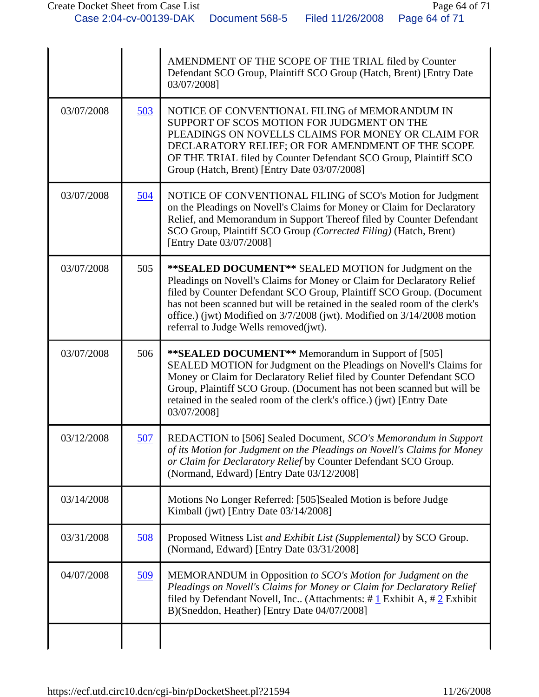|            |     | AMENDMENT OF THE SCOPE OF THE TRIAL filed by Counter<br>Defendant SCO Group, Plaintiff SCO Group (Hatch, Brent) [Entry Date<br>03/07/2008]                                                                                                                                                                                                                                                                  |
|------------|-----|-------------------------------------------------------------------------------------------------------------------------------------------------------------------------------------------------------------------------------------------------------------------------------------------------------------------------------------------------------------------------------------------------------------|
| 03/07/2008 | 503 | NOTICE OF CONVENTIONAL FILING of MEMORANDUM IN<br>SUPPORT OF SCOS MOTION FOR JUDGMENT ON THE<br>PLEADINGS ON NOVELLS CLAIMS FOR MONEY OR CLAIM FOR<br>DECLARATORY RELIEF; OR FOR AMENDMENT OF THE SCOPE<br>OF THE TRIAL filed by Counter Defendant SCO Group, Plaintiff SCO<br>Group (Hatch, Brent) [Entry Date 03/07/2008]                                                                                 |
| 03/07/2008 | 504 | NOTICE OF CONVENTIONAL FILING of SCO's Motion for Judgment<br>on the Pleadings on Novell's Claims for Money or Claim for Declaratory<br>Relief, and Memorandum in Support Thereof filed by Counter Defendant<br>SCO Group, Plaintiff SCO Group (Corrected Filing) (Hatch, Brent)<br>[Entry Date 03/07/2008]                                                                                                 |
| 03/07/2008 | 505 | ** SEALED DOCUMENT** SEALED MOTION for Judgment on the<br>Pleadings on Novell's Claims for Money or Claim for Declaratory Relief<br>filed by Counter Defendant SCO Group, Plaintiff SCO Group. (Document<br>has not been scanned but will be retained in the sealed room of the clerk's<br>office.) (jwt) Modified on 3/7/2008 (jwt). Modified on 3/14/2008 motion<br>referral to Judge Wells removed(jwt). |
| 03/07/2008 | 506 | ** SEALED DOCUMENT** Memorandum in Support of [505]<br>SEALED MOTION for Judgment on the Pleadings on Novell's Claims for<br>Money or Claim for Declaratory Relief filed by Counter Defendant SCO<br>Group, Plaintiff SCO Group. (Document has not been scanned but will be<br>retained in the sealed room of the clerk's office.) (jwt) [Entry Date<br>03/07/2008]                                         |
| 03/12/2008 | 507 | REDACTION to [506] Sealed Document, SCO's Memorandum in Support<br>of its Motion for Judgment on the Pleadings on Novell's Claims for Money<br>or Claim for Declaratory Relief by Counter Defendant SCO Group.<br>(Normand, Edward) [Entry Date 03/12/2008]                                                                                                                                                 |
| 03/14/2008 |     | Motions No Longer Referred: [505]Sealed Motion is before Judge<br>Kimball (jwt) [Entry Date 03/14/2008]                                                                                                                                                                                                                                                                                                     |
| 03/31/2008 | 508 | Proposed Witness List and Exhibit List (Supplemental) by SCO Group.<br>(Normand, Edward) [Entry Date 03/31/2008]                                                                                                                                                                                                                                                                                            |
| 04/07/2008 | 509 | MEMORANDUM in Opposition to SCO's Motion for Judgment on the<br>Pleadings on Novell's Claims for Money or Claim for Declaratory Relief<br>filed by Defendant Novell, Inc (Attachments: $\# \underline{1}$ Exhibit A, $\# \underline{2}$ Exhibit<br>B)(Sneddon, Heather) [Entry Date 04/07/2008]                                                                                                             |
|            |     |                                                                                                                                                                                                                                                                                                                                                                                                             |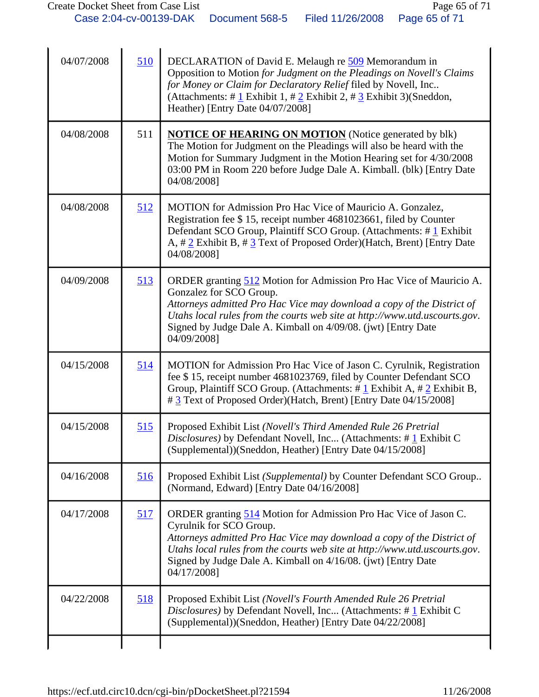| 04/07/2008 | 510        | DECLARATION of David E. Melaugh re 509 Memorandum in<br>Opposition to Motion for Judgment on the Pleadings on Novell's Claims<br>for Money or Claim for Declaratory Relief filed by Novell, Inc<br>(Attachments: # $1$ Exhibit 1, # $2$ Exhibit 2, # $3$ Exhibit 3)(Sneddon,<br>Heather) [Entry Date 04/07/2008]                       |
|------------|------------|----------------------------------------------------------------------------------------------------------------------------------------------------------------------------------------------------------------------------------------------------------------------------------------------------------------------------------------|
| 04/08/2008 | 511        | <b>NOTICE OF HEARING ON MOTION</b> (Notice generated by blk)<br>The Motion for Judgment on the Pleadings will also be heard with the<br>Motion for Summary Judgment in the Motion Hearing set for 4/30/2008<br>03:00 PM in Room 220 before Judge Dale A. Kimball. (blk) [Entry Date<br>04/08/2008]                                     |
| 04/08/2008 | 512        | MOTION for Admission Pro Hac Vice of Mauricio A. Gonzalez,<br>Registration fee \$15, receipt number 4681023661, filed by Counter<br>Defendant SCO Group, Plaintiff SCO Group. (Attachments: #1 Exhibit<br>A, #2 Exhibit B, #3 Text of Proposed Order)(Hatch, Brent) [Entry Date<br>04/08/2008]                                         |
| 04/09/2008 | 513        | ORDER granting 512 Motion for Admission Pro Hac Vice of Mauricio A.<br>Gonzalez for SCO Group.<br>Attorneys admitted Pro Hac Vice may download a copy of the District of<br>Utahs local rules from the courts web site at http://www.utd.uscourts.gov.<br>Signed by Judge Dale A. Kimball on 4/09/08. (jwt) [Entry Date<br>04/09/2008] |
| 04/15/2008 | 514        | MOTION for Admission Pro Hac Vice of Jason C. Cyrulnik, Registration<br>fee \$15, receipt number 4681023769, filed by Counter Defendant SCO<br>Group, Plaintiff SCO Group. (Attachments: #1 Exhibit A, #2 Exhibit B,<br># 3 Text of Proposed Order)(Hatch, Brent) [Entry Date 04/15/2008]                                              |
| 04/15/2008 | 515        | Proposed Exhibit List (Novell's Third Amended Rule 26 Pretrial<br><i>Disclosures</i> ) by Defendant Novell, Inc (Attachments: #1 Exhibit C<br>(Supplemental))(Sneddon, Heather) [Entry Date 04/15/2008]                                                                                                                                |
| 04/16/2008 | 516        | Proposed Exhibit List (Supplemental) by Counter Defendant SCO Group<br>(Normand, Edward) [Entry Date 04/16/2008]                                                                                                                                                                                                                       |
| 04/17/2008 | 517        | ORDER granting 514 Motion for Admission Pro Hac Vice of Jason C.<br>Cyrulnik for SCO Group.<br>Attorneys admitted Pro Hac Vice may download a copy of the District of<br>Utahs local rules from the courts web site at http://www.utd.uscourts.gov.<br>Signed by Judge Dale A. Kimball on 4/16/08. (jwt) [Entry Date<br>04/17/2008]    |
| 04/22/2008 | <u>518</u> | Proposed Exhibit List (Novell's Fourth Amended Rule 26 Pretrial<br>Disclosures) by Defendant Novell, Inc (Attachments: #1 Exhibit C<br>(Supplemental))(Sneddon, Heather) [Entry Date 04/22/2008]                                                                                                                                       |
|            |            |                                                                                                                                                                                                                                                                                                                                        |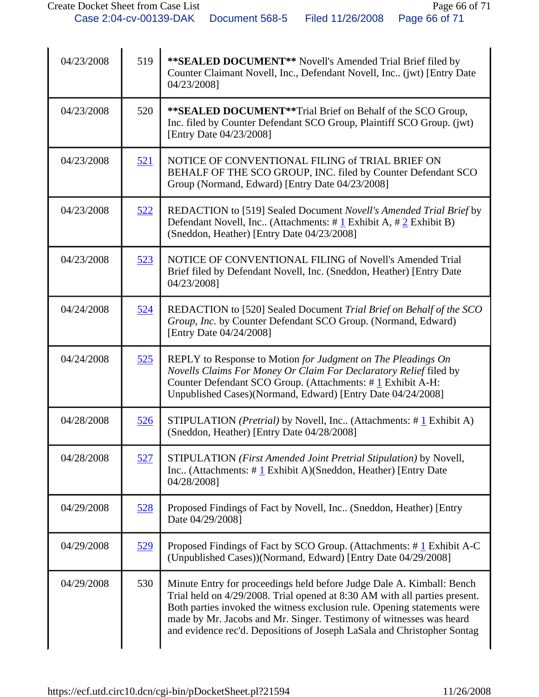| 04/23/2008 | 519        | ** SEALED DOCUMENT** Novell's Amended Trial Brief filed by<br>Counter Claimant Novell, Inc., Defendant Novell, Inc (jwt) [Entry Date<br>04/23/2008]                                                                                                                                                                                                                               |
|------------|------------|-----------------------------------------------------------------------------------------------------------------------------------------------------------------------------------------------------------------------------------------------------------------------------------------------------------------------------------------------------------------------------------|
| 04/23/2008 | 520        | **SEALED DOCUMENT**Trial Brief on Behalf of the SCO Group,<br>Inc. filed by Counter Defendant SCO Group, Plaintiff SCO Group. (jwt)<br>[Entry Date 04/23/2008]                                                                                                                                                                                                                    |
| 04/23/2008 | 521        | NOTICE OF CONVENTIONAL FILING of TRIAL BRIEF ON<br>BEHALF OF THE SCO GROUP, INC. filed by Counter Defendant SCO<br>Group (Normand, Edward) [Entry Date 04/23/2008]                                                                                                                                                                                                                |
| 04/23/2008 | <u>522</u> | REDACTION to [519] Sealed Document Novell's Amended Trial Brief by<br>Defendant Novell, Inc. (Attachments: $\# \underline{1}$ Exhibit A, $\# \underline{2}$ Exhibit B)<br>(Sneddon, Heather) [Entry Date 04/23/2008]                                                                                                                                                              |
| 04/23/2008 | 523        | NOTICE OF CONVENTIONAL FILING of Novell's Amended Trial<br>Brief filed by Defendant Novell, Inc. (Sneddon, Heather) [Entry Date<br>04/23/2008]                                                                                                                                                                                                                                    |
| 04/24/2008 | 524        | REDACTION to [520] Sealed Document Trial Brief on Behalf of the SCO<br>Group, Inc. by Counter Defendant SCO Group. (Normand, Edward)<br>[Entry Date 04/24/2008]                                                                                                                                                                                                                   |
| 04/24/2008 | 525        | REPLY to Response to Motion for Judgment on The Pleadings On<br>Novells Claims For Money Or Claim For Declaratory Relief filed by<br>Counter Defendant SCO Group. (Attachments: #1 Exhibit A-H:<br>Unpublished Cases)(Normand, Edward) [Entry Date 04/24/2008]                                                                                                                    |
| 04/28/2008 | 526        | STIPULATION ( <i>Pretrial</i> ) by Novell, Inc (Attachments: $\#$ 1 Exhibit A)<br>(Sneddon, Heather) [Entry Date 04/28/2008]                                                                                                                                                                                                                                                      |
| 04/28/2008 | 527        | STIPULATION (First Amended Joint Pretrial Stipulation) by Novell,<br>Inc (Attachments: $\# \underline{1}$ Exhibit A)(Sneddon, Heather) [Entry Date<br>04/28/2008]                                                                                                                                                                                                                 |
| 04/29/2008 | 528        | Proposed Findings of Fact by Novell, Inc (Sneddon, Heather) [Entry<br>Date 04/29/2008]                                                                                                                                                                                                                                                                                            |
| 04/29/2008 | 529        | Proposed Findings of Fact by SCO Group. (Attachments: #1 Exhibit A-C<br>(Unpublished Cases))(Normand, Edward) [Entry Date 04/29/2008]                                                                                                                                                                                                                                             |
| 04/29/2008 | 530        | Minute Entry for proceedings held before Judge Dale A. Kimball: Bench<br>Trial held on 4/29/2008. Trial opened at 8:30 AM with all parties present.<br>Both parties invoked the witness exclusion rule. Opening statements were<br>made by Mr. Jacobs and Mr. Singer. Testimony of witnesses was heard<br>and evidence rec'd. Depositions of Joseph LaSala and Christopher Sontag |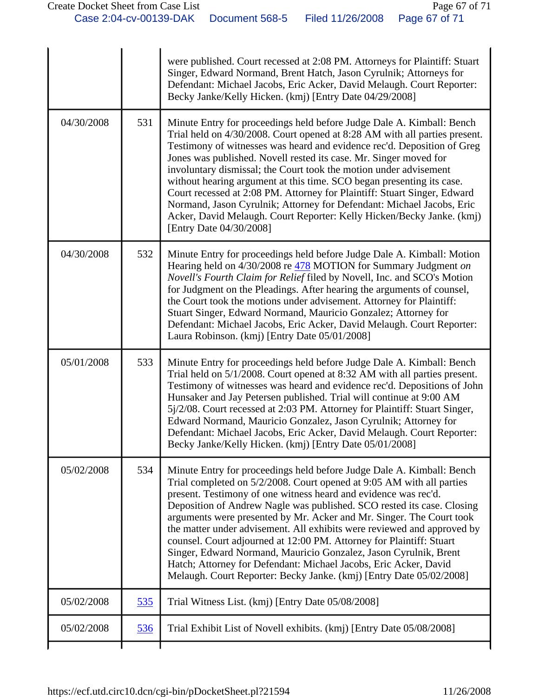|            |     | were published. Court recessed at 2:08 PM. Attorneys for Plaintiff: Stuart<br>Singer, Edward Normand, Brent Hatch, Jason Cyrulnik; Attorneys for<br>Defendant: Michael Jacobs, Eric Acker, David Melaugh. Court Reporter:<br>Becky Janke/Kelly Hicken. (kmj) [Entry Date 04/29/2008]                                                                                                                                                                                                                                                                                                                                                                                                                                                  |
|------------|-----|---------------------------------------------------------------------------------------------------------------------------------------------------------------------------------------------------------------------------------------------------------------------------------------------------------------------------------------------------------------------------------------------------------------------------------------------------------------------------------------------------------------------------------------------------------------------------------------------------------------------------------------------------------------------------------------------------------------------------------------|
| 04/30/2008 | 531 | Minute Entry for proceedings held before Judge Dale A. Kimball: Bench<br>Trial held on 4/30/2008. Court opened at 8:28 AM with all parties present.<br>Testimony of witnesses was heard and evidence rec'd. Deposition of Greg<br>Jones was published. Novell rested its case. Mr. Singer moved for<br>involuntary dismissal; the Court took the motion under advisement<br>without hearing argument at this time. SCO began presenting its case.<br>Court recessed at 2:08 PM. Attorney for Plaintiff: Stuart Singer, Edward<br>Normand, Jason Cyrulnik; Attorney for Defendant: Michael Jacobs, Eric<br>Acker, David Melaugh. Court Reporter: Kelly Hicken/Becky Janke. (kmj)<br>[Entry Date 04/30/2008]                            |
| 04/30/2008 | 532 | Minute Entry for proceedings held before Judge Dale A. Kimball: Motion<br>Hearing held on 4/30/2008 re 478 MOTION for Summary Judgment on<br>Novell's Fourth Claim for Relief filed by Novell, Inc. and SCO's Motion<br>for Judgment on the Pleadings. After hearing the arguments of counsel,<br>the Court took the motions under advisement. Attorney for Plaintiff:<br>Stuart Singer, Edward Normand, Mauricio Gonzalez; Attorney for<br>Defendant: Michael Jacobs, Eric Acker, David Melaugh. Court Reporter:<br>Laura Robinson. (kmj) [Entry Date 05/01/2008]                                                                                                                                                                    |
| 05/01/2008 | 533 | Minute Entry for proceedings held before Judge Dale A. Kimball: Bench<br>Trial held on 5/1/2008. Court opened at 8:32 AM with all parties present.<br>Testimony of witnesses was heard and evidence rec'd. Depositions of John<br>Hunsaker and Jay Petersen published. Trial will continue at 9:00 AM<br>5j/2/08. Court recessed at 2:03 PM. Attorney for Plaintiff: Stuart Singer,<br>Edward Normand, Mauricio Gonzalez, Jason Cyrulnik; Attorney for<br>Defendant: Michael Jacobs, Eric Acker, David Melaugh. Court Reporter:<br>Becky Janke/Kelly Hicken. (kmj) [Entry Date 05/01/2008]                                                                                                                                            |
| 05/02/2008 | 534 | Minute Entry for proceedings held before Judge Dale A. Kimball: Bench<br>Trial completed on 5/2/2008. Court opened at 9:05 AM with all parties<br>present. Testimony of one witness heard and evidence was rec'd.<br>Deposition of Andrew Nagle was published. SCO rested its case. Closing<br>arguments were presented by Mr. Acker and Mr. Singer. The Court took<br>the matter under advisement. All exhibits were reviewed and approved by<br>counsel. Court adjourned at 12:00 PM. Attorney for Plaintiff: Stuart<br>Singer, Edward Normand, Mauricio Gonzalez, Jason Cyrulnik, Brent<br>Hatch; Attorney for Defendant: Michael Jacobs, Eric Acker, David<br>Melaugh. Court Reporter: Becky Janke. (kmj) [Entry Date 05/02/2008] |
| 05/02/2008 | 535 | Trial Witness List. (kmj) [Entry Date 05/08/2008]                                                                                                                                                                                                                                                                                                                                                                                                                                                                                                                                                                                                                                                                                     |
| 05/02/2008 | 536 | Trial Exhibit List of Novell exhibits. (kmj) [Entry Date 05/08/2008]                                                                                                                                                                                                                                                                                                                                                                                                                                                                                                                                                                                                                                                                  |
|            |     |                                                                                                                                                                                                                                                                                                                                                                                                                                                                                                                                                                                                                                                                                                                                       |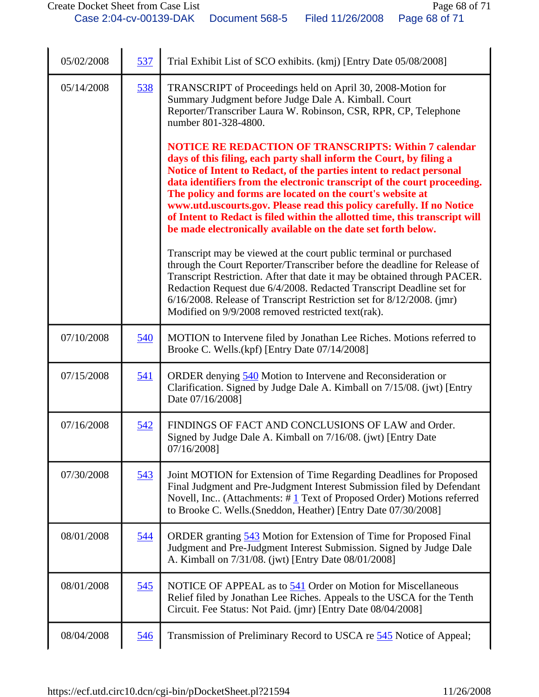| 05/02/2008 | 537        | Trial Exhibit List of SCO exhibits. (kmj) [Entry Date 05/08/2008]                                                                                                                                                                                                                                                                                                                                                                                                                                                                                                              |
|------------|------------|--------------------------------------------------------------------------------------------------------------------------------------------------------------------------------------------------------------------------------------------------------------------------------------------------------------------------------------------------------------------------------------------------------------------------------------------------------------------------------------------------------------------------------------------------------------------------------|
| 05/14/2008 | 538        | TRANSCRIPT of Proceedings held on April 30, 2008-Motion for<br>Summary Judgment before Judge Dale A. Kimball. Court<br>Reporter/Transcriber Laura W. Robinson, CSR, RPR, CP, Telephone<br>number 801-328-4800.                                                                                                                                                                                                                                                                                                                                                                 |
|            |            | <b>NOTICE RE REDACTION OF TRANSCRIPTS: Within 7 calendar</b><br>days of this filing, each party shall inform the Court, by filing a<br>Notice of Intent to Redact, of the parties intent to redact personal<br>data identifiers from the electronic transcript of the court proceeding.<br>The policy and forms are located on the court's website at<br>www.utd.uscourts.gov. Please read this policy carefully. If no Notice<br>of Intent to Redact is filed within the allotted time, this transcript will<br>be made electronically available on the date set forth below. |
|            |            | Transcript may be viewed at the court public terminal or purchased<br>through the Court Reporter/Transcriber before the deadline for Release of<br>Transcript Restriction. After that date it may be obtained through PACER.<br>Redaction Request due 6/4/2008. Redacted Transcript Deadline set for<br>6/16/2008. Release of Transcript Restriction set for 8/12/2008. (jmr)<br>Modified on 9/9/2008 removed restricted text(rak).                                                                                                                                            |
| 07/10/2008 | 540        | MOTION to Intervene filed by Jonathan Lee Riches. Motions referred to<br>Brooke C. Wells.(kpf) [Entry Date 07/14/2008]                                                                                                                                                                                                                                                                                                                                                                                                                                                         |
| 07/15/2008 | 541        | ORDER denying 540 Motion to Intervene and Reconsideration or<br>Clarification. Signed by Judge Dale A. Kimball on 7/15/08. (jwt) [Entry<br>Date 07/16/2008]                                                                                                                                                                                                                                                                                                                                                                                                                    |
| 07/16/2008 | 542        | FINDINGS OF FACT AND CONCLUSIONS OF LAW and Order.<br>Signed by Judge Dale A. Kimball on 7/16/08. (jwt) [Entry Date<br>07/16/2008]                                                                                                                                                                                                                                                                                                                                                                                                                                             |
| 07/30/2008 | 543        | Joint MOTION for Extension of Time Regarding Deadlines for Proposed<br>Final Judgment and Pre-Judgment Interest Submission filed by Defendant<br>Novell, Inc (Attachments: $\#$ 1 Text of Proposed Order) Motions referred<br>to Brooke C. Wells. (Sneddon, Heather) [Entry Date 07/30/2008]                                                                                                                                                                                                                                                                                   |
| 08/01/2008 | 544        | ORDER granting 543 Motion for Extension of Time for Proposed Final<br>Judgment and Pre-Judgment Interest Submission. Signed by Judge Dale<br>A. Kimball on 7/31/08. (jwt) [Entry Date 08/01/2008]                                                                                                                                                                                                                                                                                                                                                                              |
| 08/01/2008 | 545        | NOTICE OF APPEAL as to 541 Order on Motion for Miscellaneous<br>Relief filed by Jonathan Lee Riches. Appeals to the USCA for the Tenth<br>Circuit. Fee Status: Not Paid. (jmr) [Entry Date 08/04/2008]                                                                                                                                                                                                                                                                                                                                                                         |
| 08/04/2008 | <u>546</u> | Transmission of Preliminary Record to USCA re 545 Notice of Appeal;                                                                                                                                                                                                                                                                                                                                                                                                                                                                                                            |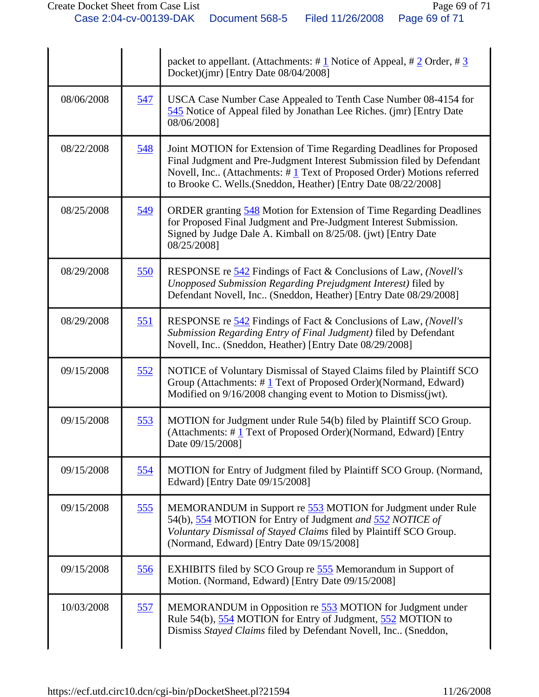|            |            | packet to appellant. (Attachments: $\# \underline{1}$ Notice of Appeal, $\# \underline{2}$ Order, $\# \underline{3}$<br>Docket)(jmr) [Entry Date 08/04/2008]                                                                                                                                |
|------------|------------|---------------------------------------------------------------------------------------------------------------------------------------------------------------------------------------------------------------------------------------------------------------------------------------------|
| 08/06/2008 | <u>547</u> | USCA Case Number Case Appealed to Tenth Case Number 08-4154 for<br>545 Notice of Appeal filed by Jonathan Lee Riches. (jmr) [Entry Date<br>08/06/2008]                                                                                                                                      |
| 08/22/2008 | 548        | Joint MOTION for Extension of Time Regarding Deadlines for Proposed<br>Final Judgment and Pre-Judgment Interest Submission filed by Defendant<br>Novell, Inc (Attachments: $\#$ 1 Text of Proposed Order) Motions referred<br>to Brooke C. Wells.(Sneddon, Heather) [Entry Date 08/22/2008] |
| 08/25/2008 | 549        | ORDER granting 548 Motion for Extension of Time Regarding Deadlines<br>for Proposed Final Judgment and Pre-Judgment Interest Submission.<br>Signed by Judge Dale A. Kimball on 8/25/08. (jwt) [Entry Date<br>08/25/2008]                                                                    |
| 08/29/2008 | 550        | RESPONSE re 542 Findings of Fact & Conclusions of Law, (Novell's<br>Unopposed Submission Regarding Prejudgment Interest) filed by<br>Defendant Novell, Inc (Sneddon, Heather) [Entry Date 08/29/2008]                                                                                       |
| 08/29/2008 | 551        | RESPONSE re 542 Findings of Fact & Conclusions of Law, (Novell's<br>Submission Regarding Entry of Final Judgment) filed by Defendant<br>Novell, Inc (Sneddon, Heather) [Entry Date 08/29/2008]                                                                                              |
| 09/15/2008 | 552        | NOTICE of Voluntary Dismissal of Stayed Claims filed by Plaintiff SCO<br>Group (Attachments: $\#$ 1 Text of Proposed Order)(Normand, Edward)<br>Modified on 9/16/2008 changing event to Motion to Dismiss(jwt).                                                                             |
| 09/15/2008 | 553        | MOTION for Judgment under Rule 54(b) filed by Plaintiff SCO Group.<br>(Attachments: #1 Text of Proposed Order)(Normand, Edward) [Entry<br>Date 09/15/2008]                                                                                                                                  |
| 09/15/2008 | 554        | MOTION for Entry of Judgment filed by Plaintiff SCO Group. (Normand,<br>Edward) [Entry Date 09/15/2008]                                                                                                                                                                                     |
| 09/15/2008 | 555        | MEMORANDUM in Support re 553 MOTION for Judgment under Rule<br>54(b), 554 MOTION for Entry of Judgment and 552 NOTICE of<br>Voluntary Dismissal of Stayed Claims filed by Plaintiff SCO Group.<br>(Normand, Edward) [Entry Date 09/15/2008]                                                 |
| 09/15/2008 | 556        | EXHIBITS filed by SCO Group re 555 Memorandum in Support of<br>Motion. (Normand, Edward) [Entry Date 09/15/2008]                                                                                                                                                                            |
| 10/03/2008 | 557        | MEMORANDUM in Opposition re 553 MOTION for Judgment under<br>Rule 54(b), 554 MOTION for Entry of Judgment, 552 MOTION to<br>Dismiss Stayed Claims filed by Defendant Novell, Inc (Sneddon,                                                                                                  |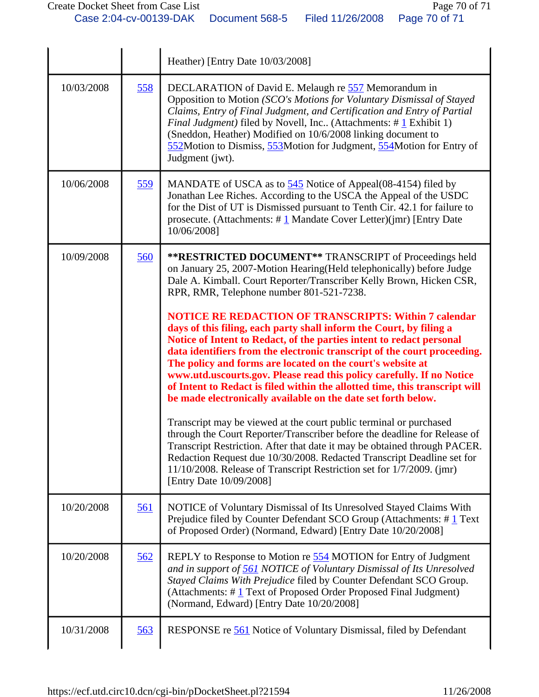|            |            | Heather) [Entry Date 10/03/2008]                                                                                                                                                                                                                                                                                                                                                                                                                                                                                                                                               |
|------------|------------|--------------------------------------------------------------------------------------------------------------------------------------------------------------------------------------------------------------------------------------------------------------------------------------------------------------------------------------------------------------------------------------------------------------------------------------------------------------------------------------------------------------------------------------------------------------------------------|
| 10/03/2008 | 558        | DECLARATION of David E. Melaugh re 557 Memorandum in<br>Opposition to Motion (SCO's Motions for Voluntary Dismissal of Stayed<br>Claims, Entry of Final Judgment, and Certification and Entry of Partial<br><i>Final Judgment</i> ) filed by Novell, Inc (Attachments: $\# \mathbf{1}$ Exhibit 1)<br>(Sneddon, Heather) Modified on 10/6/2008 linking document to<br>552Motion to Dismiss, 553Motion for Judgment, 554Motion for Entry of<br>Judgment (jwt).                                                                                                                   |
| 10/06/2008 | 559        | MANDATE of USCA as to 545 Notice of Appeal(08-4154) filed by<br>Jonathan Lee Riches. According to the USCA the Appeal of the USDC<br>for the Dist of UT is Dismissed pursuant to Tenth Cir. 42.1 for failure to<br>prosecute. (Attachments: $\# \underline{1}$ Mandate Cover Letter)(jmr) [Entry Date<br>10/06/2008]                                                                                                                                                                                                                                                           |
| 10/09/2008 | 560        | **RESTRICTED DOCUMENT** TRANSCRIPT of Proceedings held<br>on January 25, 2007-Motion Hearing (Held telephonically) before Judge<br>Dale A. Kimball. Court Reporter/Transcriber Kelly Brown, Hicken CSR,<br>RPR, RMR, Telephone number 801-521-7238.                                                                                                                                                                                                                                                                                                                            |
|            |            | <b>NOTICE RE REDACTION OF TRANSCRIPTS: Within 7 calendar</b><br>days of this filing, each party shall inform the Court, by filing a<br>Notice of Intent to Redact, of the parties intent to redact personal<br>data identifiers from the electronic transcript of the court proceeding.<br>The policy and forms are located on the court's website at<br>www.utd.uscourts.gov. Please read this policy carefully. If no Notice<br>of Intent to Redact is filed within the allotted time, this transcript will<br>be made electronically available on the date set forth below. |
|            |            | Transcript may be viewed at the court public terminal or purchased<br>through the Court Reporter/Transcriber before the deadline for Release of<br>Transcript Restriction. After that date it may be obtained through PACER.<br>Redaction Request due 10/30/2008. Redacted Transcript Deadline set for<br>11/10/2008. Release of Transcript Restriction set for 1/7/2009. (jmr)<br>[Entry Date 10/09/2008]                                                                                                                                                                     |
| 10/20/2008 | <u>561</u> | NOTICE of Voluntary Dismissal of Its Unresolved Stayed Claims With<br>Prejudice filed by Counter Defendant SCO Group (Attachments: #1 Text)<br>of Proposed Order) (Normand, Edward) [Entry Date 10/20/2008]                                                                                                                                                                                                                                                                                                                                                                    |
| 10/20/2008 | 562        | REPLY to Response to Motion re 554 MOTION for Entry of Judgment<br>and in support of 561 NOTICE of Voluntary Dismissal of Its Unresolved<br>Stayed Claims With Prejudice filed by Counter Defendant SCO Group.<br>(Attachments: #1 Text of Proposed Order Proposed Final Judgment)<br>(Normand, Edward) [Entry Date 10/20/2008]                                                                                                                                                                                                                                                |
| 10/31/2008 | 563        | RESPONSE re 561 Notice of Voluntary Dismissal, filed by Defendant                                                                                                                                                                                                                                                                                                                                                                                                                                                                                                              |